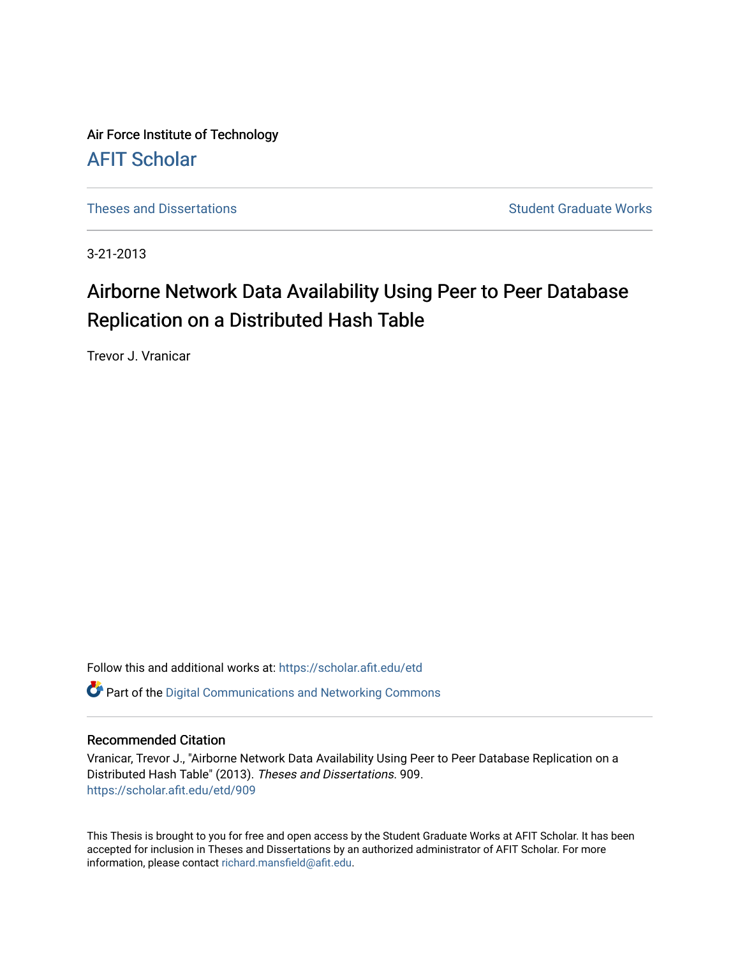Air Force Institute of Technology [AFIT Scholar](https://scholar.afit.edu/) 

[Theses and Dissertations](https://scholar.afit.edu/etd) **Student Graduate Works** Student Graduate Works

3-21-2013

# Airborne Network Data Availability Using Peer to Peer Database Replication on a Distributed Hash Table

Trevor J. Vranicar

Follow this and additional works at: [https://scholar.afit.edu/etd](https://scholar.afit.edu/etd?utm_source=scholar.afit.edu%2Fetd%2F909&utm_medium=PDF&utm_campaign=PDFCoverPages) 

 $\bullet$  Part of the Digital Communications and Networking Commons

## Recommended Citation

Vranicar, Trevor J., "Airborne Network Data Availability Using Peer to Peer Database Replication on a Distributed Hash Table" (2013). Theses and Dissertations. 909. [https://scholar.afit.edu/etd/909](https://scholar.afit.edu/etd/909?utm_source=scholar.afit.edu%2Fetd%2F909&utm_medium=PDF&utm_campaign=PDFCoverPages) 

This Thesis is brought to you for free and open access by the Student Graduate Works at AFIT Scholar. It has been accepted for inclusion in Theses and Dissertations by an authorized administrator of AFIT Scholar. For more information, please contact [richard.mansfield@afit.edu](mailto:richard.mansfield@afit.edu).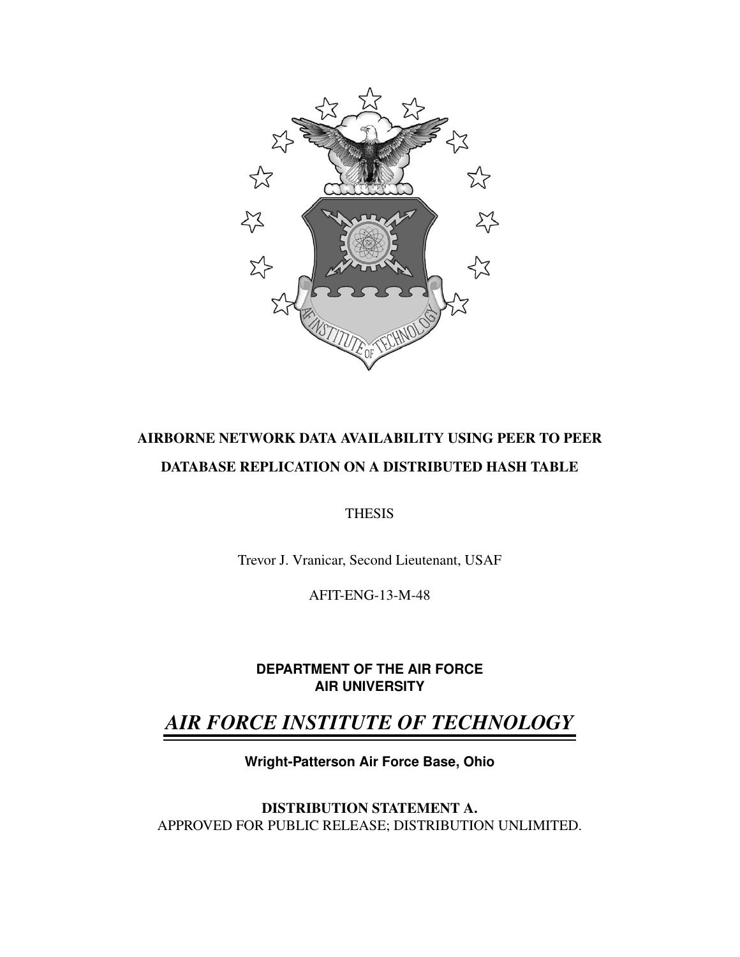

# AIRBORNE NETWORK DATA AVAILABILITY USING PEER TO PEER DATABASE REPLICATION ON A DISTRIBUTED HASH TABLE

**THESIS** 

Trevor J. Vranicar, Second Lieutenant, USAF

AFIT-ENG-13-M-48

**DEPARTMENT OF THE AIR FORCE AIR UNIVERSITY**

# *AIR FORCE INSTITUTE OF TECHNOLOGY*

**Wright-Patterson Air Force Base, Ohio**

DISTRIBUTION STATEMENT A. APPROVED FOR PUBLIC RELEASE; DISTRIBUTION UNLIMITED.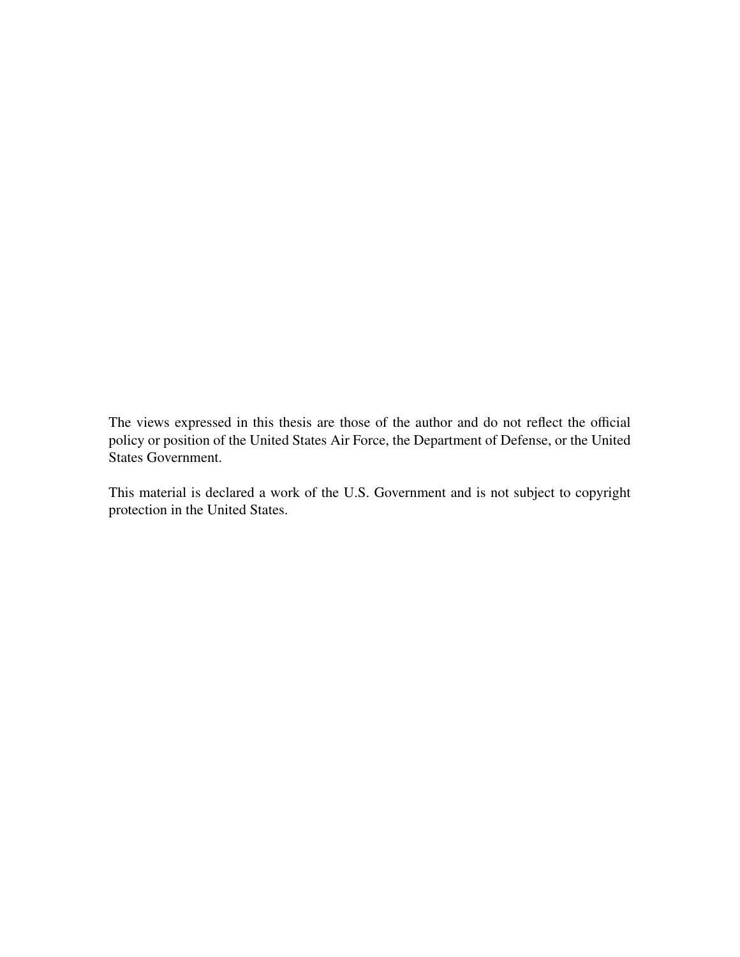The views expressed in this thesis are those of the author and do not reflect the official policy or position of the United States Air Force, the Department of Defense, or the United States Government.

This material is declared a work of the U.S. Government and is not subject to copyright protection in the United States.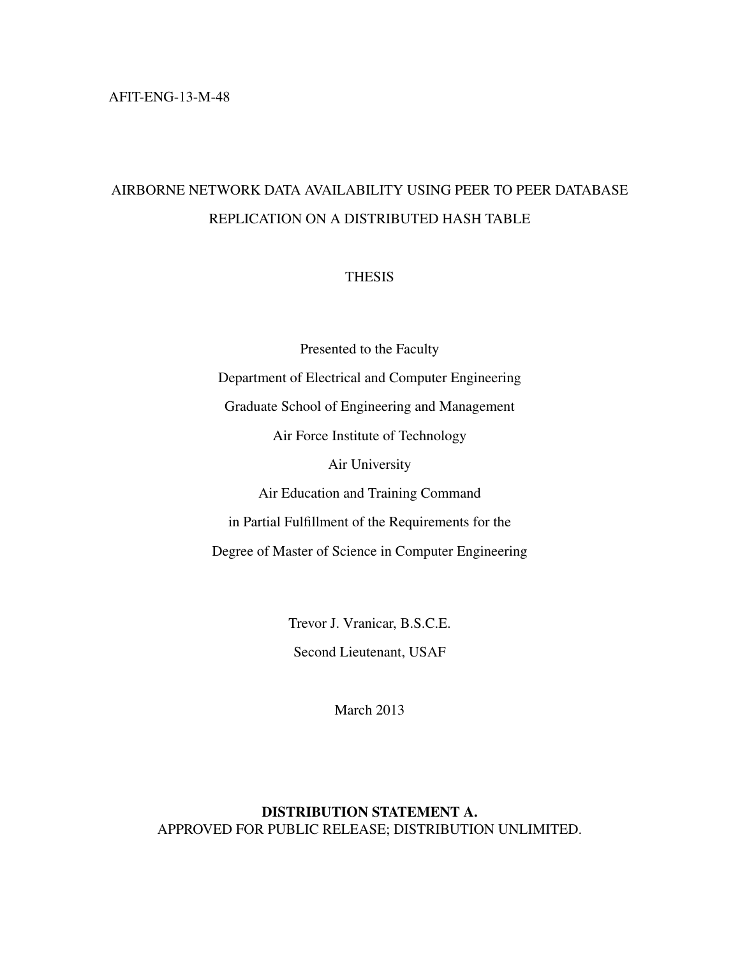## AFIT-ENG-13-M-48

# AIRBORNE NETWORK DATA AVAILABILITY USING PEER TO PEER DATABASE REPLICATION ON A DISTRIBUTED HASH TABLE

## THESIS

Presented to the Faculty Department of Electrical and Computer Engineering Graduate School of Engineering and Management Air Force Institute of Technology Air University Air Education and Training Command in Partial Fulfillment of the Requirements for the Degree of Master of Science in Computer Engineering

> Trevor J. Vranicar, B.S.C.E. Second Lieutenant, USAF

> > March 2013

## DISTRIBUTION STATEMENT A. APPROVED FOR PUBLIC RELEASE; DISTRIBUTION UNLIMITED.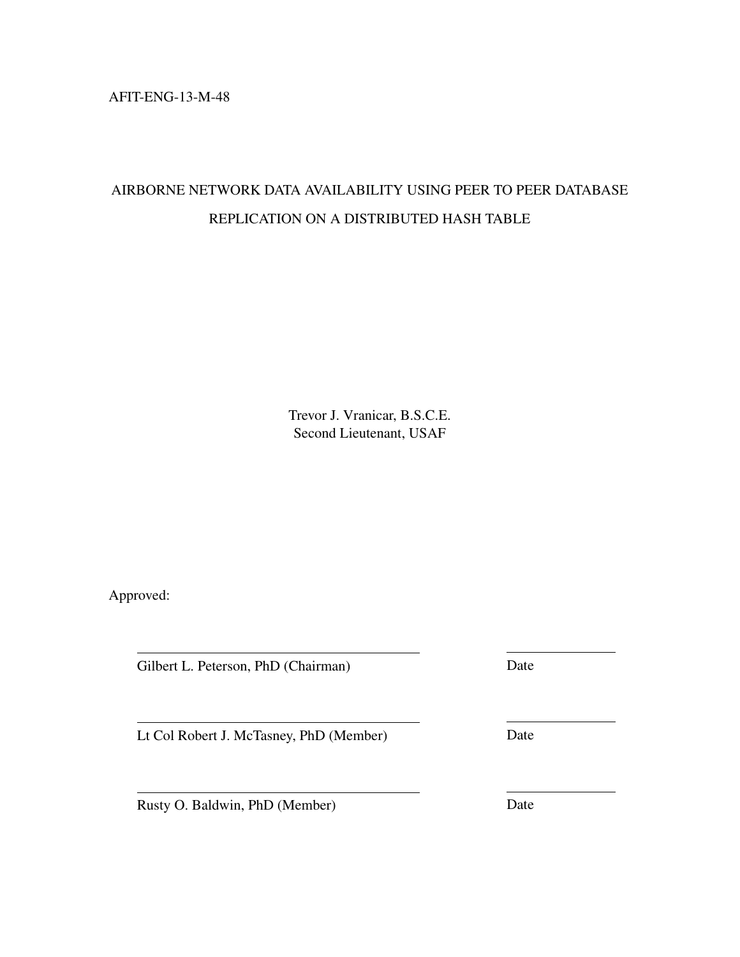AFIT-ENG-13-M-48

# AIRBORNE NETWORK DATA AVAILABILITY USING PEER TO PEER DATABASE REPLICATION ON A DISTRIBUTED HASH TABLE

Trevor J. Vranicar, B.S.C.E. Second Lieutenant, USAF

Approved:

Gilbert L. Peterson, PhD (Chairman)

Lt Col Robert J. McTasney, PhD (Member)

Rusty O. Baldwin, PhD (Member)

Date

Date

Date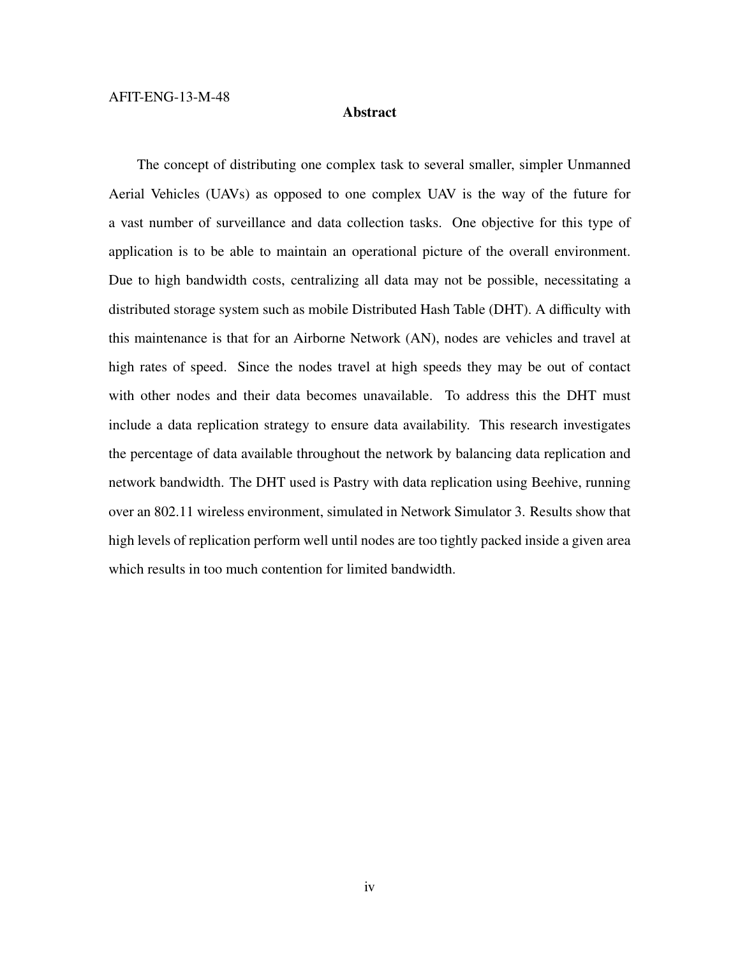#### Abstract

The concept of distributing one complex task to several smaller, simpler Unmanned Aerial Vehicles (UAVs) as opposed to one complex UAV is the way of the future for a vast number of surveillance and data collection tasks. One objective for this type of application is to be able to maintain an operational picture of the overall environment. Due to high bandwidth costs, centralizing all data may not be possible, necessitating a distributed storage system such as mobile Distributed Hash Table (DHT). A difficulty with this maintenance is that for an Airborne Network (AN), nodes are vehicles and travel at high rates of speed. Since the nodes travel at high speeds they may be out of contact with other nodes and their data becomes unavailable. To address this the DHT must include a data replication strategy to ensure data availability. This research investigates the percentage of data available throughout the network by balancing data replication and network bandwidth. The DHT used is Pastry with data replication using Beehive, running over an 802.11 wireless environment, simulated in Network Simulator 3. Results show that high levels of replication perform well until nodes are too tightly packed inside a given area which results in too much contention for limited bandwidth.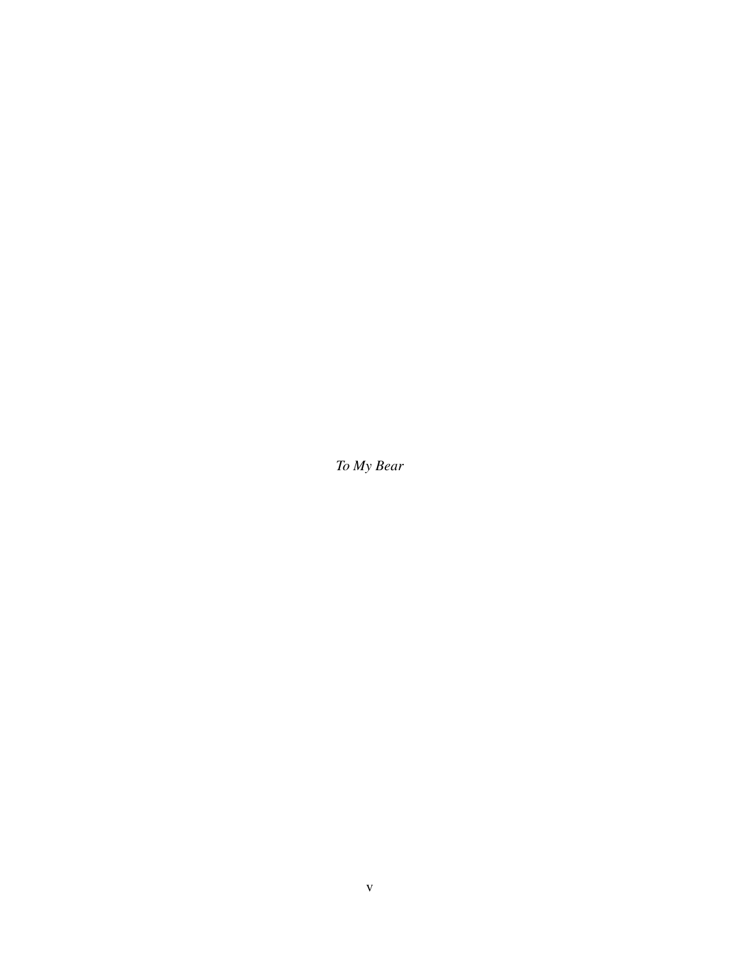*To My Bear*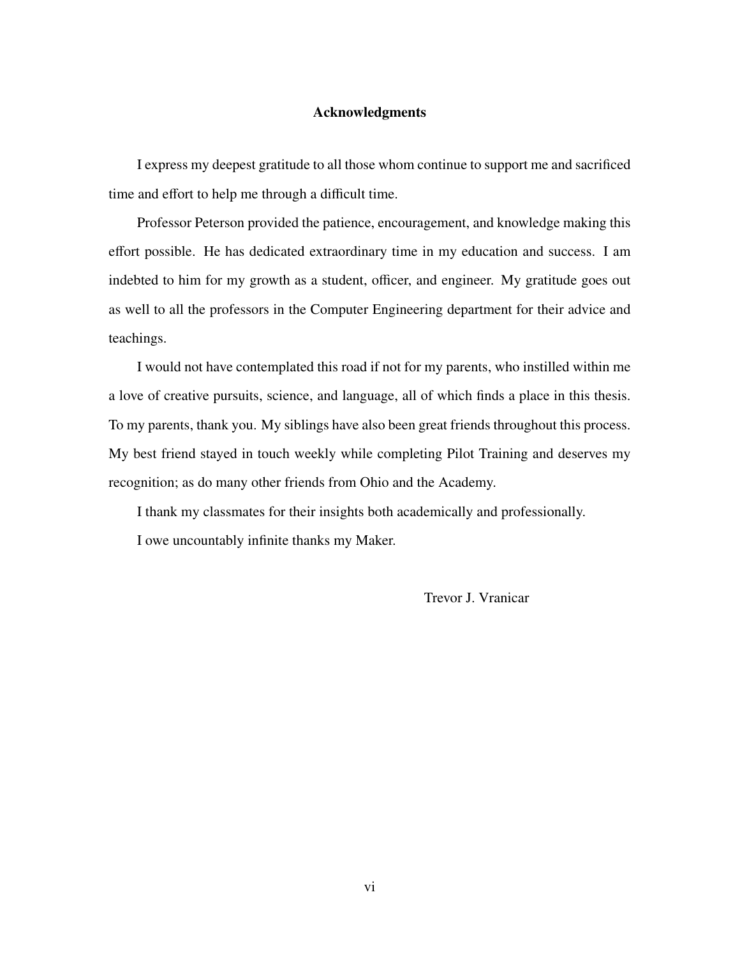## Acknowledgments

I express my deepest gratitude to all those whom continue to support me and sacrificed time and effort to help me through a difficult time.

Professor Peterson provided the patience, encouragement, and knowledge making this effort possible. He has dedicated extraordinary time in my education and success. I am indebted to him for my growth as a student, officer, and engineer. My gratitude goes out as well to all the professors in the Computer Engineering department for their advice and teachings.

I would not have contemplated this road if not for my parents, who instilled within me a love of creative pursuits, science, and language, all of which finds a place in this thesis. To my parents, thank you. My siblings have also been great friends throughout this process. My best friend stayed in touch weekly while completing Pilot Training and deserves my recognition; as do many other friends from Ohio and the Academy.

I thank my classmates for their insights both academically and professionally. I owe uncountably infinite thanks my Maker.

Trevor J. Vranicar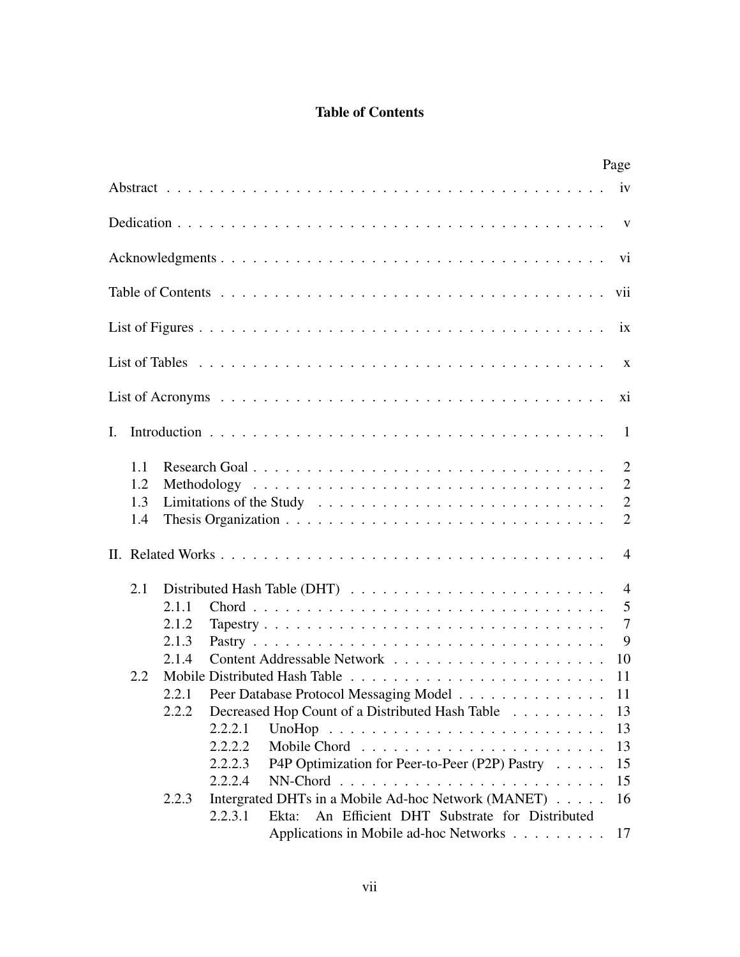## Table of Contents

|                          |                                                                                                                                                                                                           | Page                                                           |
|--------------------------|-----------------------------------------------------------------------------------------------------------------------------------------------------------------------------------------------------------|----------------------------------------------------------------|
|                          |                                                                                                                                                                                                           | iv                                                             |
|                          |                                                                                                                                                                                                           |                                                                |
|                          |                                                                                                                                                                                                           | vi                                                             |
|                          |                                                                                                                                                                                                           | vii                                                            |
|                          |                                                                                                                                                                                                           | ix                                                             |
|                          | List of Tables $\ldots \ldots \ldots \ldots \ldots \ldots \ldots \ldots \ldots \ldots \ldots \ldots$                                                                                                      | $\mathbf{X}$                                                   |
|                          |                                                                                                                                                                                                           | xi                                                             |
| L.                       |                                                                                                                                                                                                           | $\overline{1}$                                                 |
| 1.1<br>1.2<br>1.3<br>1.4 |                                                                                                                                                                                                           | 2<br>2<br>$\overline{2}$<br>2                                  |
|                          |                                                                                                                                                                                                           | $\overline{4}$                                                 |
| 2.1                      | 2.1.1<br>2.1.2<br>2.1.3<br>2.1.4                                                                                                                                                                          | $\overline{4}$<br>$5\overline{)}$<br>$\overline{7}$<br>9<br>10 |
| 2.2                      | Peer Database Protocol Messaging Model<br>2.2.1<br>Decreased Hop Count of a Distributed Hash Table<br>2.2.2<br>2.2.2.1<br>2.2.2.2<br>P4P Optimization for Peer-to-Peer (P2P) Pastry<br>2.2.2.3<br>2.2.2.4 | 11<br>11<br>13<br>13<br>13<br>15<br>15                         |
|                          | Intergrated DHTs in a Mobile Ad-hoc Network (MANET)<br>2.2.3<br>2.2.3.1<br>An Efficient DHT Substrate for Distributed<br>Ekta:                                                                            | 16                                                             |
|                          | Applications in Mobile ad-hoc Networks                                                                                                                                                                    | 17                                                             |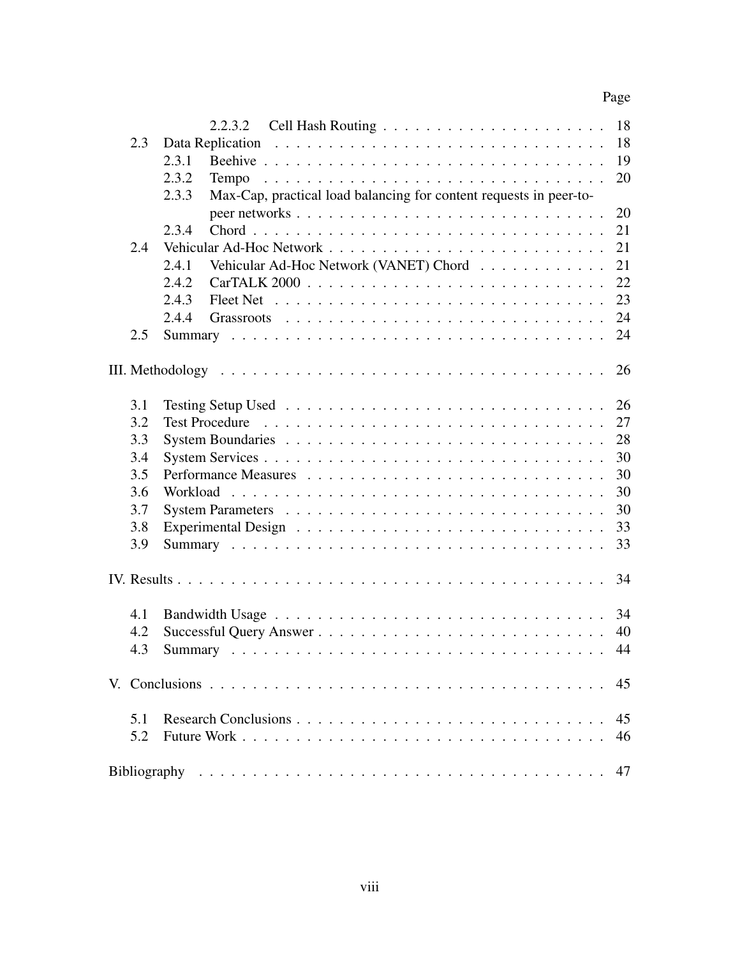# Page

|     |       | 2.2.3.2                                                            | 18 |
|-----|-------|--------------------------------------------------------------------|----|
| 2.3 |       |                                                                    | 18 |
|     | 2.3.1 |                                                                    | 19 |
|     | 2.3.2 |                                                                    | 20 |
|     | 2.3.3 | Max-Cap, practical load balancing for content requests in peer-to- |    |
|     |       |                                                                    | 20 |
|     | 2.3.4 |                                                                    | 21 |
| 2.4 |       |                                                                    | 21 |
|     | 2.4.1 | Vehicular Ad-Hoc Network (VANET) Chord                             | 21 |
|     | 2.4.2 |                                                                    | 22 |
|     | 2.4.3 |                                                                    | 23 |
|     | 2.4.4 |                                                                    | 24 |
| 2.5 |       |                                                                    | 24 |
|     |       |                                                                    |    |
|     |       |                                                                    | 26 |
|     |       |                                                                    |    |
| 3.1 |       |                                                                    | 26 |
| 3.2 |       |                                                                    | 27 |
| 3.3 |       |                                                                    | 28 |
| 3.4 |       |                                                                    | 30 |
| 3.5 |       |                                                                    | 30 |
| 3.6 |       |                                                                    | 30 |
| 3.7 |       |                                                                    | 30 |
| 3.8 |       |                                                                    | 33 |
| 3.9 |       |                                                                    | 33 |
|     |       |                                                                    |    |
|     |       |                                                                    | 34 |
| 4.1 |       |                                                                    | 34 |
| 4.2 |       |                                                                    | 40 |
| 4.3 |       |                                                                    |    |
|     |       |                                                                    |    |
|     |       |                                                                    | 45 |
| 5.1 |       |                                                                    | 45 |
| 5.2 |       |                                                                    | 46 |
|     |       |                                                                    |    |
|     |       |                                                                    | 47 |
|     |       |                                                                    |    |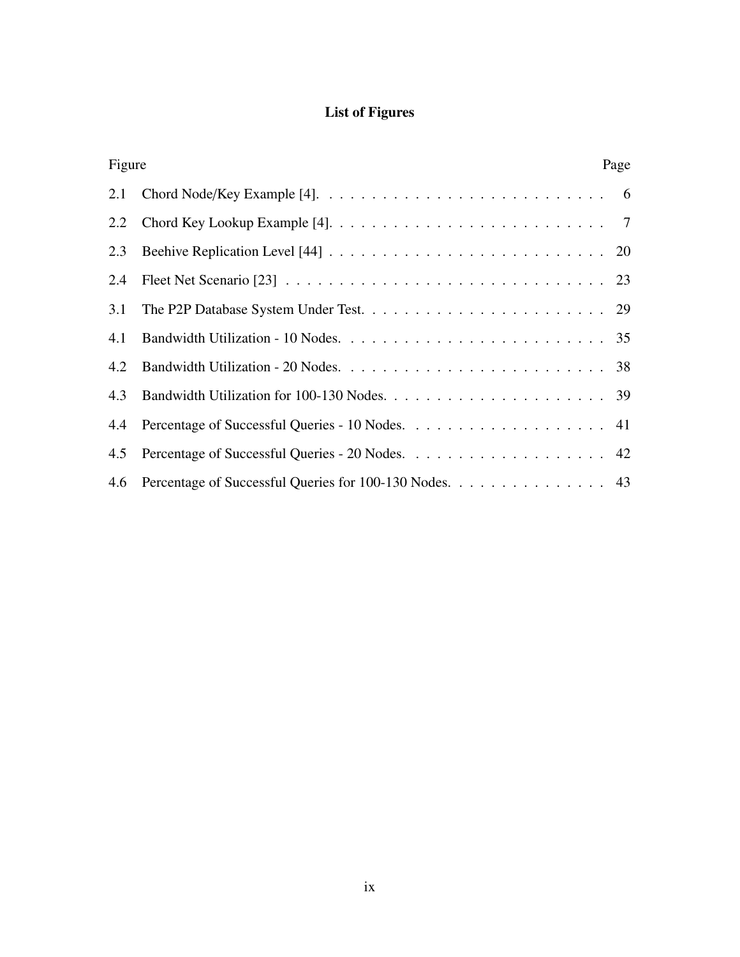## List of Figures

| Figure |                                                                                                                         | Page |
|--------|-------------------------------------------------------------------------------------------------------------------------|------|
| 2.1    |                                                                                                                         |      |
| 2.2    |                                                                                                                         |      |
| 2.3    |                                                                                                                         |      |
| 2.4    | Fleet Net Scenario [23] $\ldots \ldots \ldots \ldots \ldots \ldots \ldots \ldots \ldots \ldots \ldots \ldots \ldots$ 23 |      |
| 3.1    |                                                                                                                         |      |
| 4.1    |                                                                                                                         |      |
| 4.2    |                                                                                                                         |      |
| 4.3    |                                                                                                                         |      |
|        |                                                                                                                         |      |
| 4.5    |                                                                                                                         |      |
|        | 4.6 Percentage of Successful Queries for 100-130 Nodes. 43                                                              |      |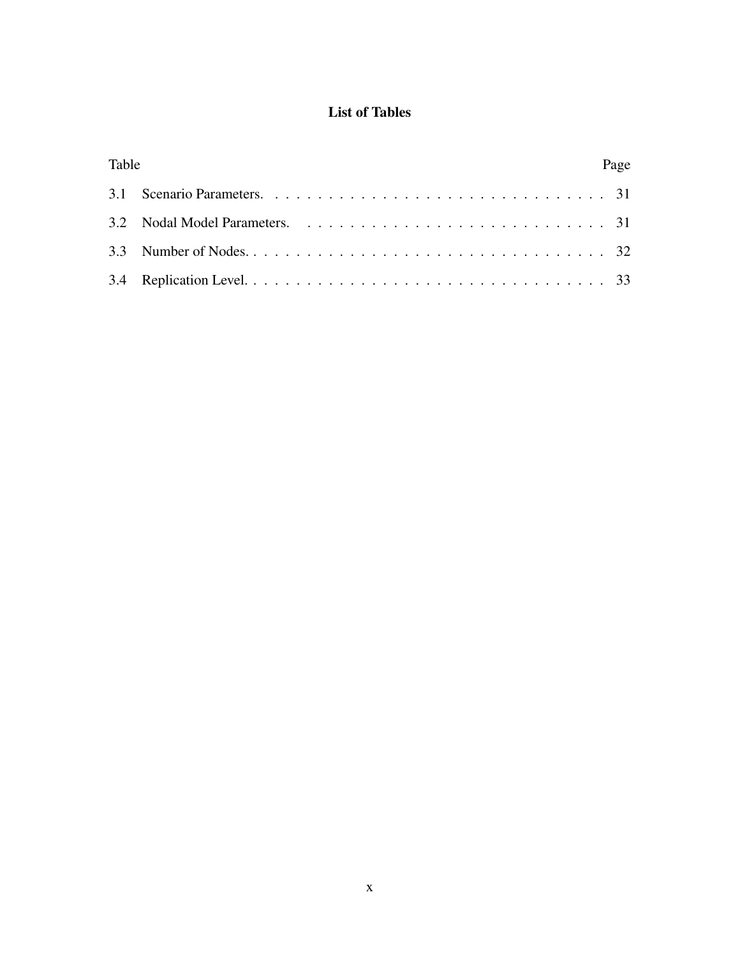## List of Tables

| Table | Page |  |
|-------|------|--|
|       |      |  |
|       |      |  |
|       |      |  |
|       |      |  |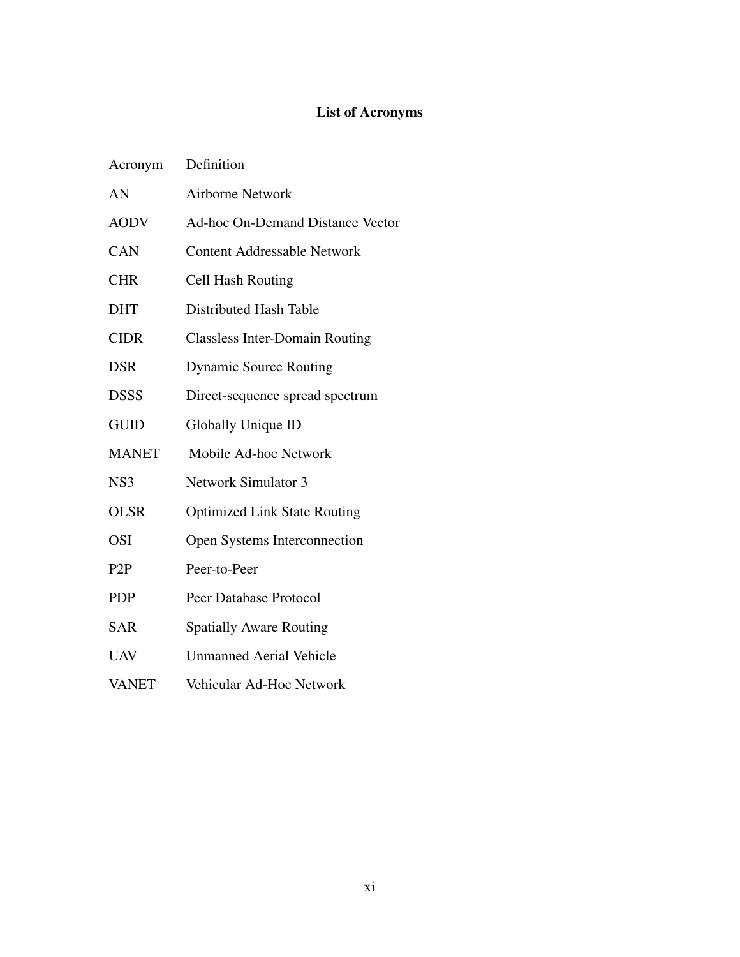## List of Acronyms

| Acronym          | Definition                            |
|------------------|---------------------------------------|
| AN               | Airborne Network                      |
| <b>AODV</b>      | Ad-hoc On-Demand Distance Vector      |
| CAN              | <b>Content Addressable Network</b>    |
| <b>CHR</b>       | <b>Cell Hash Routing</b>              |
| <b>DHT</b>       | Distributed Hash Table                |
| <b>CIDR</b>      | <b>Classless Inter-Domain Routing</b> |
| <b>DSR</b>       | <b>Dynamic Source Routing</b>         |
| <b>DSSS</b>      | Direct-sequence spread spectrum       |
| <b>GUID</b>      | Globally Unique ID                    |
| <b>MANET</b>     | Mobile Ad-hoc Network                 |
| NS3              | <b>Network Simulator 3</b>            |
| <b>OLSR</b>      | <b>Optimized Link State Routing</b>   |
| <b>OSI</b>       | Open Systems Interconnection          |
| P <sub>2</sub> P | Peer-to-Peer                          |
| <b>PDP</b>       | Peer Database Protocol                |
| <b>SAR</b>       | <b>Spatially Aware Routing</b>        |
| <b>UAV</b>       | <b>Unmanned Aerial Vehicle</b>        |
| <b>VANET</b>     | Vehicular Ad-Hoc Network              |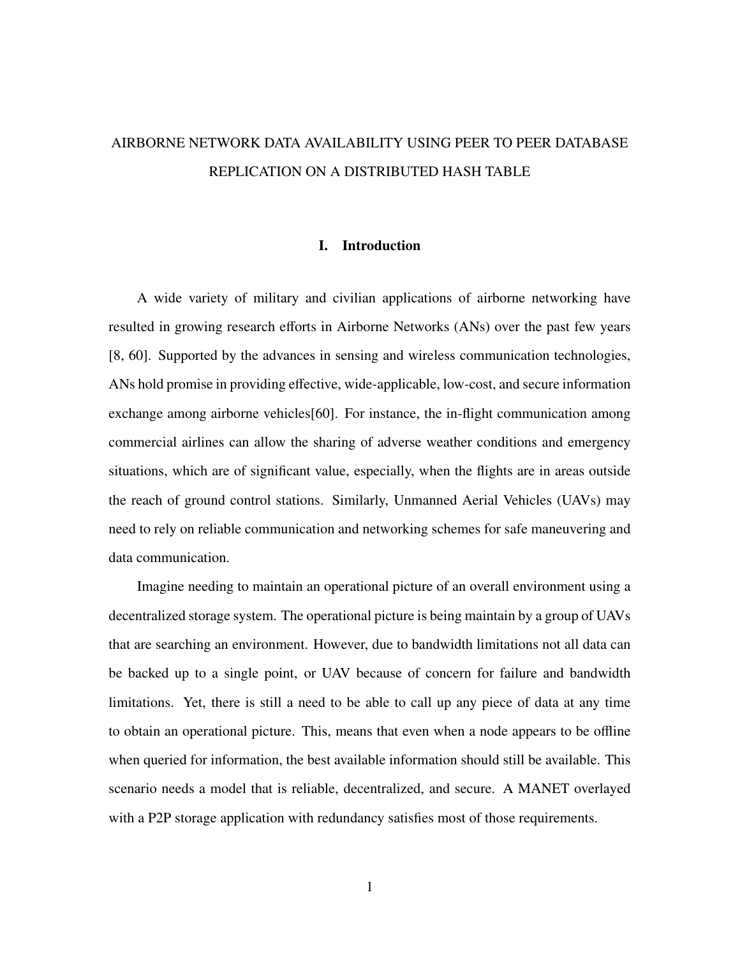# AIRBORNE NETWORK DATA AVAILABILITY USING PEER TO PEER DATABASE REPLICATION ON A DISTRIBUTED HASH TABLE

## I. Introduction

A wide variety of military and civilian applications of airborne networking have resulted in growing research efforts in Airborne Networks (ANs) over the past few years [8, 60]. Supported by the advances in sensing and wireless communication technologies, ANs hold promise in providing effective, wide-applicable, low-cost, and secure information exchange among airborne vehicles[60]. For instance, the in-flight communication among commercial airlines can allow the sharing of adverse weather conditions and emergency situations, which are of significant value, especially, when the flights are in areas outside the reach of ground control stations. Similarly, Unmanned Aerial Vehicles (UAVs) may need to rely on reliable communication and networking schemes for safe maneuvering and data communication.

Imagine needing to maintain an operational picture of an overall environment using a decentralized storage system. The operational picture is being maintain by a group of UAVs that are searching an environment. However, due to bandwidth limitations not all data can be backed up to a single point, or UAV because of concern for failure and bandwidth limitations. Yet, there is still a need to be able to call up any piece of data at any time to obtain an operational picture. This, means that even when a node appears to be offline when queried for information, the best available information should still be available. This scenario needs a model that is reliable, decentralized, and secure. A MANET overlayed with a P2P storage application with redundancy satisfies most of those requirements.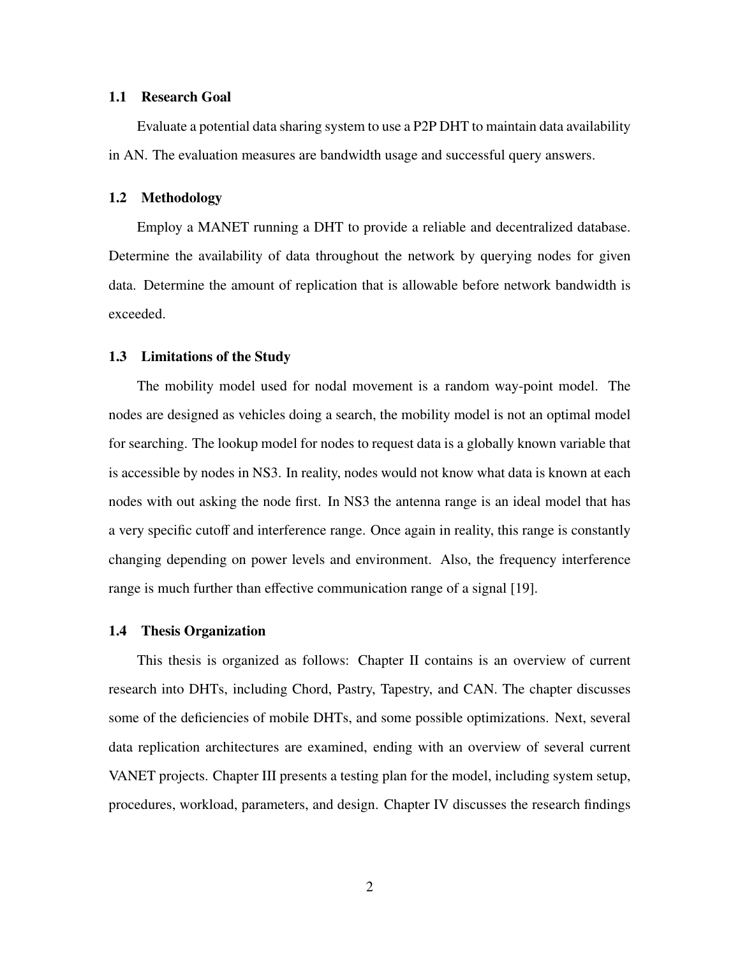#### 1.1 Research Goal

Evaluate a potential data sharing system to use a P2P DHT to maintain data availability in AN. The evaluation measures are bandwidth usage and successful query answers.

#### 1.2 Methodology

Employ a MANET running a DHT to provide a reliable and decentralized database. Determine the availability of data throughout the network by querying nodes for given data. Determine the amount of replication that is allowable before network bandwidth is exceeded.

#### 1.3 Limitations of the Study

The mobility model used for nodal movement is a random way-point model. The nodes are designed as vehicles doing a search, the mobility model is not an optimal model for searching. The lookup model for nodes to request data is a globally known variable that is accessible by nodes in NS3. In reality, nodes would not know what data is known at each nodes with out asking the node first. In NS3 the antenna range is an ideal model that has a very specific cutoff and interference range. Once again in reality, this range is constantly changing depending on power levels and environment. Also, the frequency interference range is much further than effective communication range of a signal [19].

#### 1.4 Thesis Organization

This thesis is organized as follows: Chapter II contains is an overview of current research into DHTs, including Chord, Pastry, Tapestry, and CAN. The chapter discusses some of the deficiencies of mobile DHTs, and some possible optimizations. Next, several data replication architectures are examined, ending with an overview of several current VANET projects. Chapter III presents a testing plan for the model, including system setup, procedures, workload, parameters, and design. Chapter IV discusses the research findings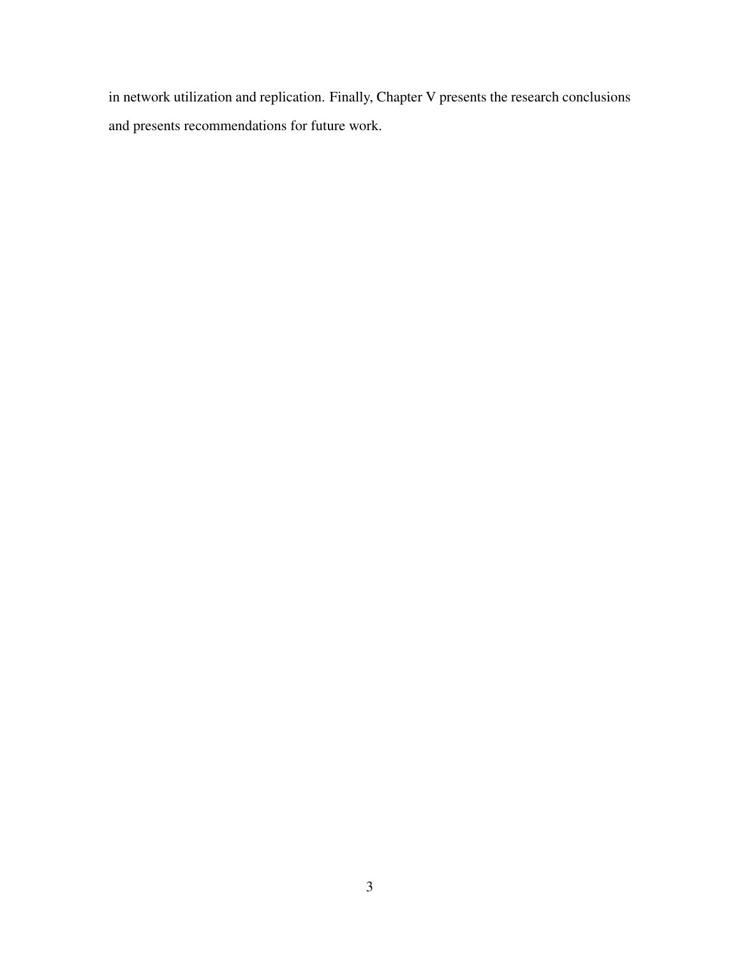in network utilization and replication. Finally, Chapter V presents the research conclusions and presents recommendations for future work.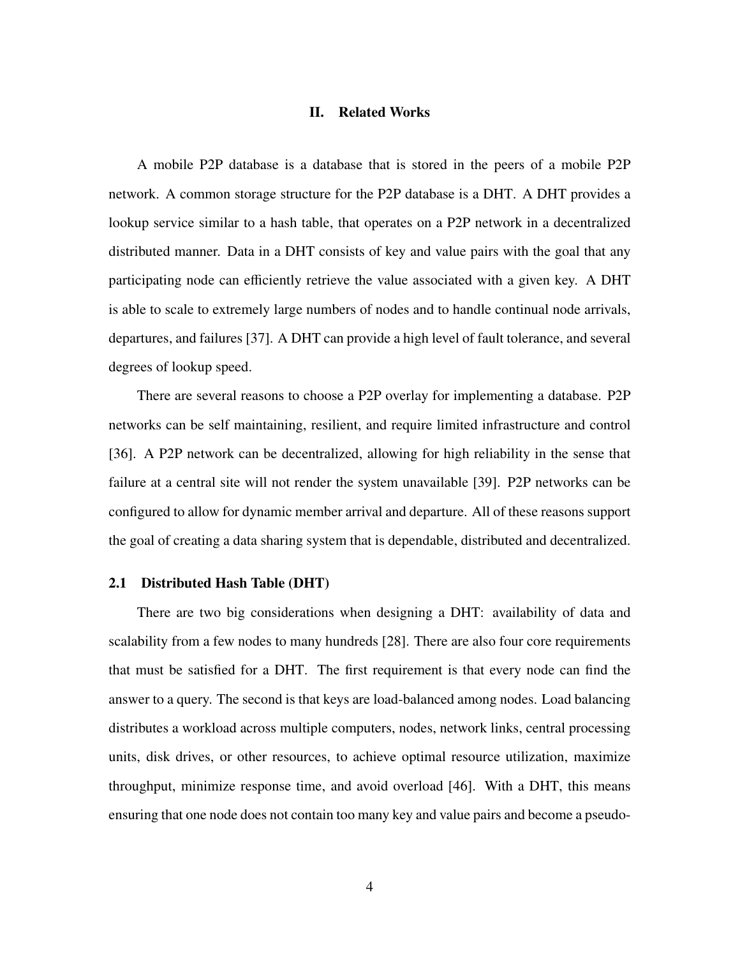## II. Related Works

A mobile P2P database is a database that is stored in the peers of a mobile P2P network. A common storage structure for the P2P database is a DHT. A DHT provides a lookup service similar to a hash table, that operates on a P2P network in a decentralized distributed manner. Data in a DHT consists of key and value pairs with the goal that any participating node can efficiently retrieve the value associated with a given key. A DHT is able to scale to extremely large numbers of nodes and to handle continual node arrivals, departures, and failures [37]. A DHT can provide a high level of fault tolerance, and several degrees of lookup speed.

There are several reasons to choose a P2P overlay for implementing a database. P2P networks can be self maintaining, resilient, and require limited infrastructure and control [36]. A P2P network can be decentralized, allowing for high reliability in the sense that failure at a central site will not render the system unavailable [39]. P2P networks can be configured to allow for dynamic member arrival and departure. All of these reasons support the goal of creating a data sharing system that is dependable, distributed and decentralized.

#### 2.1 Distributed Hash Table (DHT)

There are two big considerations when designing a DHT: availability of data and scalability from a few nodes to many hundreds [28]. There are also four core requirements that must be satisfied for a DHT. The first requirement is that every node can find the answer to a query. The second is that keys are load-balanced among nodes. Load balancing distributes a workload across multiple computers, nodes, network links, central processing units, disk drives, or other resources, to achieve optimal resource utilization, maximize throughput, minimize response time, and avoid overload [46]. With a DHT, this means ensuring that one node does not contain too many key and value pairs and become a pseudo-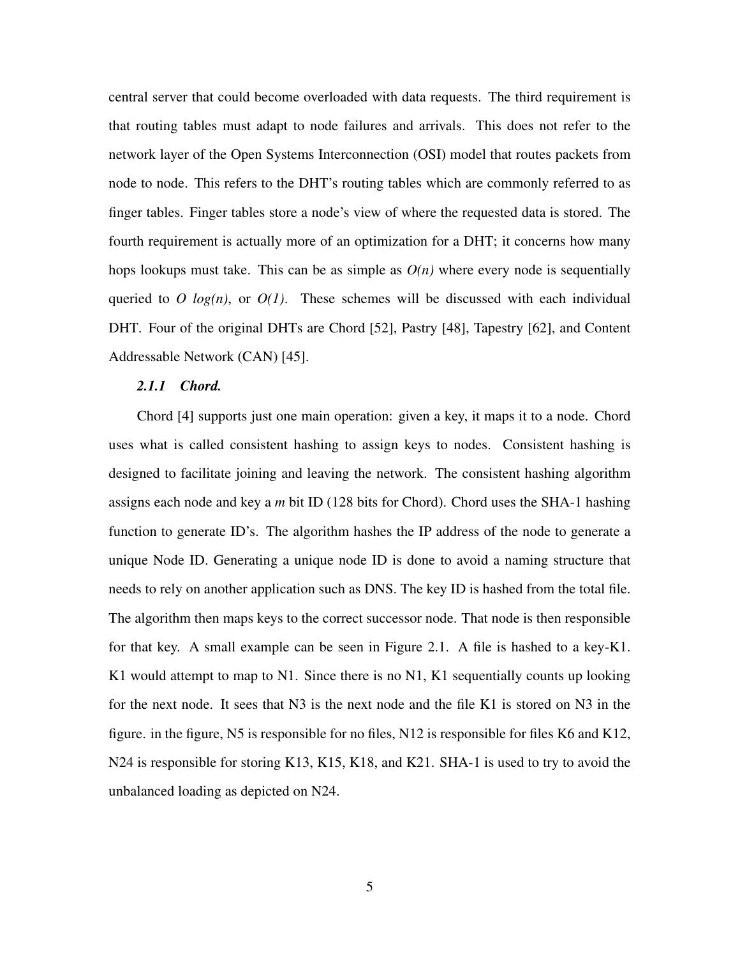central server that could become overloaded with data requests. The third requirement is that routing tables must adapt to node failures and arrivals. This does not refer to the network layer of the Open Systems Interconnection (OSI) model that routes packets from node to node. This refers to the DHT's routing tables which are commonly referred to as finger tables. Finger tables store a node's view of where the requested data is stored. The fourth requirement is actually more of an optimization for a DHT; it concerns how many hops lookups must take. This can be as simple as  $O(n)$  where every node is sequentially queried to  $O \log(n)$ , or  $O(1)$ . These schemes will be discussed with each individual DHT. Four of the original DHTs are Chord [52], Pastry [48], Tapestry [62], and Content Addressable Network (CAN) [45].

## *2.1.1 Chord.*

Chord [4] supports just one main operation: given a key, it maps it to a node. Chord uses what is called consistent hashing to assign keys to nodes. Consistent hashing is designed to facilitate joining and leaving the network. The consistent hashing algorithm assigns each node and key a *m* bit ID (128 bits for Chord). Chord uses the SHA-1 hashing function to generate ID's. The algorithm hashes the IP address of the node to generate a unique Node ID. Generating a unique node ID is done to avoid a naming structure that needs to rely on another application such as DNS. The key ID is hashed from the total file. The algorithm then maps keys to the correct successor node. That node is then responsible for that key. A small example can be seen in Figure 2.1. A file is hashed to a key-K1. K1 would attempt to map to N1. Since there is no N1, K1 sequentially counts up looking for the next node. It sees that N3 is the next node and the file K1 is stored on N3 in the figure. in the figure, N5 is responsible for no files, N12 is responsible for files K6 and K12, N24 is responsible for storing K13, K15, K18, and K21. SHA-1 is used to try to avoid the unbalanced loading as depicted on N24.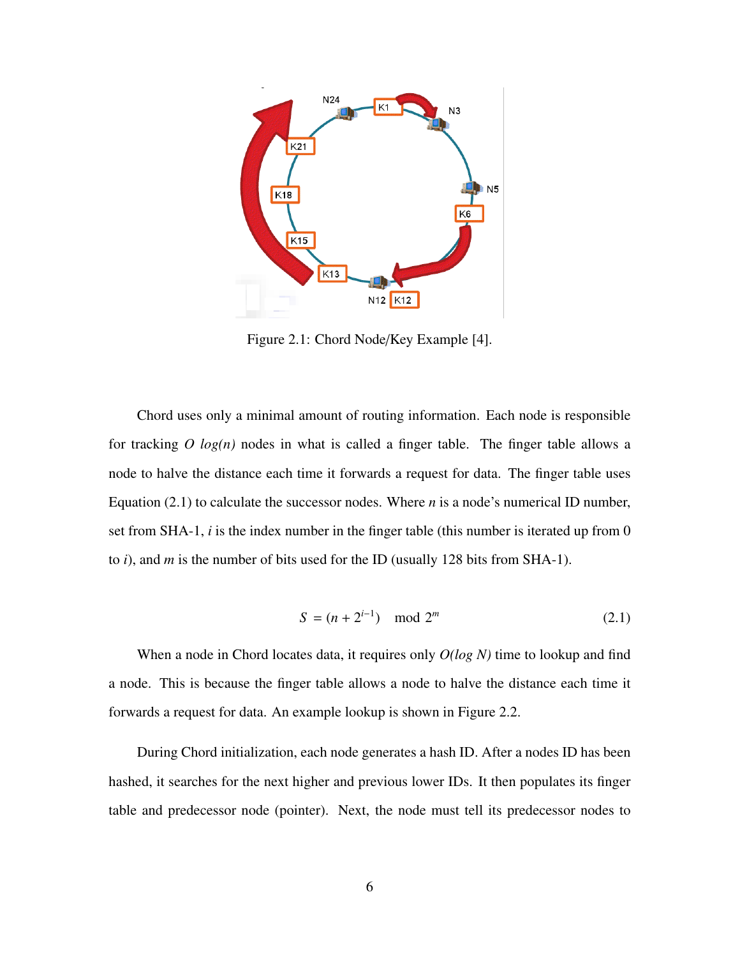

Figure 2.1: Chord Node/Key Example [4].

Chord uses only a minimal amount of routing information. Each node is responsible for tracking *O log(n)* nodes in what is called a finger table. The finger table allows a node to halve the distance each time it forwards a request for data. The finger table uses Equation (2.1) to calculate the successor nodes. Where *n* is a node's numerical ID number, set from SHA-1, *i* is the index number in the finger table (this number is iterated up from 0 to *i*), and *m* is the number of bits used for the ID (usually 128 bits from SHA-1).

$$
S = (n + 2^{i-1}) \mod 2^m
$$
 (2.1)

When a node in Chord locates data, it requires only *O(log N)* time to lookup and find a node. This is because the finger table allows a node to halve the distance each time it forwards a request for data. An example lookup is shown in Figure 2.2.

During Chord initialization, each node generates a hash ID. After a nodes ID has been hashed, it searches for the next higher and previous lower IDs. It then populates its finger table and predecessor node (pointer). Next, the node must tell its predecessor nodes to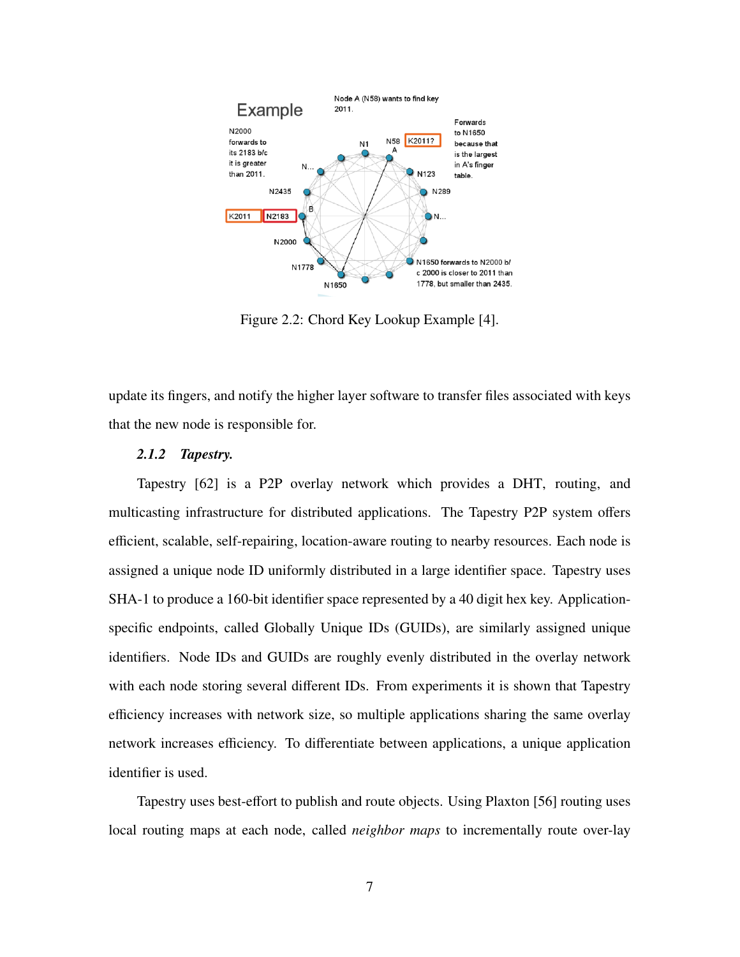

Figure 2.2: Chord Key Lookup Example [4].

update its fingers, and notify the higher layer software to transfer files associated with keys that the new node is responsible for.

## *2.1.2 Tapestry.*

Tapestry [62] is a P2P overlay network which provides a DHT, routing, and multicasting infrastructure for distributed applications. The Tapestry P2P system offers efficient, scalable, self-repairing, location-aware routing to nearby resources. Each node is assigned a unique node ID uniformly distributed in a large identifier space. Tapestry uses SHA-1 to produce a 160-bit identifier space represented by a 40 digit hex key. Applicationspecific endpoints, called Globally Unique IDs (GUIDs), are similarly assigned unique identifiers. Node IDs and GUIDs are roughly evenly distributed in the overlay network with each node storing several different IDs. From experiments it is shown that Tapestry efficiency increases with network size, so multiple applications sharing the same overlay network increases efficiency. To differentiate between applications, a unique application identifier is used.

Tapestry uses best-effort to publish and route objects. Using Plaxton [56] routing uses local routing maps at each node, called *neighbor maps* to incrementally route over-lay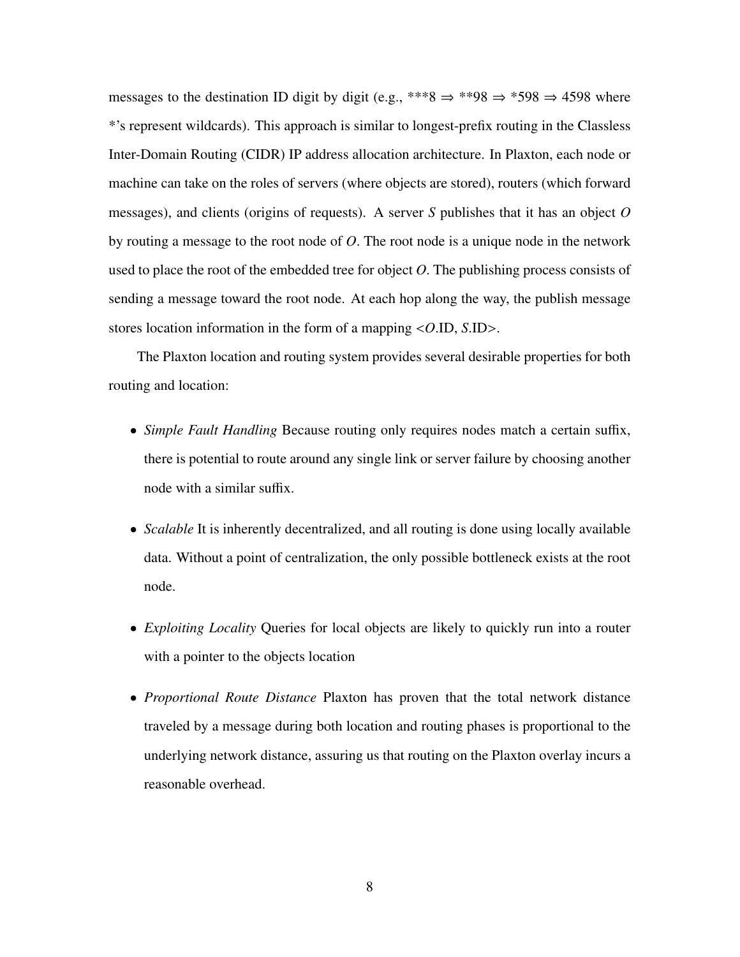messages to the destination ID digit by digit (e.g., \*\*\*8  $\Rightarrow$  \*\*98  $\Rightarrow$  \*598  $\Rightarrow$  4598 where \*'s represent wildcards). This approach is similar to longest-prefix routing in the Classless Inter-Domain Routing (CIDR) IP address allocation architecture. In Plaxton, each node or machine can take on the roles of servers (where objects are stored), routers (which forward messages), and clients (origins of requests). A server *S* publishes that it has an object *O* by routing a message to the root node of *O*. The root node is a unique node in the network used to place the root of the embedded tree for object *O*. The publishing process consists of sending a message toward the root node. At each hop along the way, the publish message stores location information in the form of a mapping <*O*.ID, *<sup>S</sup>*.ID>.

The Plaxton location and routing system provides several desirable properties for both routing and location:

- *Simple Fault Handling* Because routing only requires nodes match a certain suffix, there is potential to route around any single link or server failure by choosing another node with a similar suffix.
- *Scalable* It is inherently decentralized, and all routing is done using locally available data. Without a point of centralization, the only possible bottleneck exists at the root node.
- *Exploiting Locality* Queries for local objects are likely to quickly run into a router with a pointer to the objects location
- *Proportional Route Distance* Plaxton has proven that the total network distance traveled by a message during both location and routing phases is proportional to the underlying network distance, assuring us that routing on the Plaxton overlay incurs a reasonable overhead.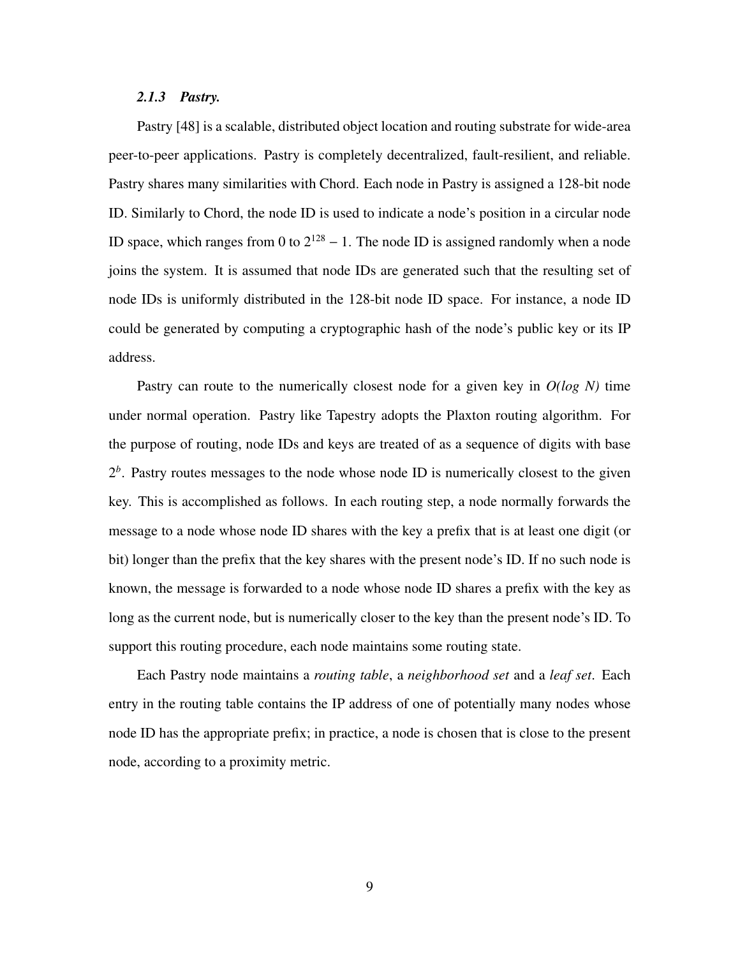#### *2.1.3 Pastry.*

Pastry [48] is a scalable, distributed object location and routing substrate for wide-area peer-to-peer applications. Pastry is completely decentralized, fault-resilient, and reliable. Pastry shares many similarities with Chord. Each node in Pastry is assigned a 128-bit node ID. Similarly to Chord, the node ID is used to indicate a node's position in a circular node ID space, which ranges from 0 to  $2^{128} - 1$ . The node ID is assigned randomly when a node joins the system. It is assumed that node IDs are generated such that the resulting set of node IDs is uniformly distributed in the 128-bit node ID space. For instance, a node ID could be generated by computing a cryptographic hash of the node's public key or its IP address.

Pastry can route to the numerically closest node for a given key in *O(log N)* time under normal operation. Pastry like Tapestry adopts the Plaxton routing algorithm. For the purpose of routing, node IDs and keys are treated of as a sequence of digits with base  $2<sup>b</sup>$ . Pastry routes messages to the node whose node ID is numerically closest to the given key. This is accomplished as follows. In each routing step, a node normally forwards the message to a node whose node ID shares with the key a prefix that is at least one digit (or bit) longer than the prefix that the key shares with the present node's ID. If no such node is known, the message is forwarded to a node whose node ID shares a prefix with the key as long as the current node, but is numerically closer to the key than the present node's ID. To support this routing procedure, each node maintains some routing state.

Each Pastry node maintains a *routing table*, a *neighborhood set* and a *leaf set*. Each entry in the routing table contains the IP address of one of potentially many nodes whose node ID has the appropriate prefix; in practice, a node is chosen that is close to the present node, according to a proximity metric.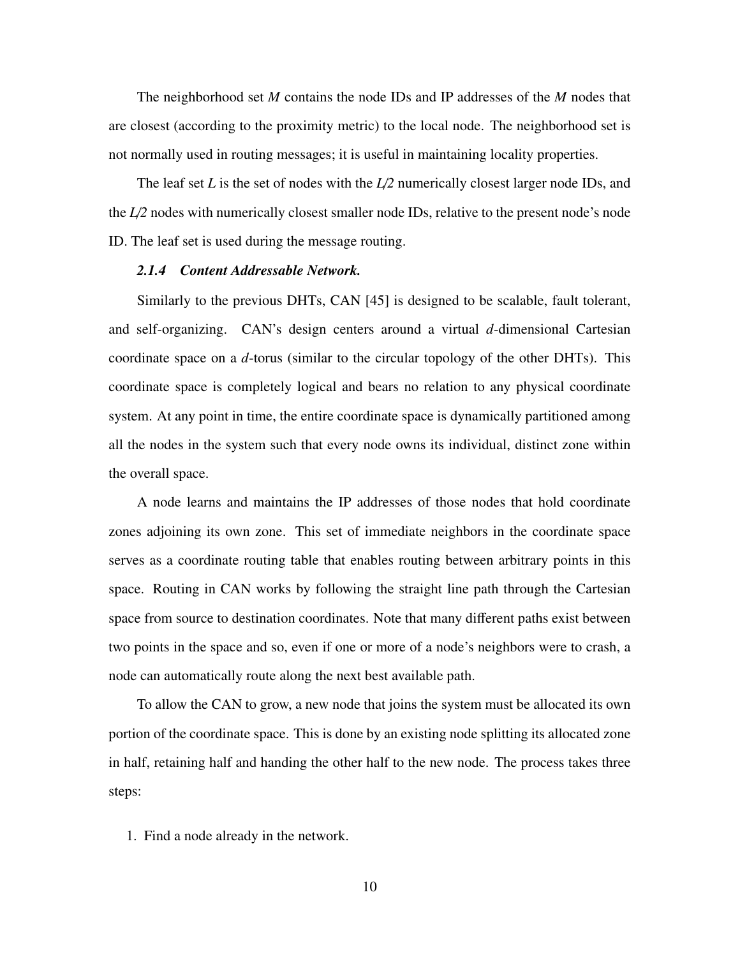The neighborhood set *M* contains the node IDs and IP addresses of the *M* nodes that are closest (according to the proximity metric) to the local node. The neighborhood set is not normally used in routing messages; it is useful in maintaining locality properties.

The leaf set *L* is the set of nodes with the *L*/*2* numerically closest larger node IDs, and the *L*/*2* nodes with numerically closest smaller node IDs, relative to the present node's node ID. The leaf set is used during the message routing.

#### *2.1.4 Content Addressable Network.*

Similarly to the previous DHTs, CAN [45] is designed to be scalable, fault tolerant, and self-organizing. CAN's design centers around a virtual *d*-dimensional Cartesian coordinate space on a *d*-torus (similar to the circular topology of the other DHTs). This coordinate space is completely logical and bears no relation to any physical coordinate system. At any point in time, the entire coordinate space is dynamically partitioned among all the nodes in the system such that every node owns its individual, distinct zone within the overall space.

A node learns and maintains the IP addresses of those nodes that hold coordinate zones adjoining its own zone. This set of immediate neighbors in the coordinate space serves as a coordinate routing table that enables routing between arbitrary points in this space. Routing in CAN works by following the straight line path through the Cartesian space from source to destination coordinates. Note that many different paths exist between two points in the space and so, even if one or more of a node's neighbors were to crash, a node can automatically route along the next best available path.

To allow the CAN to grow, a new node that joins the system must be allocated its own portion of the coordinate space. This is done by an existing node splitting its allocated zone in half, retaining half and handing the other half to the new node. The process takes three steps:

1. Find a node already in the network.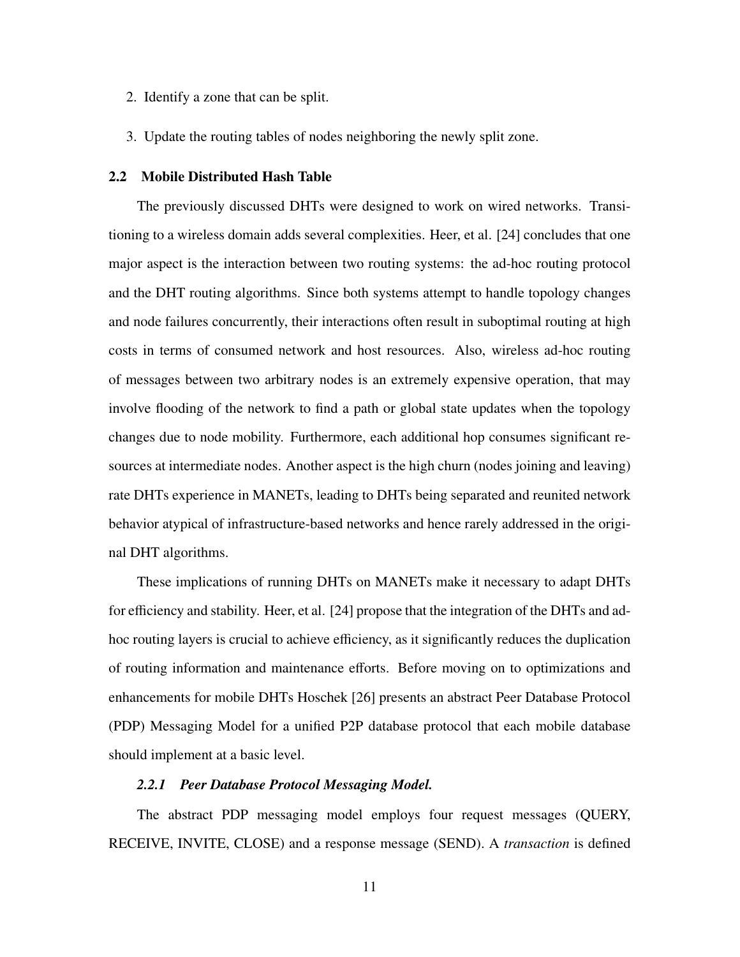- 2. Identify a zone that can be split.
- 3. Update the routing tables of nodes neighboring the newly split zone.

#### 2.2 Mobile Distributed Hash Table

The previously discussed DHTs were designed to work on wired networks. Transitioning to a wireless domain adds several complexities. Heer, et al. [24] concludes that one major aspect is the interaction between two routing systems: the ad-hoc routing protocol and the DHT routing algorithms. Since both systems attempt to handle topology changes and node failures concurrently, their interactions often result in suboptimal routing at high costs in terms of consumed network and host resources. Also, wireless ad-hoc routing of messages between two arbitrary nodes is an extremely expensive operation, that may involve flooding of the network to find a path or global state updates when the topology changes due to node mobility. Furthermore, each additional hop consumes significant resources at intermediate nodes. Another aspect is the high churn (nodes joining and leaving) rate DHTs experience in MANETs, leading to DHTs being separated and reunited network behavior atypical of infrastructure-based networks and hence rarely addressed in the original DHT algorithms.

These implications of running DHTs on MANETs make it necessary to adapt DHTs for efficiency and stability. Heer, et al. [24] propose that the integration of the DHTs and adhoc routing layers is crucial to achieve efficiency, as it significantly reduces the duplication of routing information and maintenance efforts. Before moving on to optimizations and enhancements for mobile DHTs Hoschek [26] presents an abstract Peer Database Protocol (PDP) Messaging Model for a unified P2P database protocol that each mobile database should implement at a basic level.

## *2.2.1 Peer Database Protocol Messaging Model.*

The abstract PDP messaging model employs four request messages (QUERY, RECEIVE, INVITE, CLOSE) and a response message (SEND). A *transaction* is defined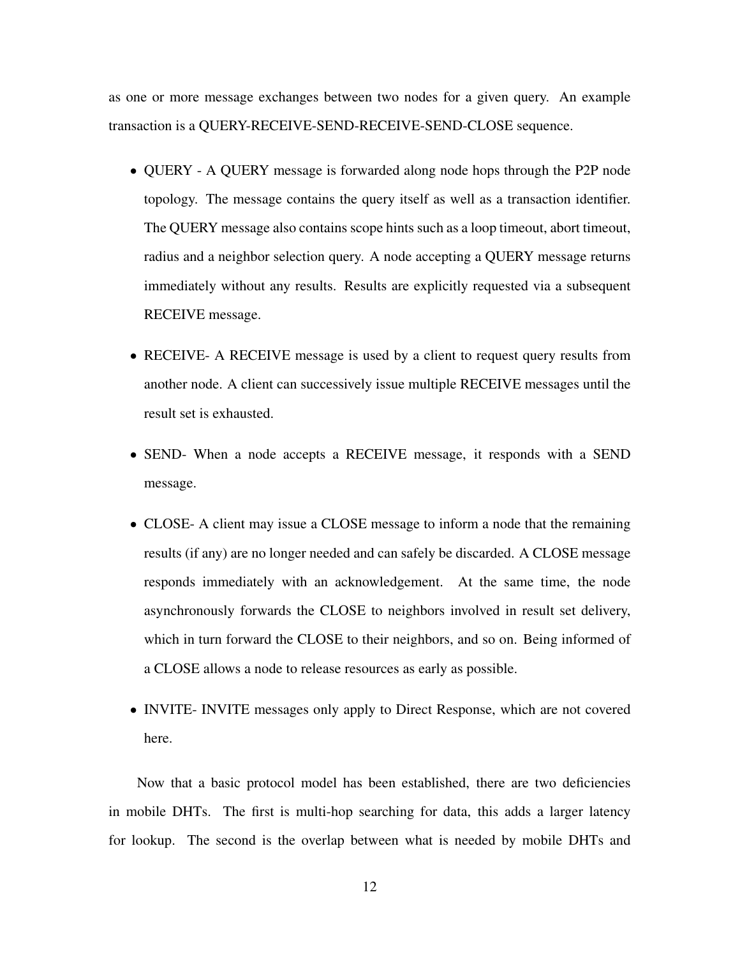as one or more message exchanges between two nodes for a given query. An example transaction is a QUERY-RECEIVE-SEND-RECEIVE-SEND-CLOSE sequence.

- QUERY A QUERY message is forwarded along node hops through the P2P node topology. The message contains the query itself as well as a transaction identifier. The QUERY message also contains scope hints such as a loop timeout, abort timeout, radius and a neighbor selection query. A node accepting a QUERY message returns immediately without any results. Results are explicitly requested via a subsequent RECEIVE message.
- RECEIVE- A RECEIVE message is used by a client to request query results from another node. A client can successively issue multiple RECEIVE messages until the result set is exhausted.
- SEND- When a node accepts a RECEIVE message, it responds with a SEND message.
- CLOSE- A client may issue a CLOSE message to inform a node that the remaining results (if any) are no longer needed and can safely be discarded. A CLOSE message responds immediately with an acknowledgement. At the same time, the node asynchronously forwards the CLOSE to neighbors involved in result set delivery, which in turn forward the CLOSE to their neighbors, and so on. Being informed of a CLOSE allows a node to release resources as early as possible.
- INVITE- INVITE messages only apply to Direct Response, which are not covered here.

Now that a basic protocol model has been established, there are two deficiencies in mobile DHTs. The first is multi-hop searching for data, this adds a larger latency for lookup. The second is the overlap between what is needed by mobile DHTs and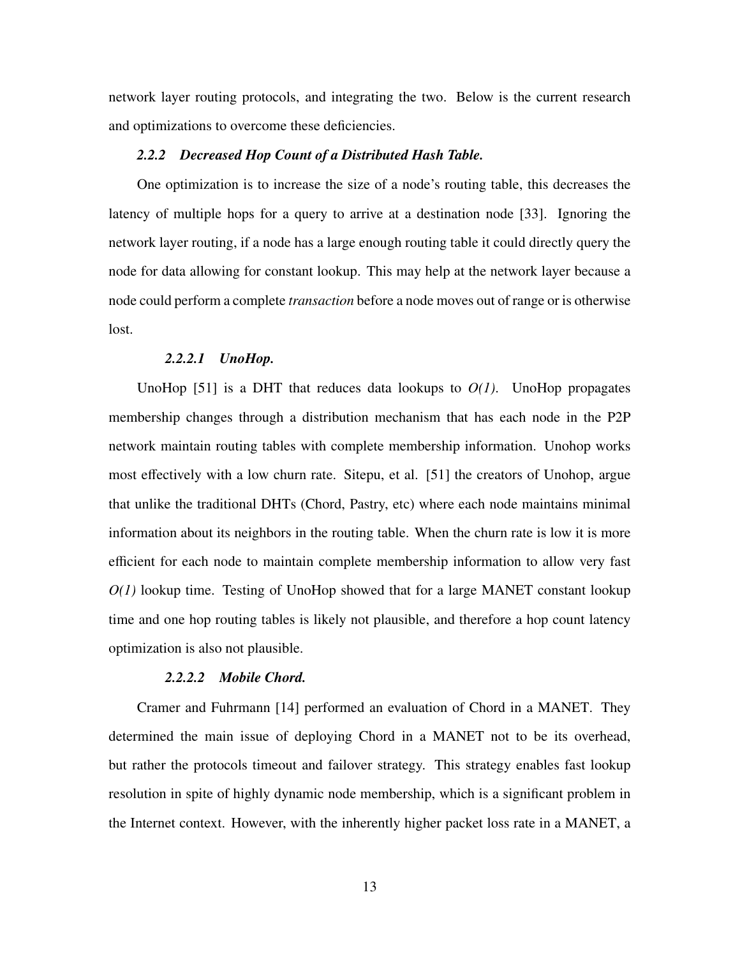network layer routing protocols, and integrating the two. Below is the current research and optimizations to overcome these deficiencies.

### *2.2.2 Decreased Hop Count of a Distributed Hash Table.*

One optimization is to increase the size of a node's routing table, this decreases the latency of multiple hops for a query to arrive at a destination node [33]. Ignoring the network layer routing, if a node has a large enough routing table it could directly query the node for data allowing for constant lookup. This may help at the network layer because a node could perform a complete *transaction* before a node moves out of range or is otherwise lost.

## *2.2.2.1 UnoHop.*

UnoHop [51] is a DHT that reduces data lookups to  $O(1)$ . UnoHop propagates membership changes through a distribution mechanism that has each node in the P2P network maintain routing tables with complete membership information. Unohop works most effectively with a low churn rate. Sitepu, et al. [51] the creators of Unohop, argue that unlike the traditional DHTs (Chord, Pastry, etc) where each node maintains minimal information about its neighbors in the routing table. When the churn rate is low it is more efficient for each node to maintain complete membership information to allow very fast *O(1)* lookup time. Testing of UnoHop showed that for a large MANET constant lookup time and one hop routing tables is likely not plausible, and therefore a hop count latency optimization is also not plausible.

### *2.2.2.2 Mobile Chord.*

Cramer and Fuhrmann [14] performed an evaluation of Chord in a MANET. They determined the main issue of deploying Chord in a MANET not to be its overhead, but rather the protocols timeout and failover strategy. This strategy enables fast lookup resolution in spite of highly dynamic node membership, which is a significant problem in the Internet context. However, with the inherently higher packet loss rate in a MANET, a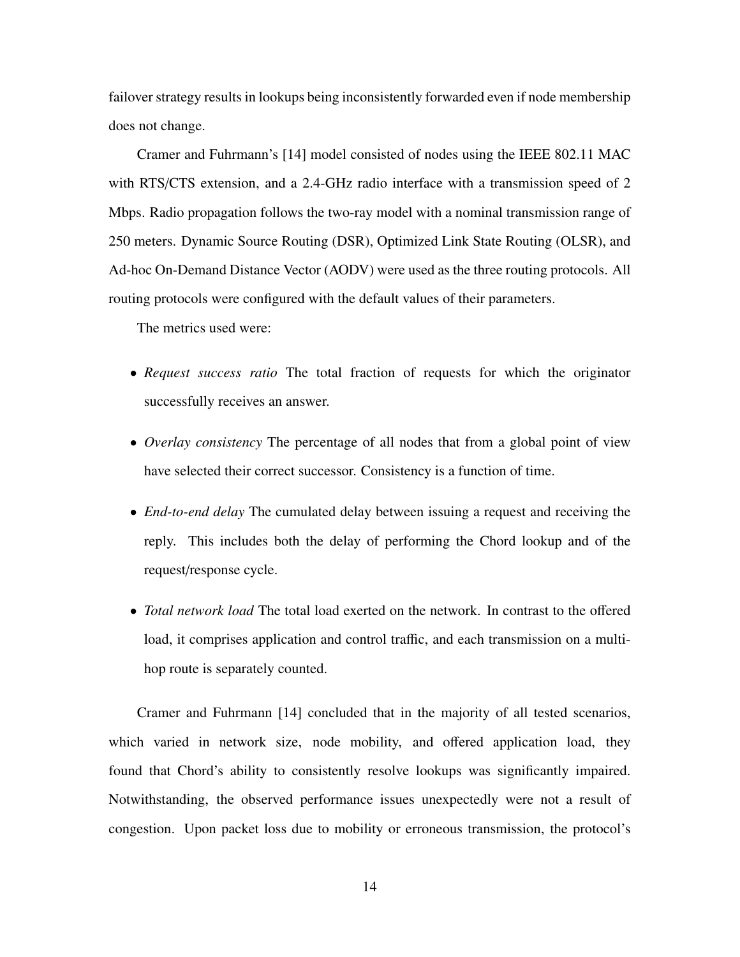failover strategy results in lookups being inconsistently forwarded even if node membership does not change.

Cramer and Fuhrmann's [14] model consisted of nodes using the IEEE 802.11 MAC with RTS/CTS extension, and a 2.4-GHz radio interface with a transmission speed of 2 Mbps. Radio propagation follows the two-ray model with a nominal transmission range of 250 meters. Dynamic Source Routing (DSR), Optimized Link State Routing (OLSR), and Ad-hoc On-Demand Distance Vector (AODV) were used as the three routing protocols. All routing protocols were configured with the default values of their parameters.

The metrics used were:

- *Request success ratio* The total fraction of requests for which the originator successfully receives an answer.
- *Overlay consistency* The percentage of all nodes that from a global point of view have selected their correct successor. Consistency is a function of time.
- *End-to-end delay* The cumulated delay between issuing a request and receiving the reply. This includes both the delay of performing the Chord lookup and of the request/response cycle.
- *Total network load* The total load exerted on the network. In contrast to the offered load, it comprises application and control traffic, and each transmission on a multihop route is separately counted.

Cramer and Fuhrmann [14] concluded that in the majority of all tested scenarios, which varied in network size, node mobility, and offered application load, they found that Chord's ability to consistently resolve lookups was significantly impaired. Notwithstanding, the observed performance issues unexpectedly were not a result of congestion. Upon packet loss due to mobility or erroneous transmission, the protocol's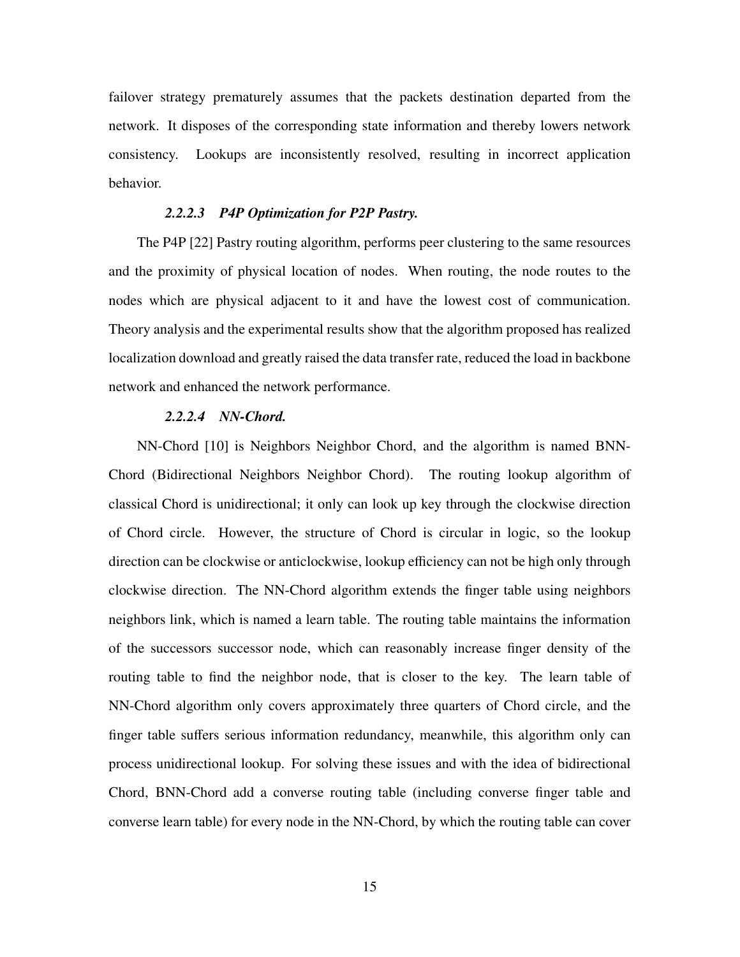failover strategy prematurely assumes that the packets destination departed from the network. It disposes of the corresponding state information and thereby lowers network consistency. Lookups are inconsistently resolved, resulting in incorrect application behavior.

## *2.2.2.3 P4P Optimization for P2P Pastry.*

The P4P [22] Pastry routing algorithm, performs peer clustering to the same resources and the proximity of physical location of nodes. When routing, the node routes to the nodes which are physical adjacent to it and have the lowest cost of communication. Theory analysis and the experimental results show that the algorithm proposed has realized localization download and greatly raised the data transfer rate, reduced the load in backbone network and enhanced the network performance.

## *2.2.2.4 NN-Chord.*

NN-Chord [10] is Neighbors Neighbor Chord, and the algorithm is named BNN-Chord (Bidirectional Neighbors Neighbor Chord). The routing lookup algorithm of classical Chord is unidirectional; it only can look up key through the clockwise direction of Chord circle. However, the structure of Chord is circular in logic, so the lookup direction can be clockwise or anticlockwise, lookup efficiency can not be high only through clockwise direction. The NN-Chord algorithm extends the finger table using neighbors neighbors link, which is named a learn table. The routing table maintains the information of the successors successor node, which can reasonably increase finger density of the routing table to find the neighbor node, that is closer to the key. The learn table of NN-Chord algorithm only covers approximately three quarters of Chord circle, and the finger table suffers serious information redundancy, meanwhile, this algorithm only can process unidirectional lookup. For solving these issues and with the idea of bidirectional Chord, BNN-Chord add a converse routing table (including converse finger table and converse learn table) for every node in the NN-Chord, by which the routing table can cover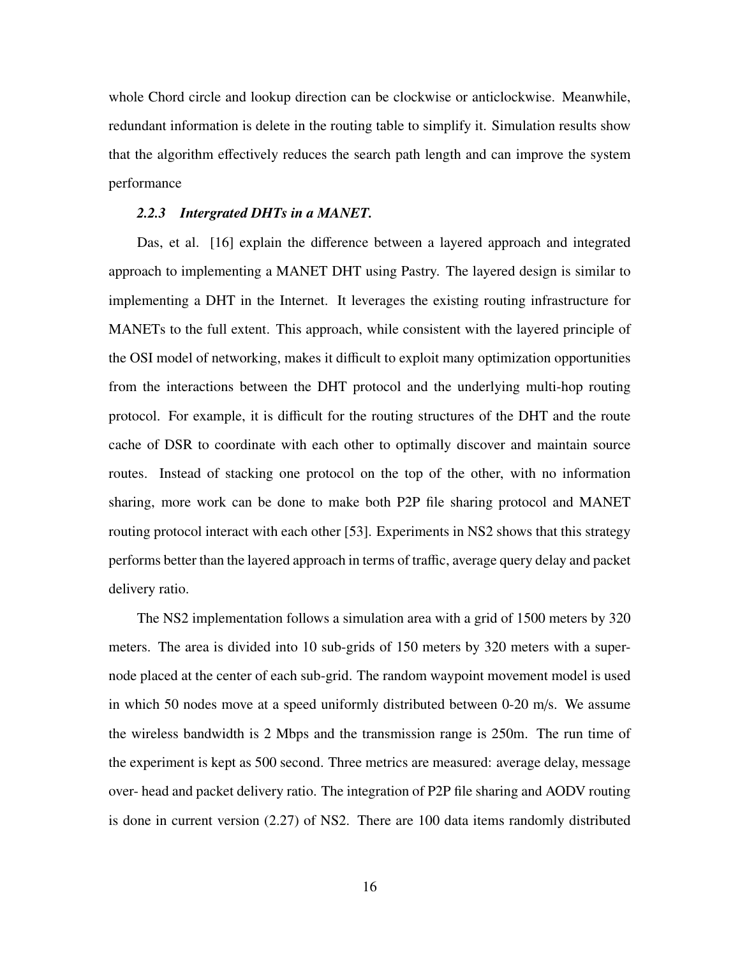whole Chord circle and lookup direction can be clockwise or anticlockwise. Meanwhile, redundant information is delete in the routing table to simplify it. Simulation results show that the algorithm effectively reduces the search path length and can improve the system performance

## *2.2.3 Intergrated DHTs in a MANET.*

Das, et al. [16] explain the difference between a layered approach and integrated approach to implementing a MANET DHT using Pastry. The layered design is similar to implementing a DHT in the Internet. It leverages the existing routing infrastructure for MANETs to the full extent. This approach, while consistent with the layered principle of the OSI model of networking, makes it difficult to exploit many optimization opportunities from the interactions between the DHT protocol and the underlying multi-hop routing protocol. For example, it is difficult for the routing structures of the DHT and the route cache of DSR to coordinate with each other to optimally discover and maintain source routes. Instead of stacking one protocol on the top of the other, with no information sharing, more work can be done to make both P2P file sharing protocol and MANET routing protocol interact with each other [53]. Experiments in NS2 shows that this strategy performs better than the layered approach in terms of traffic, average query delay and packet delivery ratio.

The NS2 implementation follows a simulation area with a grid of 1500 meters by 320 meters. The area is divided into 10 sub-grids of 150 meters by 320 meters with a supernode placed at the center of each sub-grid. The random waypoint movement model is used in which 50 nodes move at a speed uniformly distributed between 0-20 m/s. We assume the wireless bandwidth is 2 Mbps and the transmission range is 250m. The run time of the experiment is kept as 500 second. Three metrics are measured: average delay, message over- head and packet delivery ratio. The integration of P2P file sharing and AODV routing is done in current version (2.27) of NS2. There are 100 data items randomly distributed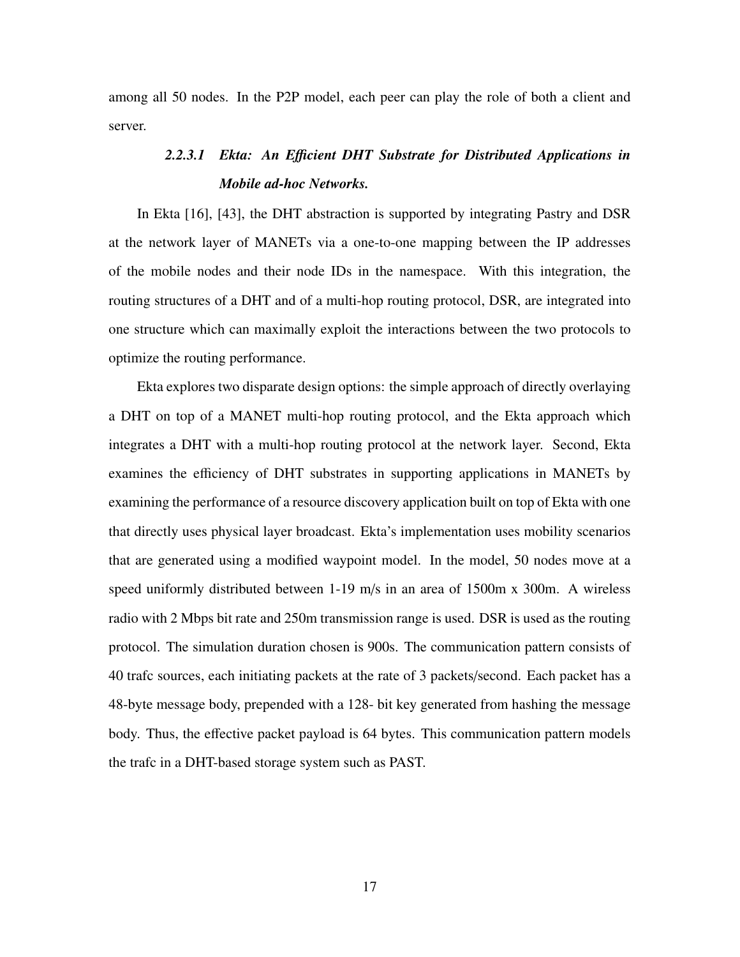among all 50 nodes. In the P2P model, each peer can play the role of both a client and server.

# *2.2.3.1 Ekta: An E*ffi*cient DHT Substrate for Distributed Applications in Mobile ad-hoc Networks.*

In Ekta [16], [43], the DHT abstraction is supported by integrating Pastry and DSR at the network layer of MANETs via a one-to-one mapping between the IP addresses of the mobile nodes and their node IDs in the namespace. With this integration, the routing structures of a DHT and of a multi-hop routing protocol, DSR, are integrated into one structure which can maximally exploit the interactions between the two protocols to optimize the routing performance.

Ekta explores two disparate design options: the simple approach of directly overlaying a DHT on top of a MANET multi-hop routing protocol, and the Ekta approach which integrates a DHT with a multi-hop routing protocol at the network layer. Second, Ekta examines the efficiency of DHT substrates in supporting applications in MANETs by examining the performance of a resource discovery application built on top of Ekta with one that directly uses physical layer broadcast. Ekta's implementation uses mobility scenarios that are generated using a modified waypoint model. In the model, 50 nodes move at a speed uniformly distributed between 1-19 m/s in an area of 1500m x 300m. A wireless radio with 2 Mbps bit rate and 250m transmission range is used. DSR is used as the routing protocol. The simulation duration chosen is 900s. The communication pattern consists of 40 trafc sources, each initiating packets at the rate of 3 packets/second. Each packet has a 48-byte message body, prepended with a 128- bit key generated from hashing the message body. Thus, the effective packet payload is 64 bytes. This communication pattern models the trafc in a DHT-based storage system such as PAST.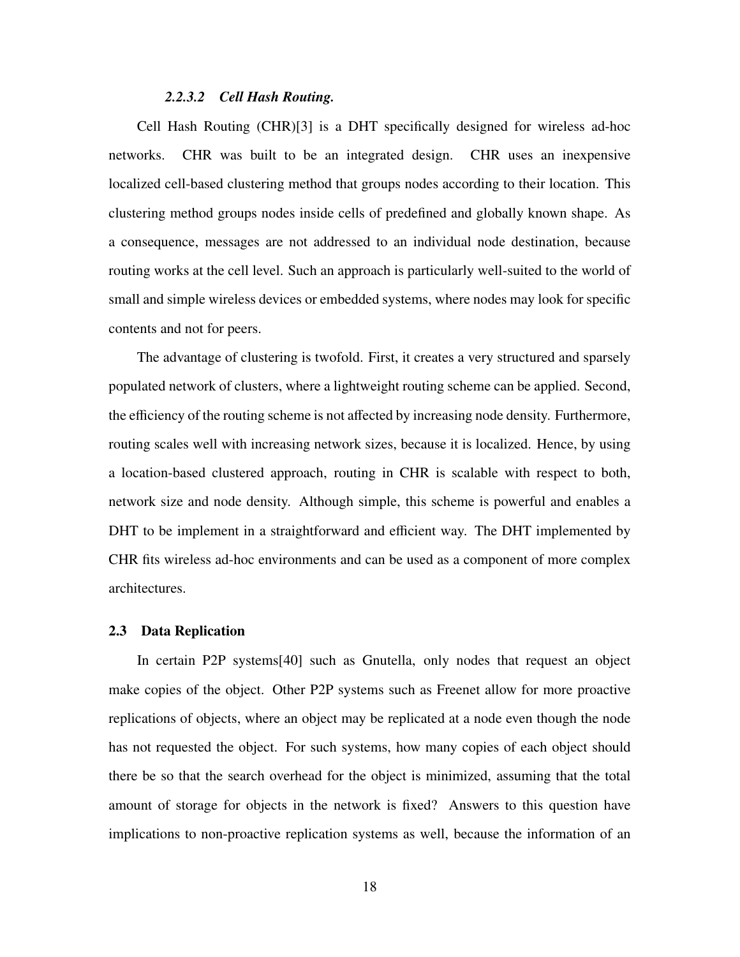#### *2.2.3.2 Cell Hash Routing.*

Cell Hash Routing (CHR)[3] is a DHT specifically designed for wireless ad-hoc networks. CHR was built to be an integrated design. CHR uses an inexpensive localized cell-based clustering method that groups nodes according to their location. This clustering method groups nodes inside cells of predefined and globally known shape. As a consequence, messages are not addressed to an individual node destination, because routing works at the cell level. Such an approach is particularly well-suited to the world of small and simple wireless devices or embedded systems, where nodes may look for specific contents and not for peers.

The advantage of clustering is twofold. First, it creates a very structured and sparsely populated network of clusters, where a lightweight routing scheme can be applied. Second, the efficiency of the routing scheme is not affected by increasing node density. Furthermore, routing scales well with increasing network sizes, because it is localized. Hence, by using a location-based clustered approach, routing in CHR is scalable with respect to both, network size and node density. Although simple, this scheme is powerful and enables a DHT to be implement in a straightforward and efficient way. The DHT implemented by CHR fits wireless ad-hoc environments and can be used as a component of more complex architectures.

#### 2.3 Data Replication

In certain P2P systems[40] such as Gnutella, only nodes that request an object make copies of the object. Other P2P systems such as Freenet allow for more proactive replications of objects, where an object may be replicated at a node even though the node has not requested the object. For such systems, how many copies of each object should there be so that the search overhead for the object is minimized, assuming that the total amount of storage for objects in the network is fixed? Answers to this question have implications to non-proactive replication systems as well, because the information of an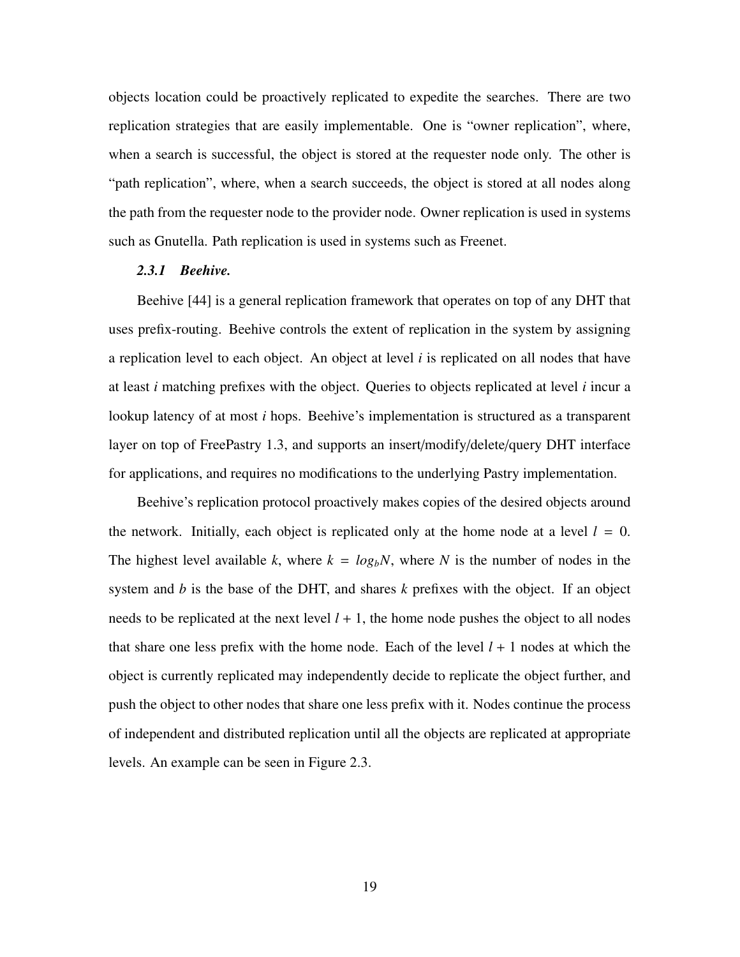objects location could be proactively replicated to expedite the searches. There are two replication strategies that are easily implementable. One is "owner replication", where, when a search is successful, the object is stored at the requester node only. The other is "path replication", where, when a search succeeds, the object is stored at all nodes along the path from the requester node to the provider node. Owner replication is used in systems such as Gnutella. Path replication is used in systems such as Freenet.

## *2.3.1 Beehive.*

Beehive [44] is a general replication framework that operates on top of any DHT that uses prefix-routing. Beehive controls the extent of replication in the system by assigning a replication level to each object. An object at level *i* is replicated on all nodes that have at least *i* matching prefixes with the object. Queries to objects replicated at level *i* incur a lookup latency of at most *i* hops. Beehive's implementation is structured as a transparent layer on top of FreePastry 1.3, and supports an insert/modify/delete/query DHT interface for applications, and requires no modifications to the underlying Pastry implementation.

Beehive's replication protocol proactively makes copies of the desired objects around the network. Initially, each object is replicated only at the home node at a level  $l = 0$ . The highest level available *k*, where  $k = log_b N$ , where *N* is the number of nodes in the system and *b* is the base of the DHT, and shares *k* prefixes with the object. If an object needs to be replicated at the next level  $l + 1$ , the home node pushes the object to all nodes that share one less prefix with the home node. Each of the level  $l + 1$  nodes at which the object is currently replicated may independently decide to replicate the object further, and push the object to other nodes that share one less prefix with it. Nodes continue the process of independent and distributed replication until all the objects are replicated at appropriate levels. An example can be seen in Figure 2.3.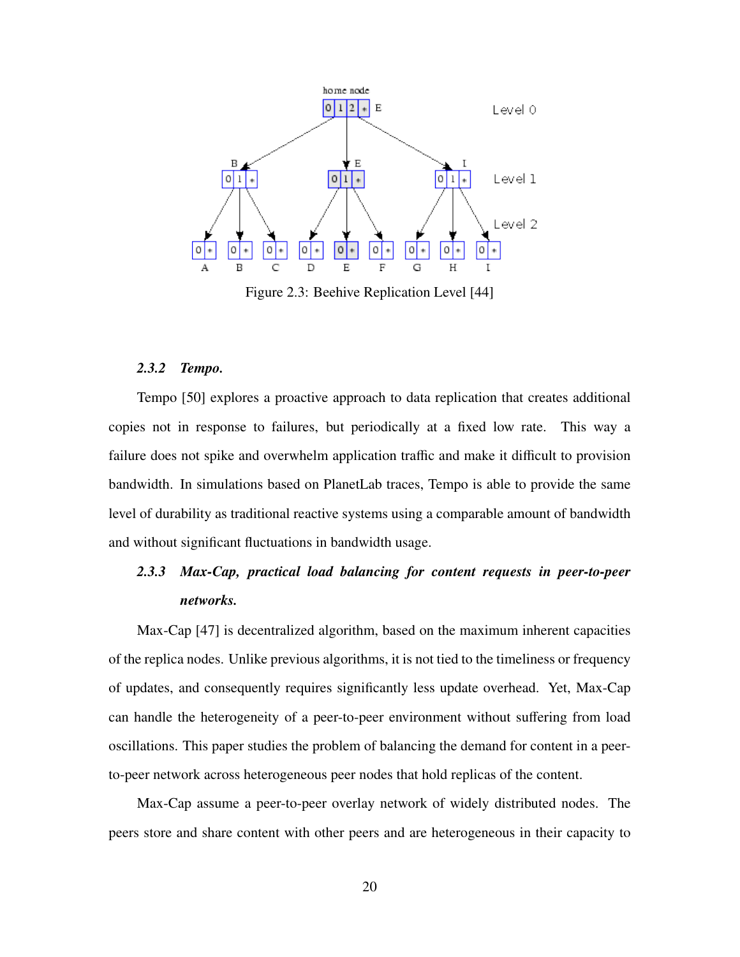

Figure 2.3: Beehive Replication Level [44]

## *2.3.2 Tempo.*

Tempo [50] explores a proactive approach to data replication that creates additional copies not in response to failures, but periodically at a fixed low rate. This way a failure does not spike and overwhelm application traffic and make it difficult to provision bandwidth. In simulations based on PlanetLab traces, Tempo is able to provide the same level of durability as traditional reactive systems using a comparable amount of bandwidth and without significant fluctuations in bandwidth usage.

## *2.3.3 Max-Cap, practical load balancing for content requests in peer-to-peer networks.*

Max-Cap [47] is decentralized algorithm, based on the maximum inherent capacities of the replica nodes. Unlike previous algorithms, it is not tied to the timeliness or frequency of updates, and consequently requires significantly less update overhead. Yet, Max-Cap can handle the heterogeneity of a peer-to-peer environment without suffering from load oscillations. This paper studies the problem of balancing the demand for content in a peerto-peer network across heterogeneous peer nodes that hold replicas of the content.

Max-Cap assume a peer-to-peer overlay network of widely distributed nodes. The peers store and share content with other peers and are heterogeneous in their capacity to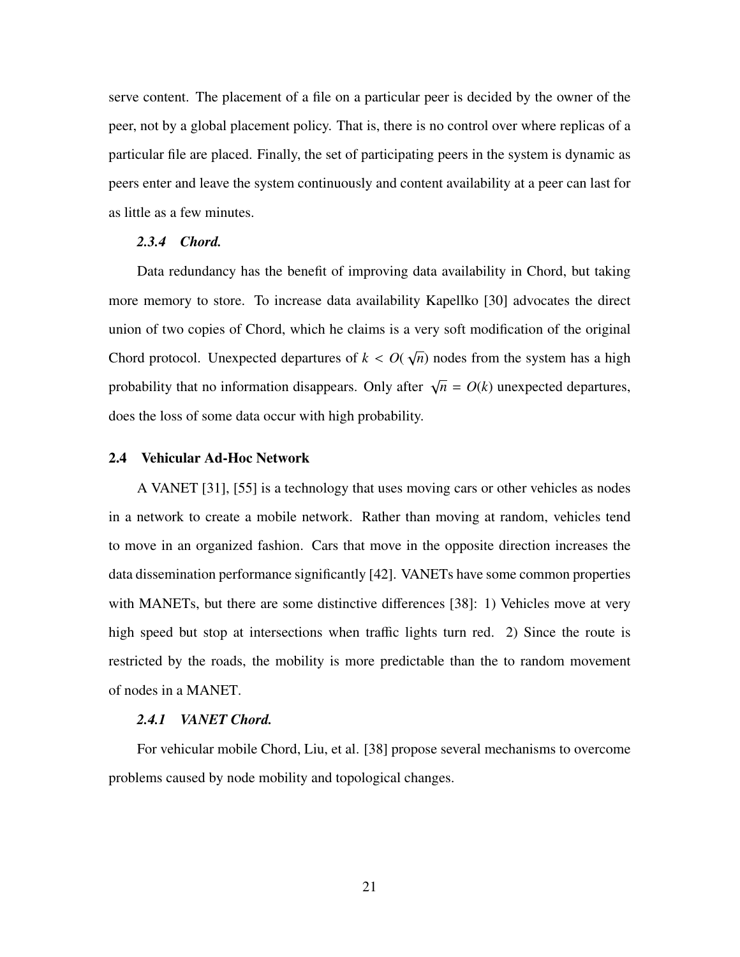serve content. The placement of a file on a particular peer is decided by the owner of the peer, not by a global placement policy. That is, there is no control over where replicas of a particular file are placed. Finally, the set of participating peers in the system is dynamic as peers enter and leave the system continuously and content availability at a peer can last for as little as a few minutes.

## *2.3.4 Chord.*

Data redundancy has the benefit of improving data availability in Chord, but taking more memory to store. To increase data availability Kapellko [30] advocates the direct union of two copies of Chord, which he claims is a very soft modification of the original Chord protocol. Unexpected departures of *<sup>k</sup>* < *<sup>O</sup>*( √ *n*) nodes from the system has a high probability that no information disappears. Only after  $\sqrt{n} = O(k)$  unexpected departures, does the loss of some data occur with high probability.

### 2.4 Vehicular Ad-Hoc Network

A VANET [31], [55] is a technology that uses moving cars or other vehicles as nodes in a network to create a mobile network. Rather than moving at random, vehicles tend to move in an organized fashion. Cars that move in the opposite direction increases the data dissemination performance significantly [42]. VANETs have some common properties with MANETs, but there are some distinctive differences [38]: 1) Vehicles move at very high speed but stop at intersections when traffic lights turn red. 2) Since the route is restricted by the roads, the mobility is more predictable than the to random movement of nodes in a MANET.

### *2.4.1 VANET Chord.*

For vehicular mobile Chord, Liu, et al. [38] propose several mechanisms to overcome problems caused by node mobility and topological changes.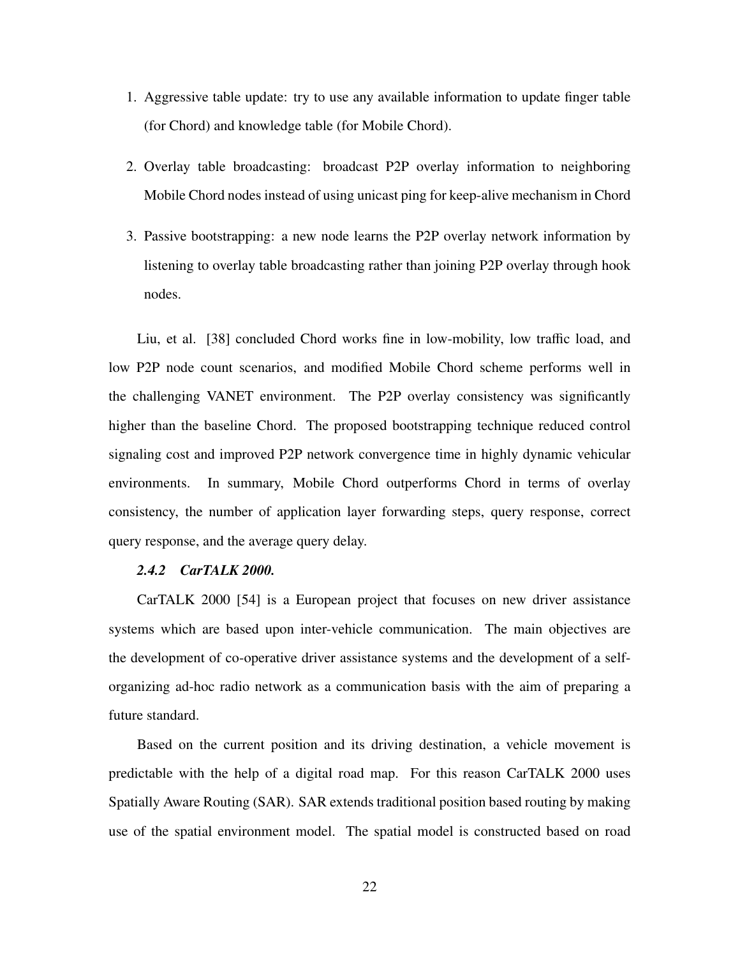- 1. Aggressive table update: try to use any available information to update finger table (for Chord) and knowledge table (for Mobile Chord).
- 2. Overlay table broadcasting: broadcast P2P overlay information to neighboring Mobile Chord nodes instead of using unicast ping for keep-alive mechanism in Chord
- 3. Passive bootstrapping: a new node learns the P2P overlay network information by listening to overlay table broadcasting rather than joining P2P overlay through hook nodes.

Liu, et al. [38] concluded Chord works fine in low-mobility, low traffic load, and low P2P node count scenarios, and modified Mobile Chord scheme performs well in the challenging VANET environment. The P2P overlay consistency was significantly higher than the baseline Chord. The proposed bootstrapping technique reduced control signaling cost and improved P2P network convergence time in highly dynamic vehicular environments. In summary, Mobile Chord outperforms Chord in terms of overlay consistency, the number of application layer forwarding steps, query response, correct query response, and the average query delay.

## *2.4.2 CarTALK 2000.*

CarTALK 2000 [54] is a European project that focuses on new driver assistance systems which are based upon inter-vehicle communication. The main objectives are the development of co-operative driver assistance systems and the development of a selforganizing ad-hoc radio network as a communication basis with the aim of preparing a future standard.

Based on the current position and its driving destination, a vehicle movement is predictable with the help of a digital road map. For this reason CarTALK 2000 uses Spatially Aware Routing (SAR). SAR extends traditional position based routing by making use of the spatial environment model. The spatial model is constructed based on road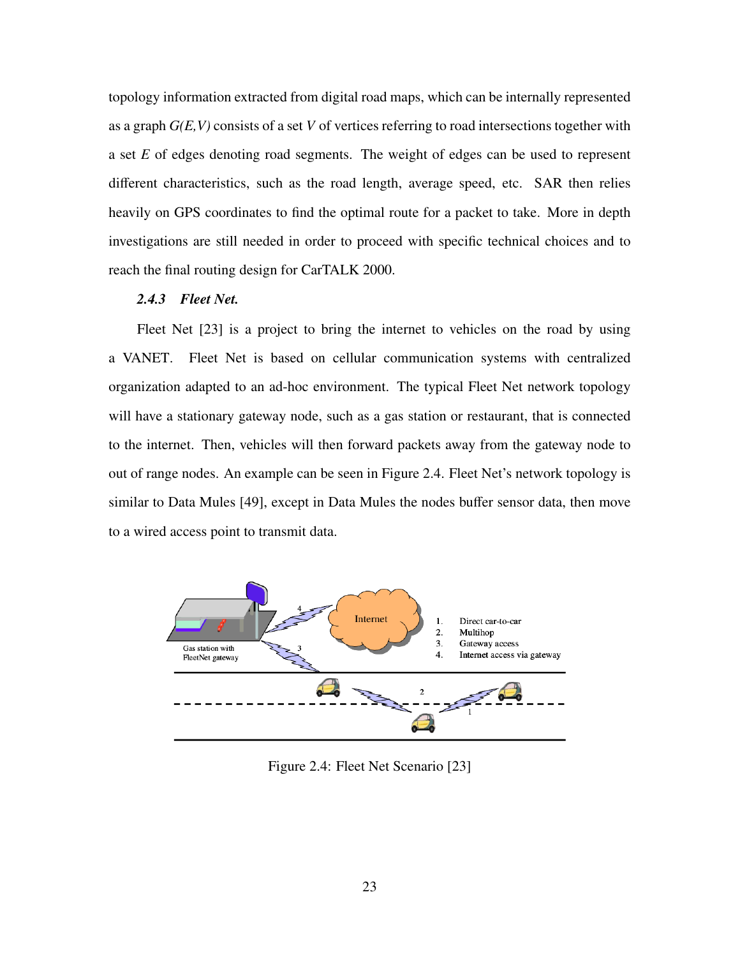topology information extracted from digital road maps, which can be internally represented as a graph *G(E,V)* consists of a set *V* of vertices referring to road intersections together with a set *E* of edges denoting road segments. The weight of edges can be used to represent different characteristics, such as the road length, average speed, etc. SAR then relies heavily on GPS coordinates to find the optimal route for a packet to take. More in depth investigations are still needed in order to proceed with specific technical choices and to reach the final routing design for CarTALK 2000.

## *2.4.3 Fleet Net.*

Fleet Net [23] is a project to bring the internet to vehicles on the road by using a VANET. Fleet Net is based on cellular communication systems with centralized organization adapted to an ad-hoc environment. The typical Fleet Net network topology will have a stationary gateway node, such as a gas station or restaurant, that is connected to the internet. Then, vehicles will then forward packets away from the gateway node to out of range nodes. An example can be seen in Figure 2.4. Fleet Net's network topology is similar to Data Mules [49], except in Data Mules the nodes buffer sensor data, then move to a wired access point to transmit data.



Figure 2.4: Fleet Net Scenario [23]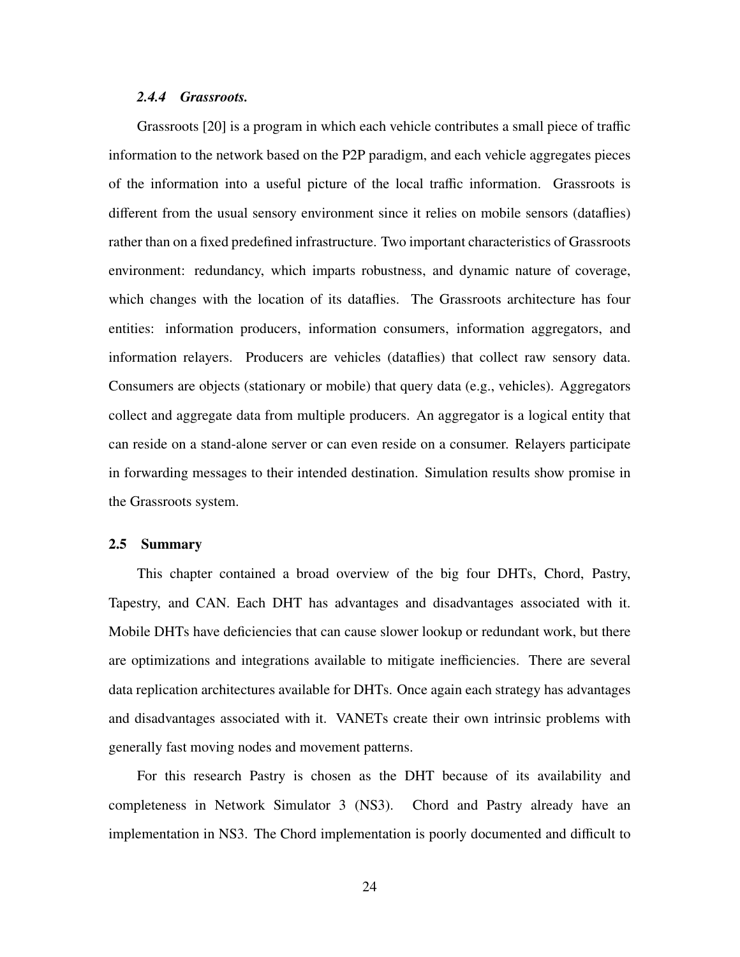#### *2.4.4 Grassroots.*

Grassroots [20] is a program in which each vehicle contributes a small piece of traffic information to the network based on the P2P paradigm, and each vehicle aggregates pieces of the information into a useful picture of the local traffic information. Grassroots is different from the usual sensory environment since it relies on mobile sensors (dataflies) rather than on a fixed predefined infrastructure. Two important characteristics of Grassroots environment: redundancy, which imparts robustness, and dynamic nature of coverage, which changes with the location of its dataflies. The Grassroots architecture has four entities: information producers, information consumers, information aggregators, and information relayers. Producers are vehicles (dataflies) that collect raw sensory data. Consumers are objects (stationary or mobile) that query data (e.g., vehicles). Aggregators collect and aggregate data from multiple producers. An aggregator is a logical entity that can reside on a stand-alone server or can even reside on a consumer. Relayers participate in forwarding messages to their intended destination. Simulation results show promise in the Grassroots system.

## 2.5 Summary

This chapter contained a broad overview of the big four DHTs, Chord, Pastry, Tapestry, and CAN. Each DHT has advantages and disadvantages associated with it. Mobile DHTs have deficiencies that can cause slower lookup or redundant work, but there are optimizations and integrations available to mitigate inefficiencies. There are several data replication architectures available for DHTs. Once again each strategy has advantages and disadvantages associated with it. VANETs create their own intrinsic problems with generally fast moving nodes and movement patterns.

For this research Pastry is chosen as the DHT because of its availability and completeness in Network Simulator 3 (NS3). Chord and Pastry already have an implementation in NS3. The Chord implementation is poorly documented and difficult to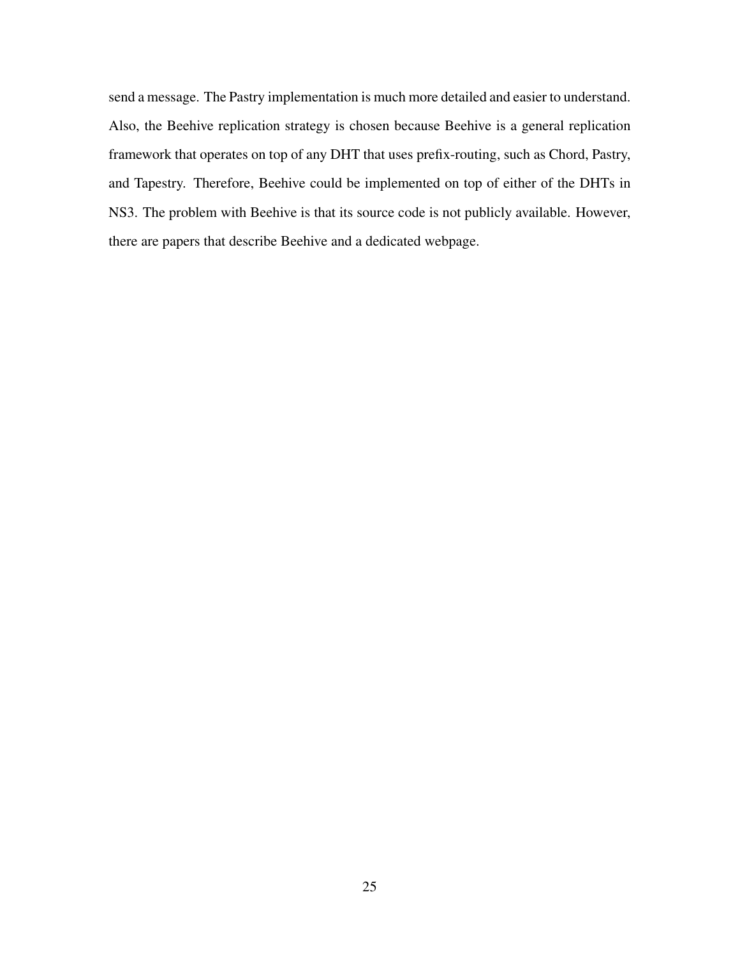send a message. The Pastry implementation is much more detailed and easier to understand. Also, the Beehive replication strategy is chosen because Beehive is a general replication framework that operates on top of any DHT that uses prefix-routing, such as Chord, Pastry, and Tapestry. Therefore, Beehive could be implemented on top of either of the DHTs in NS3. The problem with Beehive is that its source code is not publicly available. However, there are papers that describe Beehive and a dedicated webpage.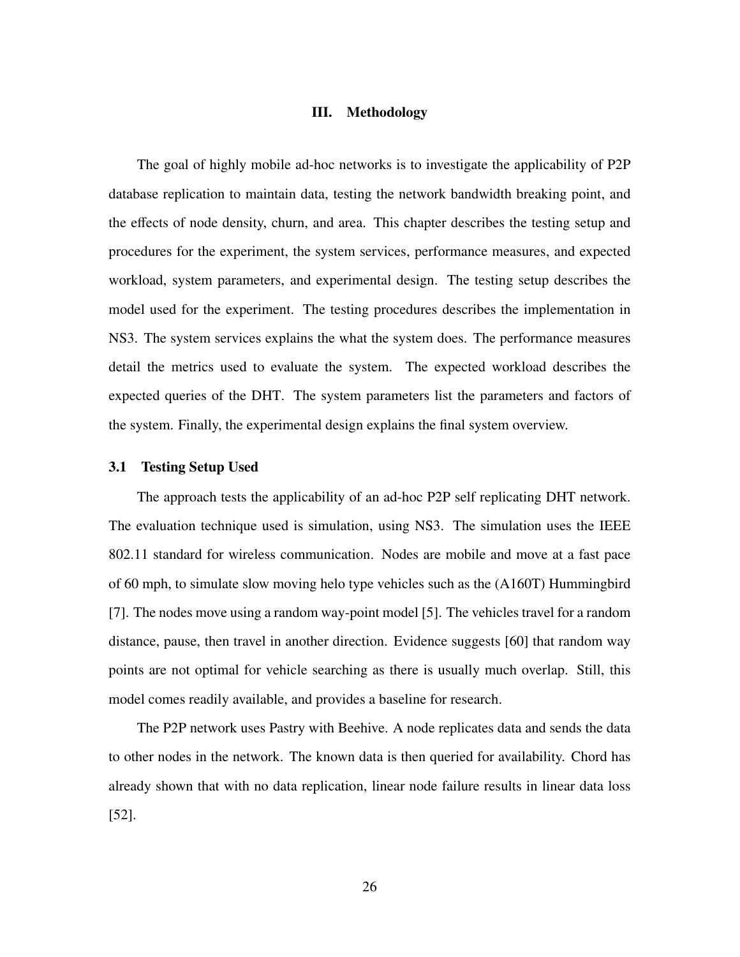## III. Methodology

The goal of highly mobile ad-hoc networks is to investigate the applicability of P2P database replication to maintain data, testing the network bandwidth breaking point, and the effects of node density, churn, and area. This chapter describes the testing setup and procedures for the experiment, the system services, performance measures, and expected workload, system parameters, and experimental design. The testing setup describes the model used for the experiment. The testing procedures describes the implementation in NS3. The system services explains the what the system does. The performance measures detail the metrics used to evaluate the system. The expected workload describes the expected queries of the DHT. The system parameters list the parameters and factors of the system. Finally, the experimental design explains the final system overview.

#### 3.1 Testing Setup Used

The approach tests the applicability of an ad-hoc P2P self replicating DHT network. The evaluation technique used is simulation, using NS3. The simulation uses the IEEE 802.11 standard for wireless communication. Nodes are mobile and move at a fast pace of 60 mph, to simulate slow moving helo type vehicles such as the (A160T) Hummingbird [7]. The nodes move using a random way-point model [5]. The vehicles travel for a random distance, pause, then travel in another direction. Evidence suggests [60] that random way points are not optimal for vehicle searching as there is usually much overlap. Still, this model comes readily available, and provides a baseline for research.

The P2P network uses Pastry with Beehive. A node replicates data and sends the data to other nodes in the network. The known data is then queried for availability. Chord has already shown that with no data replication, linear node failure results in linear data loss [52].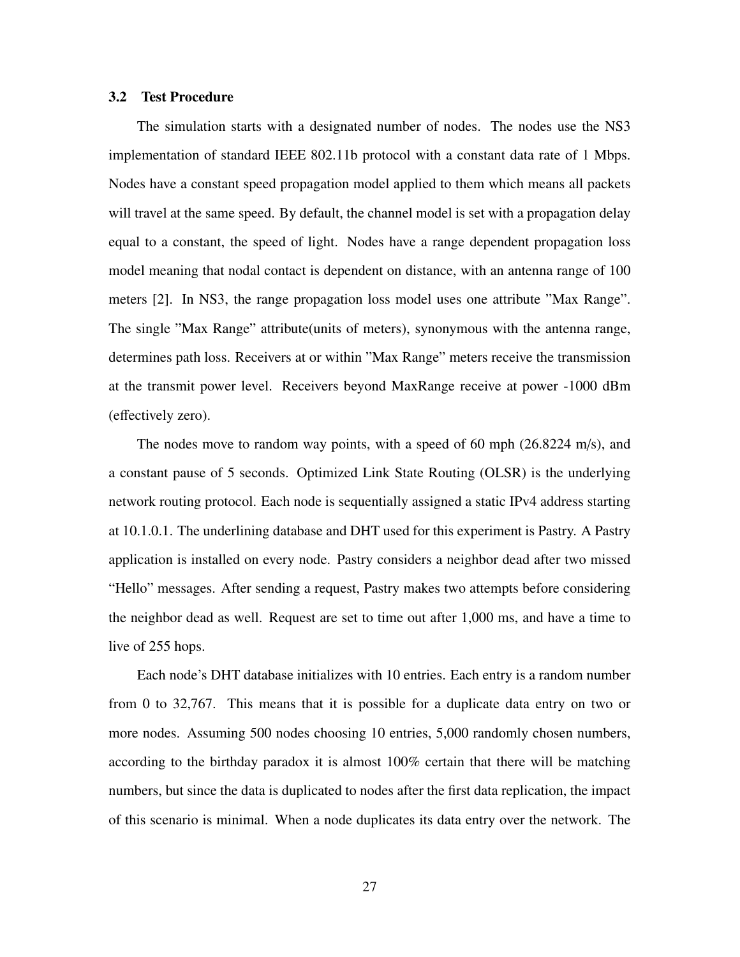#### 3.2 Test Procedure

The simulation starts with a designated number of nodes. The nodes use the NS3 implementation of standard IEEE 802.11b protocol with a constant data rate of 1 Mbps. Nodes have a constant speed propagation model applied to them which means all packets will travel at the same speed. By default, the channel model is set with a propagation delay equal to a constant, the speed of light. Nodes have a range dependent propagation loss model meaning that nodal contact is dependent on distance, with an antenna range of 100 meters [2]. In NS3, the range propagation loss model uses one attribute "Max Range". The single "Max Range" attribute(units of meters), synonymous with the antenna range, determines path loss. Receivers at or within "Max Range" meters receive the transmission at the transmit power level. Receivers beyond MaxRange receive at power -1000 dBm (effectively zero).

The nodes move to random way points, with a speed of 60 mph (26.8224 m/s), and a constant pause of 5 seconds. Optimized Link State Routing (OLSR) is the underlying network routing protocol. Each node is sequentially assigned a static IPv4 address starting at 10.1.0.1. The underlining database and DHT used for this experiment is Pastry. A Pastry application is installed on every node. Pastry considers a neighbor dead after two missed "Hello" messages. After sending a request, Pastry makes two attempts before considering the neighbor dead as well. Request are set to time out after 1,000 ms, and have a time to live of 255 hops.

Each node's DHT database initializes with 10 entries. Each entry is a random number from 0 to 32,767. This means that it is possible for a duplicate data entry on two or more nodes. Assuming 500 nodes choosing 10 entries, 5,000 randomly chosen numbers, according to the birthday paradox it is almost 100% certain that there will be matching numbers, but since the data is duplicated to nodes after the first data replication, the impact of this scenario is minimal. When a node duplicates its data entry over the network. The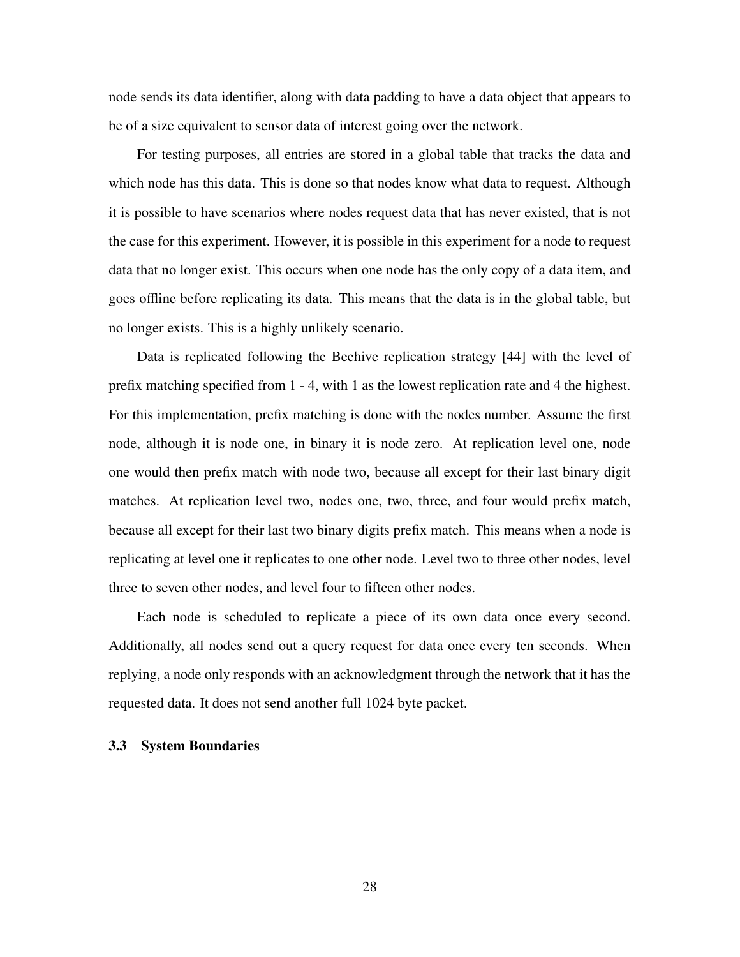node sends its data identifier, along with data padding to have a data object that appears to be of a size equivalent to sensor data of interest going over the network.

For testing purposes, all entries are stored in a global table that tracks the data and which node has this data. This is done so that nodes know what data to request. Although it is possible to have scenarios where nodes request data that has never existed, that is not the case for this experiment. However, it is possible in this experiment for a node to request data that no longer exist. This occurs when one node has the only copy of a data item, and goes offline before replicating its data. This means that the data is in the global table, but no longer exists. This is a highly unlikely scenario.

Data is replicated following the Beehive replication strategy [44] with the level of prefix matching specified from 1 - 4, with 1 as the lowest replication rate and 4 the highest. For this implementation, prefix matching is done with the nodes number. Assume the first node, although it is node one, in binary it is node zero. At replication level one, node one would then prefix match with node two, because all except for their last binary digit matches. At replication level two, nodes one, two, three, and four would prefix match, because all except for their last two binary digits prefix match. This means when a node is replicating at level one it replicates to one other node. Level two to three other nodes, level three to seven other nodes, and level four to fifteen other nodes.

Each node is scheduled to replicate a piece of its own data once every second. Additionally, all nodes send out a query request for data once every ten seconds. When replying, a node only responds with an acknowledgment through the network that it has the requested data. It does not send another full 1024 byte packet.

## 3.3 System Boundaries

28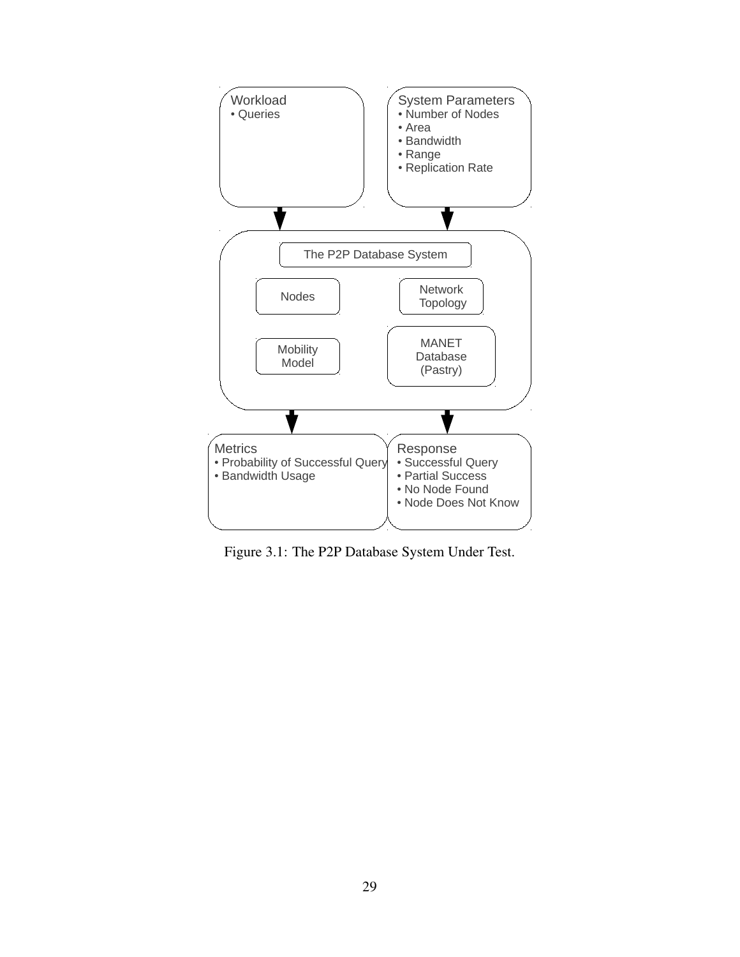

Figure 3.1: The P2P Database System Under Test.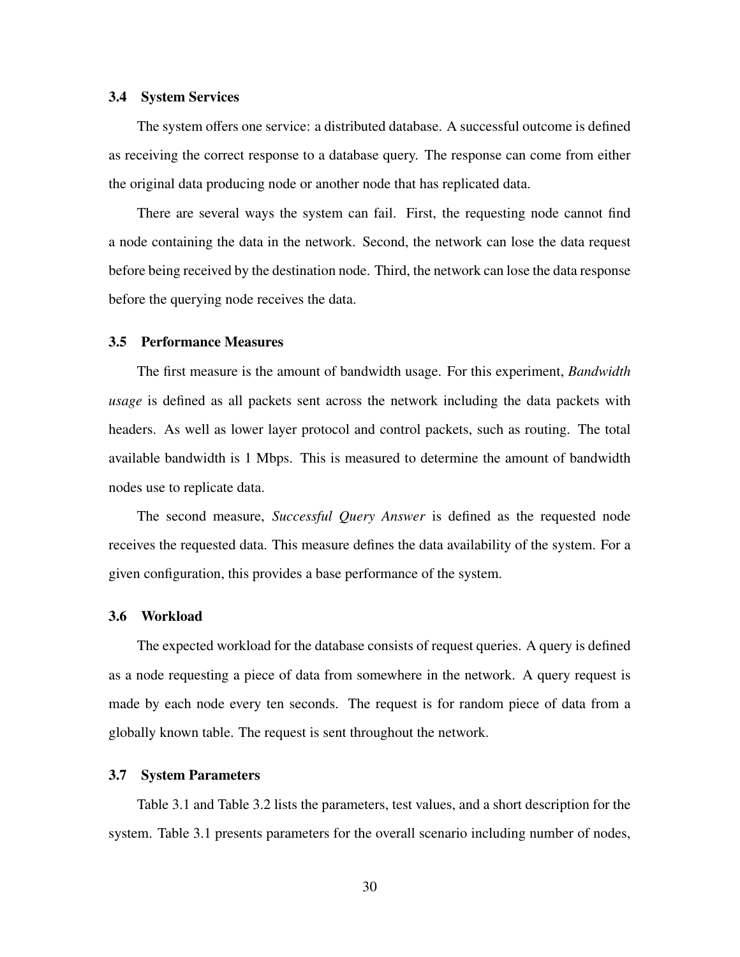## 3.4 System Services

The system offers one service: a distributed database. A successful outcome is defined as receiving the correct response to a database query. The response can come from either the original data producing node or another node that has replicated data.

There are several ways the system can fail. First, the requesting node cannot find a node containing the data in the network. Second, the network can lose the data request before being received by the destination node. Third, the network can lose the data response before the querying node receives the data.

### 3.5 Performance Measures

The first measure is the amount of bandwidth usage. For this experiment, *Bandwidth usage* is defined as all packets sent across the network including the data packets with headers. As well as lower layer protocol and control packets, such as routing. The total available bandwidth is 1 Mbps. This is measured to determine the amount of bandwidth nodes use to replicate data.

The second measure, *Successful Query Answer* is defined as the requested node receives the requested data. This measure defines the data availability of the system. For a given configuration, this provides a base performance of the system.

#### 3.6 Workload

The expected workload for the database consists of request queries. A query is defined as a node requesting a piece of data from somewhere in the network. A query request is made by each node every ten seconds. The request is for random piece of data from a globally known table. The request is sent throughout the network.

#### 3.7 System Parameters

Table 3.1 and Table 3.2 lists the parameters, test values, and a short description for the system. Table 3.1 presents parameters for the overall scenario including number of nodes,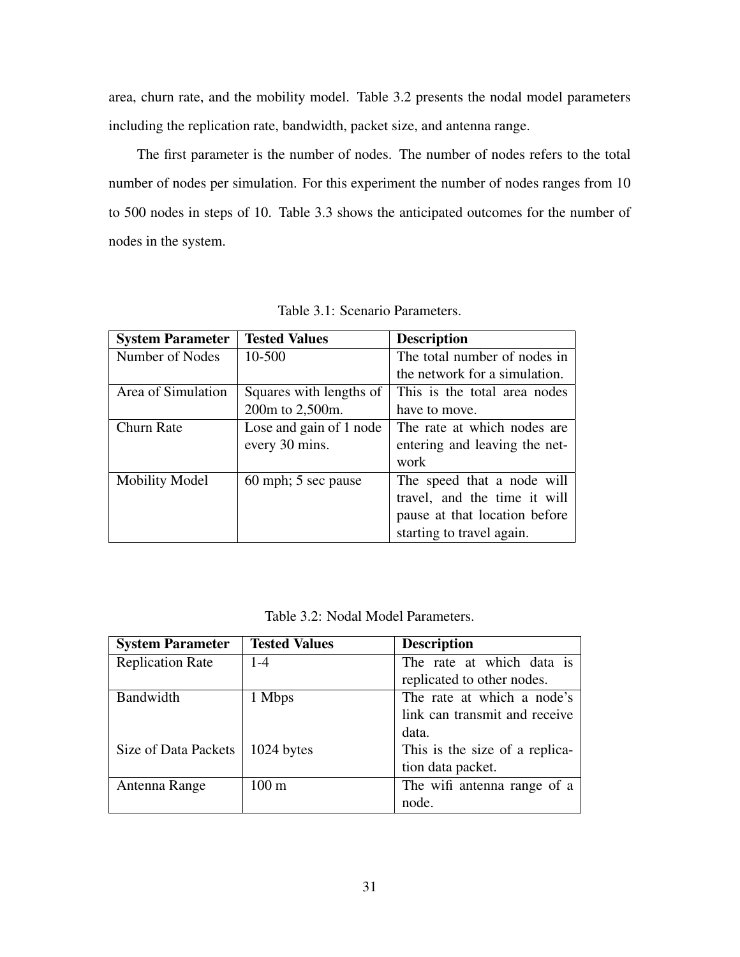area, churn rate, and the mobility model. Table 3.2 presents the nodal model parameters including the replication rate, bandwidth, packet size, and antenna range.

The first parameter is the number of nodes. The number of nodes refers to the total number of nodes per simulation. For this experiment the number of nodes ranges from 10 to 500 nodes in steps of 10. Table 3.3 shows the anticipated outcomes for the number of nodes in the system.

| <b>System Parameter</b> | <b>Tested Values</b>    | <b>Description</b>            |
|-------------------------|-------------------------|-------------------------------|
| Number of Nodes         | 10-500                  | The total number of nodes in  |
|                         |                         | the network for a simulation. |
| Area of Simulation      | Squares with lengths of | This is the total area nodes  |
|                         | 200m to 2,500m.         | have to move.                 |
| Churn Rate              | Lose and gain of 1 node | The rate at which nodes are   |
|                         | every 30 mins.          | entering and leaving the net- |
|                         |                         | work                          |
| <b>Mobility Model</b>   | 60 mph; 5 sec pause     | The speed that a node will    |
|                         |                         | travel, and the time it will  |
|                         |                         | pause at that location before |
|                         |                         | starting to travel again.     |

Table 3.1: Scenario Parameters.

Table 3.2: Nodal Model Parameters.

| <b>System Parameter</b> | <b>Tested Values</b> | <b>Description</b>             |
|-------------------------|----------------------|--------------------------------|
| <b>Replication Rate</b> | $1 - 4$              | The rate at which data is      |
|                         |                      | replicated to other nodes.     |
| Bandwidth               | 1 Mbps               | The rate at which a node's     |
|                         |                      | link can transmit and receive  |
|                         |                      | data.                          |
| Size of Data Packets    | 1024 bytes           | This is the size of a replica- |
|                         |                      | tion data packet.              |
| Antenna Range           | $100 \text{ m}$      | The wifi antenna range of a    |
|                         |                      | node.                          |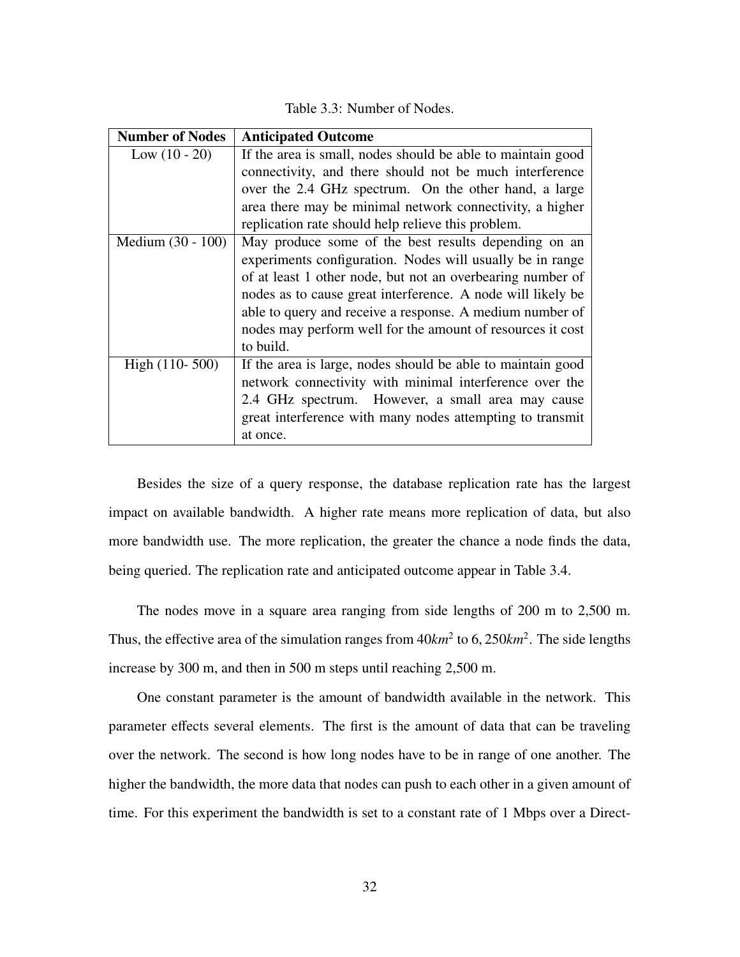Table 3.3: Number of Nodes.

| <b>Number of Nodes</b> | <b>Anticipated Outcome</b>                                  |  |  |
|------------------------|-------------------------------------------------------------|--|--|
| Low $(10 - 20)$        | If the area is small, nodes should be able to maintain good |  |  |
|                        | connectivity, and there should not be much interference     |  |  |
|                        | over the 2.4 GHz spectrum. On the other hand, a large       |  |  |
|                        | area there may be minimal network connectivity, a higher    |  |  |
|                        | replication rate should help relieve this problem.          |  |  |
| Medium (30 - 100)      | May produce some of the best results depending on an        |  |  |
|                        | experiments configuration. Nodes will usually be in range   |  |  |
|                        | of at least 1 other node, but not an overbearing number of  |  |  |
|                        | nodes as to cause great interference. A node will likely be |  |  |
|                        | able to query and receive a response. A medium number of    |  |  |
|                        | nodes may perform well for the amount of resources it cost  |  |  |
|                        | to build.                                                   |  |  |
| High $(110 - 500)$     | If the area is large, nodes should be able to maintain good |  |  |
|                        | network connectivity with minimal interference over the     |  |  |
|                        | 2.4 GHz spectrum. However, a small area may cause           |  |  |
|                        | great interference with many nodes attempting to transmit   |  |  |
|                        | at once.                                                    |  |  |

Besides the size of a query response, the database replication rate has the largest impact on available bandwidth. A higher rate means more replication of data, but also more bandwidth use. The more replication, the greater the chance a node finds the data, being queried. The replication rate and anticipated outcome appear in Table 3.4.

The nodes move in a square area ranging from side lengths of 200 m to 2,500 m. Thus, the effective area of the simulation ranges from  $40km^2$  to  $6, 250km^2$ . The side lengths increase by 300 m, and then in 500 m steps until reaching 2,500 m.

One constant parameter is the amount of bandwidth available in the network. This parameter effects several elements. The first is the amount of data that can be traveling over the network. The second is how long nodes have to be in range of one another. The higher the bandwidth, the more data that nodes can push to each other in a given amount of time. For this experiment the bandwidth is set to a constant rate of 1 Mbps over a Direct-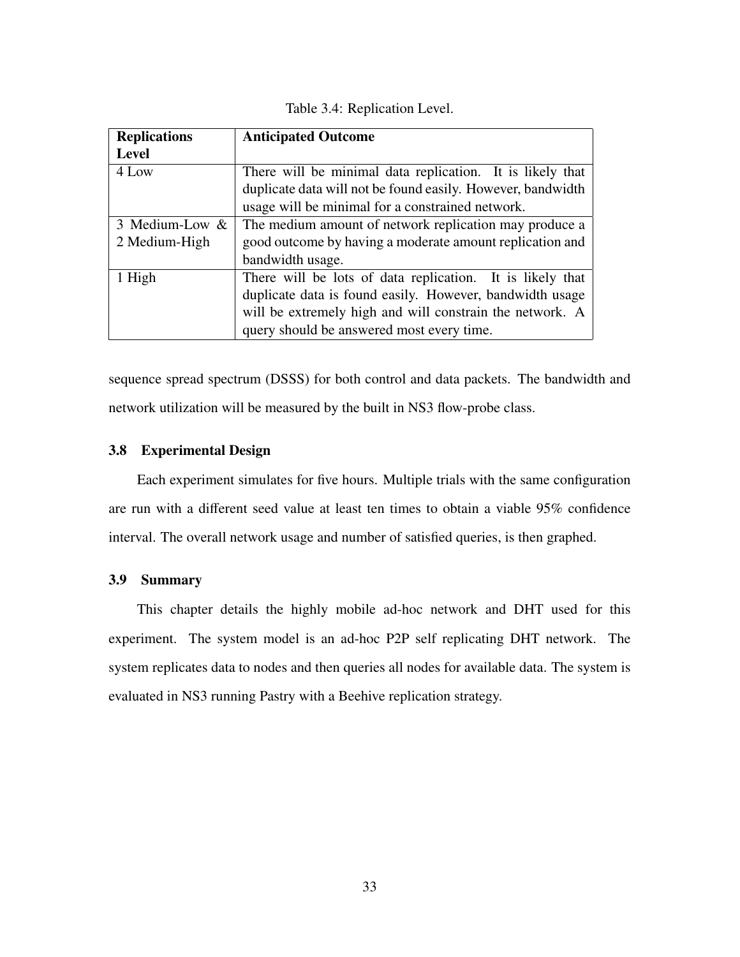| <b>Replications</b> | <b>Anticipated Outcome</b>                                  |  |  |
|---------------------|-------------------------------------------------------------|--|--|
| <b>Level</b>        |                                                             |  |  |
| 4 Low               | There will be minimal data replication. It is likely that   |  |  |
|                     | duplicate data will not be found easily. However, bandwidth |  |  |
|                     | usage will be minimal for a constrained network.            |  |  |
| 3 Medium-Low &      | The medium amount of network replication may produce a      |  |  |
| 2 Medium-High       | good outcome by having a moderate amount replication and    |  |  |
|                     | bandwidth usage.                                            |  |  |
| 1 High              | There will be lots of data replication. It is likely that   |  |  |
|                     | duplicate data is found easily. However, bandwidth usage    |  |  |
|                     | will be extremely high and will constrain the network. A    |  |  |
|                     | query should be answered most every time.                   |  |  |

sequence spread spectrum (DSSS) for both control and data packets. The bandwidth and network utilization will be measured by the built in NS3 flow-probe class.

## 3.8 Experimental Design

Each experiment simulates for five hours. Multiple trials with the same configuration are run with a different seed value at least ten times to obtain a viable 95% confidence interval. The overall network usage and number of satisfied queries, is then graphed.

## 3.9 Summary

This chapter details the highly mobile ad-hoc network and DHT used for this experiment. The system model is an ad-hoc P2P self replicating DHT network. The system replicates data to nodes and then queries all nodes for available data. The system is evaluated in NS3 running Pastry with a Beehive replication strategy.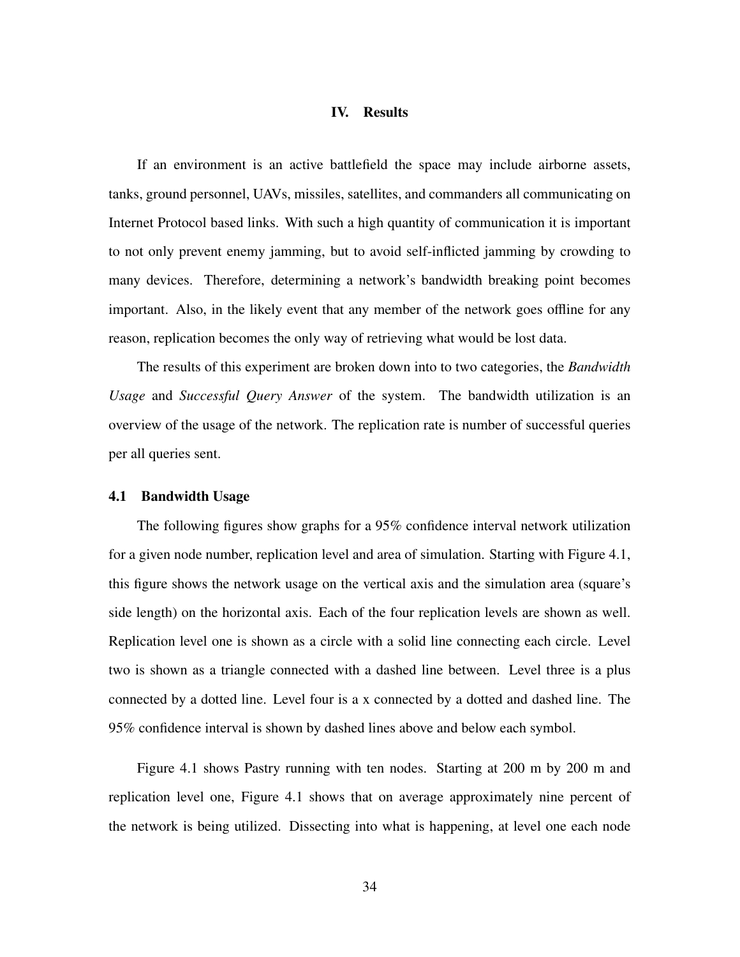## IV. Results

If an environment is an active battlefield the space may include airborne assets, tanks, ground personnel, UAVs, missiles, satellites, and commanders all communicating on Internet Protocol based links. With such a high quantity of communication it is important to not only prevent enemy jamming, but to avoid self-inflicted jamming by crowding to many devices. Therefore, determining a network's bandwidth breaking point becomes important. Also, in the likely event that any member of the network goes offline for any reason, replication becomes the only way of retrieving what would be lost data.

The results of this experiment are broken down into to two categories, the *Bandwidth Usage* and *Successful Query Answer* of the system. The bandwidth utilization is an overview of the usage of the network. The replication rate is number of successful queries per all queries sent.

#### 4.1 Bandwidth Usage

The following figures show graphs for a 95% confidence interval network utilization for a given node number, replication level and area of simulation. Starting with Figure 4.1, this figure shows the network usage on the vertical axis and the simulation area (square's side length) on the horizontal axis. Each of the four replication levels are shown as well. Replication level one is shown as a circle with a solid line connecting each circle. Level two is shown as a triangle connected with a dashed line between. Level three is a plus connected by a dotted line. Level four is a x connected by a dotted and dashed line. The 95% confidence interval is shown by dashed lines above and below each symbol.

Figure 4.1 shows Pastry running with ten nodes. Starting at 200 m by 200 m and replication level one, Figure 4.1 shows that on average approximately nine percent of the network is being utilized. Dissecting into what is happening, at level one each node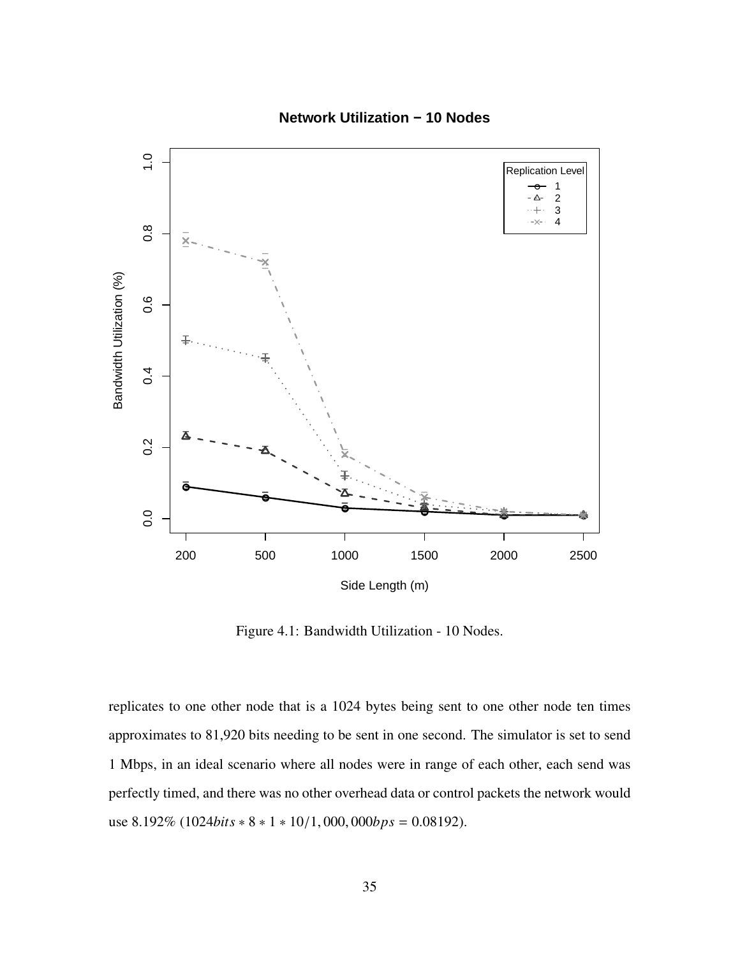



Figure 4.1: Bandwidth Utilization - 10 Nodes.

replicates to one other node that is a 1024 bytes being sent to one other node ten times approximates to 81,920 bits needing to be sent in one second. The simulator is set to send 1 Mbps, in an ideal scenario where all nodes were in range of each other, each send was perfectly timed, and there was no other overhead data or control packets the network would use 8.192% (1024*bits* <sup>∗</sup> <sup>8</sup> <sup>∗</sup> <sup>1</sup> <sup>∗</sup> <sup>10</sup>/1, <sup>000</sup>, <sup>000</sup>*bps* <sup>=</sup> <sup>0</sup>.08192).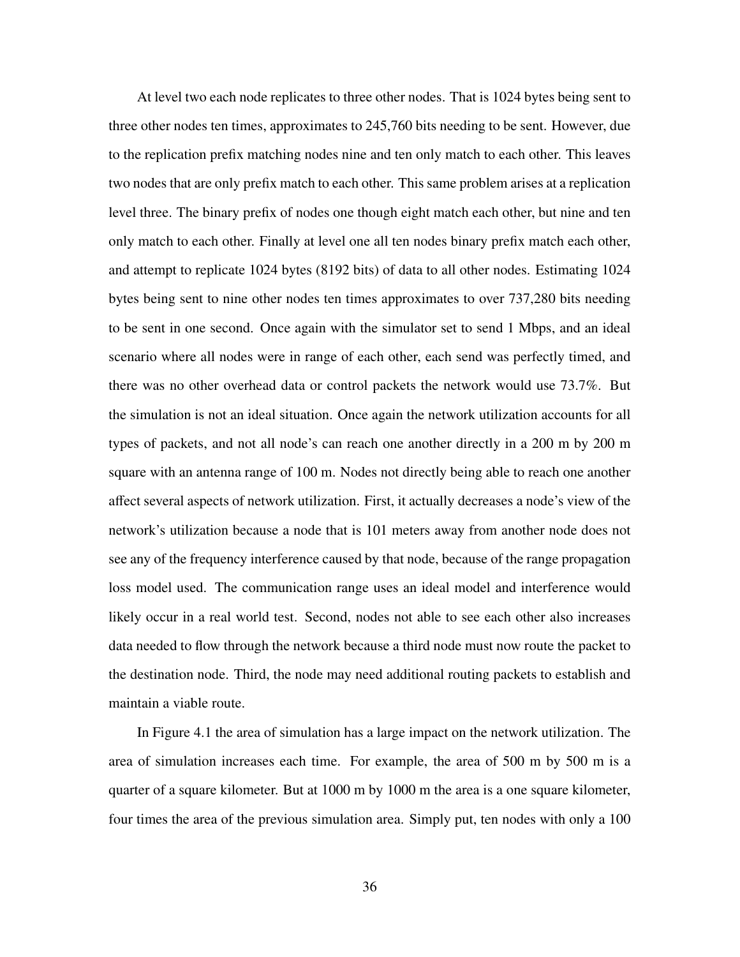At level two each node replicates to three other nodes. That is 1024 bytes being sent to three other nodes ten times, approximates to 245,760 bits needing to be sent. However, due to the replication prefix matching nodes nine and ten only match to each other. This leaves two nodes that are only prefix match to each other. This same problem arises at a replication level three. The binary prefix of nodes one though eight match each other, but nine and ten only match to each other. Finally at level one all ten nodes binary prefix match each other, and attempt to replicate 1024 bytes (8192 bits) of data to all other nodes. Estimating 1024 bytes being sent to nine other nodes ten times approximates to over 737,280 bits needing to be sent in one second. Once again with the simulator set to send 1 Mbps, and an ideal scenario where all nodes were in range of each other, each send was perfectly timed, and there was no other overhead data or control packets the network would use 73.7%. But the simulation is not an ideal situation. Once again the network utilization accounts for all types of packets, and not all node's can reach one another directly in a 200 m by 200 m square with an antenna range of 100 m. Nodes not directly being able to reach one another affect several aspects of network utilization. First, it actually decreases a node's view of the network's utilization because a node that is 101 meters away from another node does not see any of the frequency interference caused by that node, because of the range propagation loss model used. The communication range uses an ideal model and interference would likely occur in a real world test. Second, nodes not able to see each other also increases data needed to flow through the network because a third node must now route the packet to the destination node. Third, the node may need additional routing packets to establish and maintain a viable route.

In Figure 4.1 the area of simulation has a large impact on the network utilization. The area of simulation increases each time. For example, the area of 500 m by 500 m is a quarter of a square kilometer. But at 1000 m by 1000 m the area is a one square kilometer, four times the area of the previous simulation area. Simply put, ten nodes with only a 100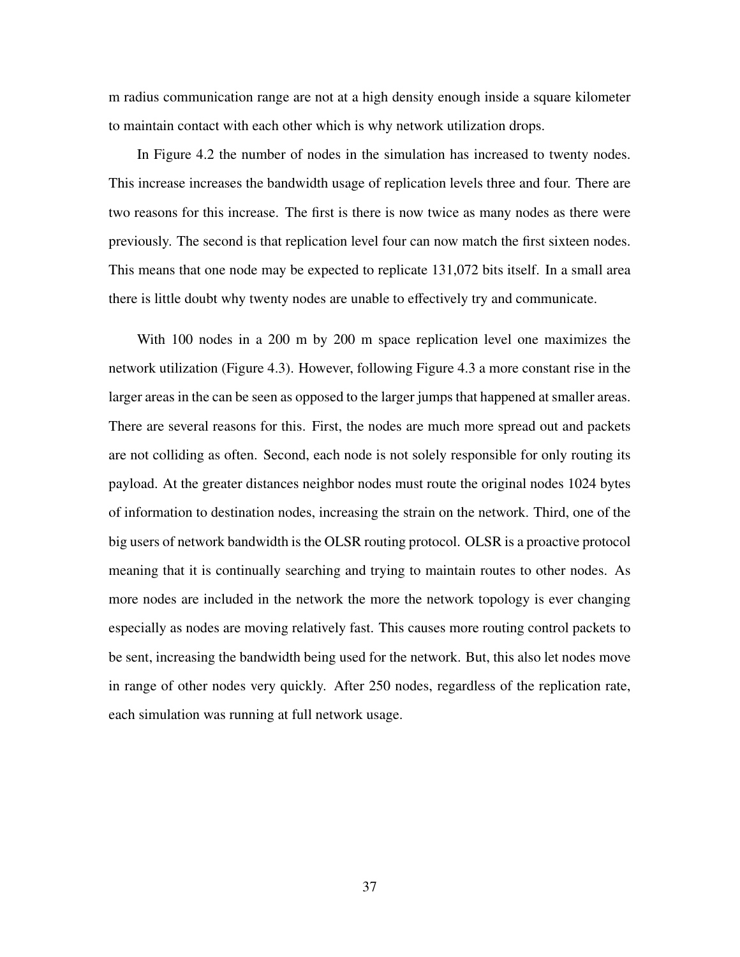m radius communication range are not at a high density enough inside a square kilometer to maintain contact with each other which is why network utilization drops.

In Figure 4.2 the number of nodes in the simulation has increased to twenty nodes. This increase increases the bandwidth usage of replication levels three and four. There are two reasons for this increase. The first is there is now twice as many nodes as there were previously. The second is that replication level four can now match the first sixteen nodes. This means that one node may be expected to replicate 131,072 bits itself. In a small area there is little doubt why twenty nodes are unable to effectively try and communicate.

With 100 nodes in a 200 m by 200 m space replication level one maximizes the network utilization (Figure 4.3). However, following Figure 4.3 a more constant rise in the larger areas in the can be seen as opposed to the larger jumps that happened at smaller areas. There are several reasons for this. First, the nodes are much more spread out and packets are not colliding as often. Second, each node is not solely responsible for only routing its payload. At the greater distances neighbor nodes must route the original nodes 1024 bytes of information to destination nodes, increasing the strain on the network. Third, one of the big users of network bandwidth is the OLSR routing protocol. OLSR is a proactive protocol meaning that it is continually searching and trying to maintain routes to other nodes. As more nodes are included in the network the more the network topology is ever changing especially as nodes are moving relatively fast. This causes more routing control packets to be sent, increasing the bandwidth being used for the network. But, this also let nodes move in range of other nodes very quickly. After 250 nodes, regardless of the replication rate, each simulation was running at full network usage.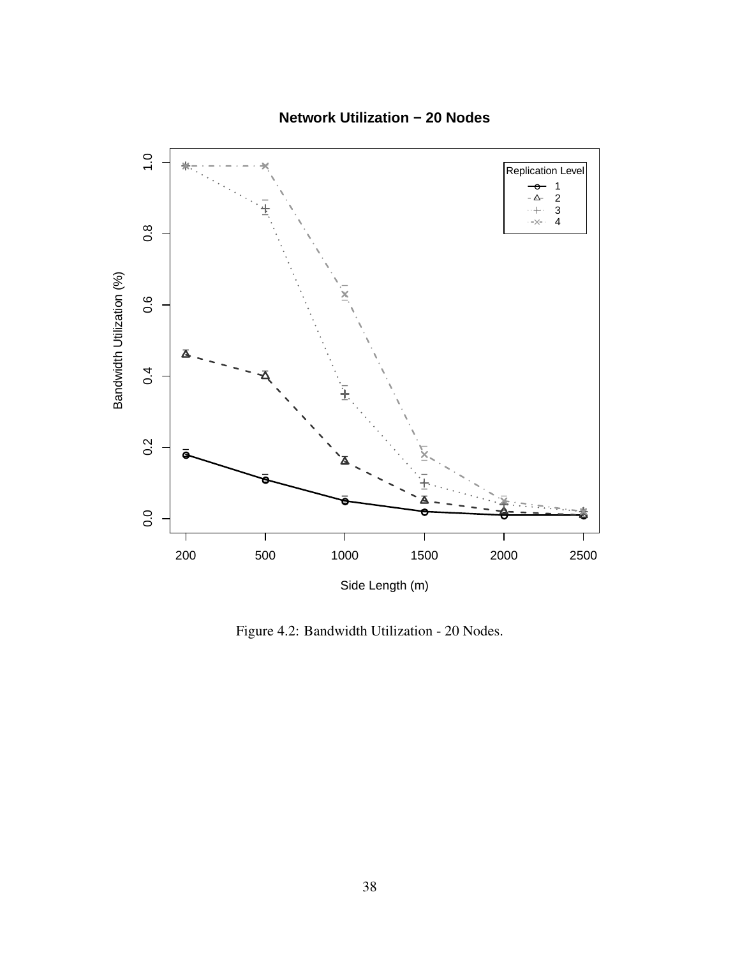

## **Network Utilization − 20 Nodes**

Figure 4.2: Bandwidth Utilization - 20 Nodes.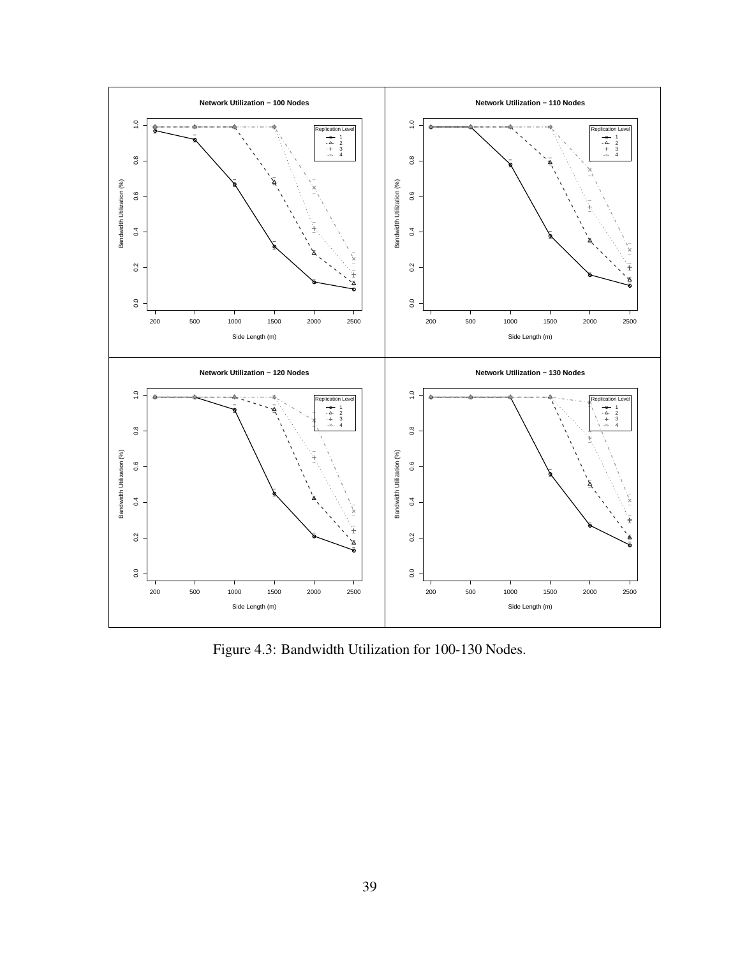

Figure 4.3: Bandwidth Utilization for 100-130 Nodes.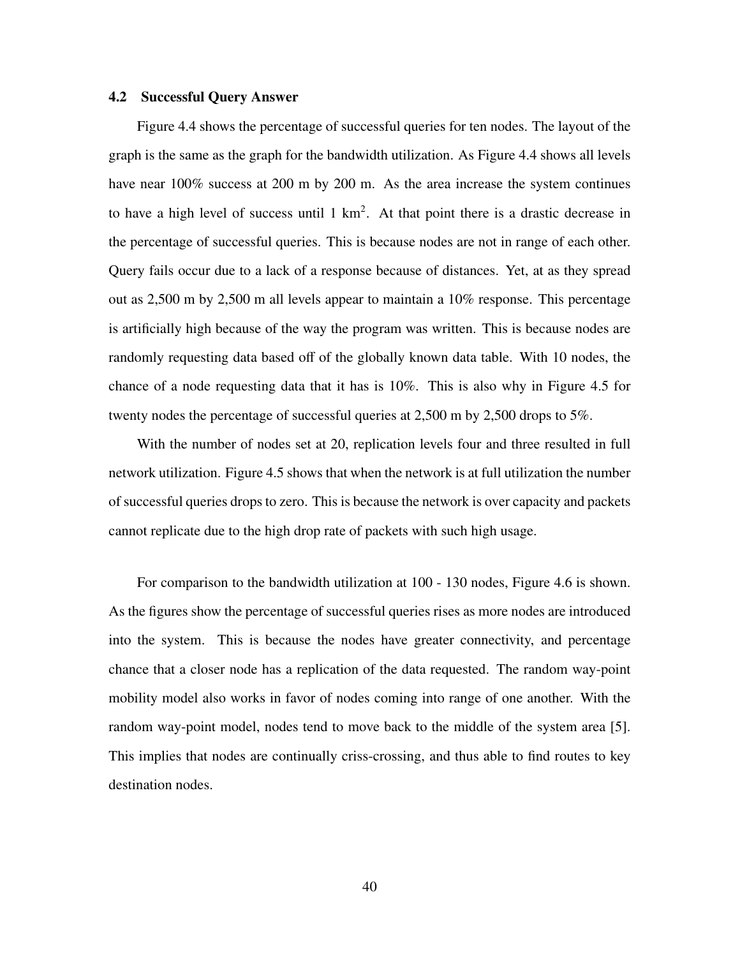#### 4.2 Successful Query Answer

Figure 4.4 shows the percentage of successful queries for ten nodes. The layout of the graph is the same as the graph for the bandwidth utilization. As Figure 4.4 shows all levels have near  $100\%$  success at 200 m by 200 m. As the area increase the system continues to have a high level of success until  $1 \text{ km}^2$ . At that point there is a drastic decrease in the percentage of successful queries. This is because nodes are not in range of each other. Query fails occur due to a lack of a response because of distances. Yet, at as they spread out as 2,500 m by 2,500 m all levels appear to maintain a 10% response. This percentage is artificially high because of the way the program was written. This is because nodes are randomly requesting data based off of the globally known data table. With 10 nodes, the chance of a node requesting data that it has is 10%. This is also why in Figure 4.5 for twenty nodes the percentage of successful queries at 2,500 m by 2,500 drops to 5%.

With the number of nodes set at 20, replication levels four and three resulted in full network utilization. Figure 4.5 shows that when the network is at full utilization the number of successful queries drops to zero. This is because the network is over capacity and packets cannot replicate due to the high drop rate of packets with such high usage.

For comparison to the bandwidth utilization at 100 - 130 nodes, Figure 4.6 is shown. As the figures show the percentage of successful queries rises as more nodes are introduced into the system. This is because the nodes have greater connectivity, and percentage chance that a closer node has a replication of the data requested. The random way-point mobility model also works in favor of nodes coming into range of one another. With the random way-point model, nodes tend to move back to the middle of the system area [5]. This implies that nodes are continually criss-crossing, and thus able to find routes to key destination nodes.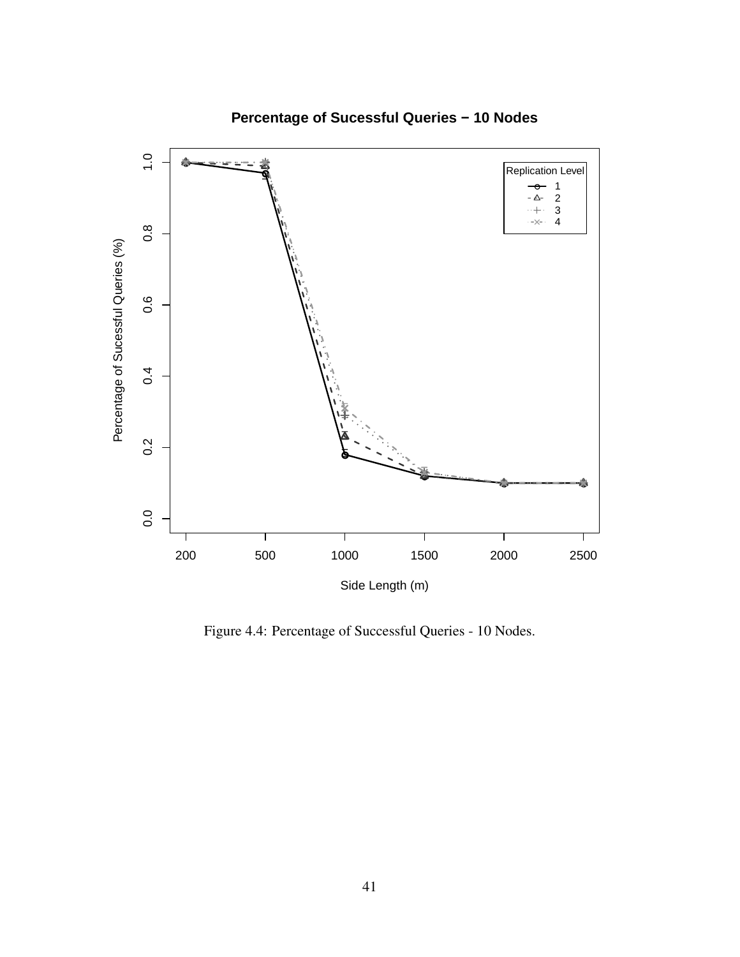

**Percentage of Sucessful Queries − 10 Nodes**

Figure 4.4: Percentage of Successful Queries - 10 Nodes.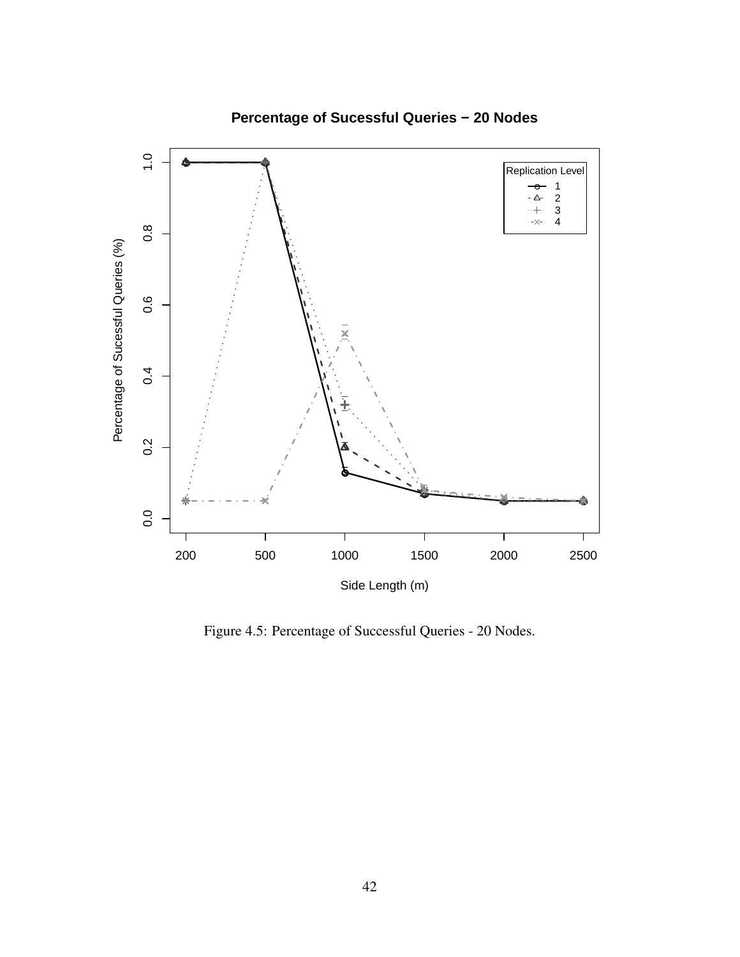

**Percentage of Sucessful Queries − 20 Nodes**

Figure 4.5: Percentage of Successful Queries - 20 Nodes.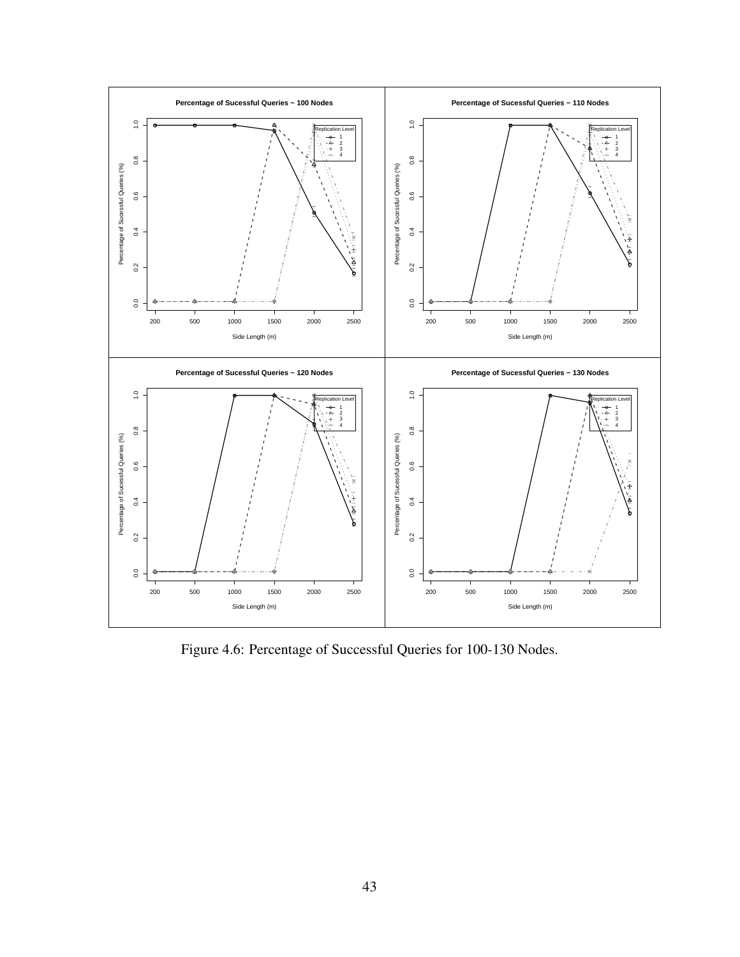

Figure 4.6: Percentage of Successful Queries for 100-130 Nodes.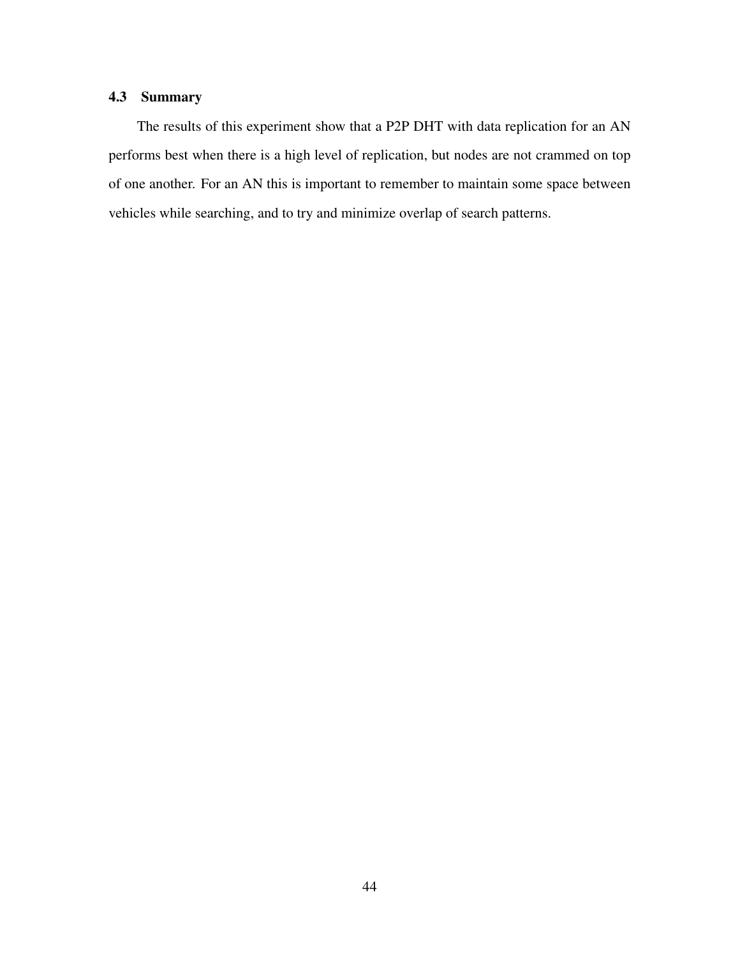## 4.3 Summary

The results of this experiment show that a P2P DHT with data replication for an AN performs best when there is a high level of replication, but nodes are not crammed on top of one another. For an AN this is important to remember to maintain some space between vehicles while searching, and to try and minimize overlap of search patterns.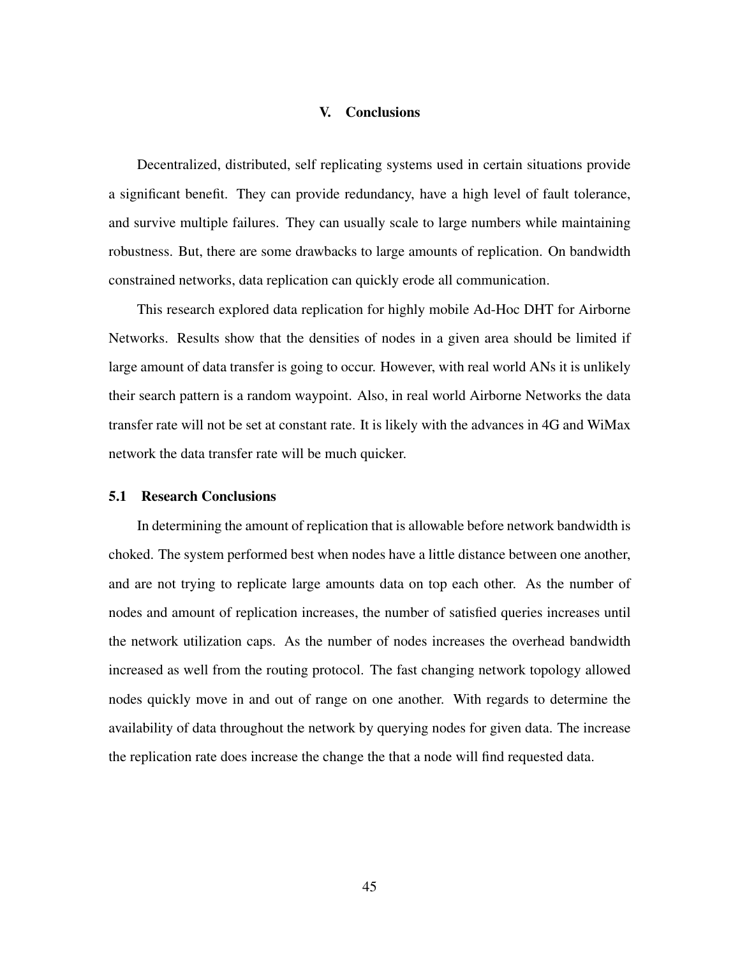## V. Conclusions

Decentralized, distributed, self replicating systems used in certain situations provide a significant benefit. They can provide redundancy, have a high level of fault tolerance, and survive multiple failures. They can usually scale to large numbers while maintaining robustness. But, there are some drawbacks to large amounts of replication. On bandwidth constrained networks, data replication can quickly erode all communication.

This research explored data replication for highly mobile Ad-Hoc DHT for Airborne Networks. Results show that the densities of nodes in a given area should be limited if large amount of data transfer is going to occur. However, with real world ANs it is unlikely their search pattern is a random waypoint. Also, in real world Airborne Networks the data transfer rate will not be set at constant rate. It is likely with the advances in 4G and WiMax network the data transfer rate will be much quicker.

#### 5.1 Research Conclusions

In determining the amount of replication that is allowable before network bandwidth is choked. The system performed best when nodes have a little distance between one another, and are not trying to replicate large amounts data on top each other. As the number of nodes and amount of replication increases, the number of satisfied queries increases until the network utilization caps. As the number of nodes increases the overhead bandwidth increased as well from the routing protocol. The fast changing network topology allowed nodes quickly move in and out of range on one another. With regards to determine the availability of data throughout the network by querying nodes for given data. The increase the replication rate does increase the change the that a node will find requested data.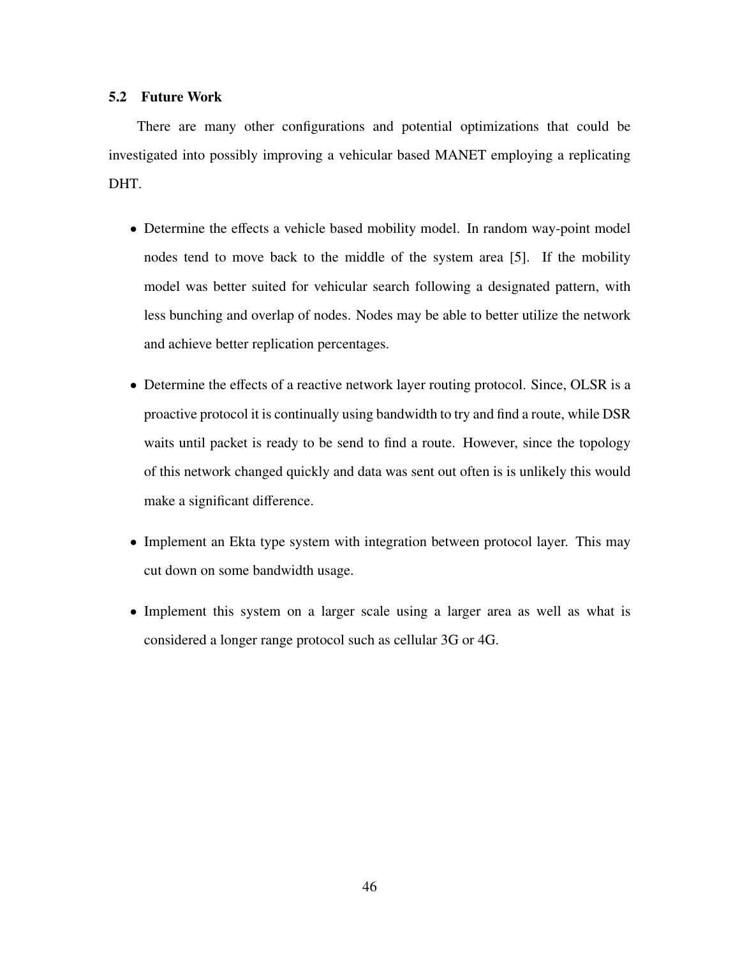## 5.2 Future Work

There are many other configurations and potential optimizations that could be investigated into possibly improving a vehicular based MANET employing a replicating DHT.

- Determine the effects a vehicle based mobility model. In random way-point model nodes tend to move back to the middle of the system area [5]. If the mobility model was better suited for vehicular search following a designated pattern, with less bunching and overlap of nodes. Nodes may be able to better utilize the network and achieve better replication percentages.
- Determine the effects of a reactive network layer routing protocol. Since, OLSR is a proactive protocol it is continually using bandwidth to try and find a route, while DSR waits until packet is ready to be send to find a route. However, since the topology of this network changed quickly and data was sent out often is is unlikely this would make a significant difference.
- Implement an Ekta type system with integration between protocol layer. This may cut down on some bandwidth usage.
- Implement this system on a larger scale using a larger area as well as what is considered a longer range protocol such as cellular 3G or 4G.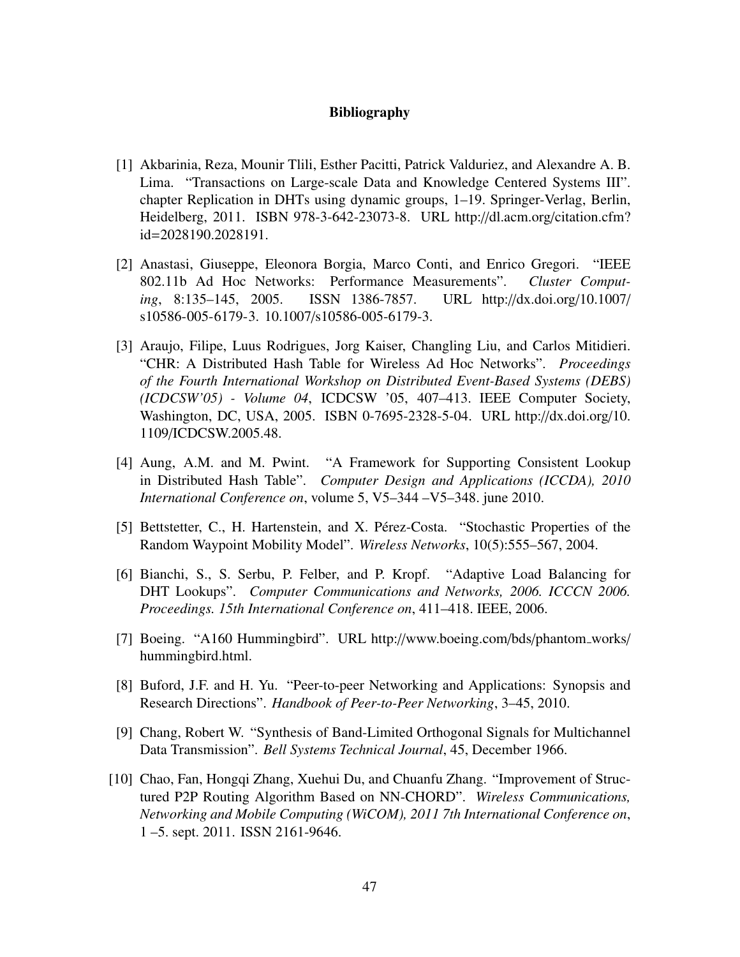## Bibliography

- [1] Akbarinia, Reza, Mounir Tlili, Esther Pacitti, Patrick Valduriez, and Alexandre A. B. Lima. "Transactions on Large-scale Data and Knowledge Centered Systems III". chapter Replication in DHTs using dynamic groups, 1–19. Springer-Verlag, Berlin, Heidelberg, 2011. ISBN 978-3-642-23073-8. URL http://dl.acm.org/citation.cfm? id=2028190.2028191.
- [2] Anastasi, Giuseppe, Eleonora Borgia, Marco Conti, and Enrico Gregori. "IEEE 802.11b Ad Hoc Networks: Performance Measurements". *Cluster Computing*, 8:135–145, 2005. ISSN 1386-7857. URL http://dx.doi.org/10.1007/ s10586-005-6179-3. 10.1007/s10586-005-6179-3.
- [3] Araujo, Filipe, Luus Rodrigues, Jorg Kaiser, Changling Liu, and Carlos Mitidieri. "CHR: A Distributed Hash Table for Wireless Ad Hoc Networks". *Proceedings of the Fourth International Workshop on Distributed Event-Based Systems (DEBS) (ICDCSW'05) - Volume 04*, ICDCSW '05, 407–413. IEEE Computer Society, Washington, DC, USA, 2005. ISBN 0-7695-2328-5-04. URL http://dx.doi.org/10. 1109/ICDCSW.2005.48.
- [4] Aung, A.M. and M. Pwint. "A Framework for Supporting Consistent Lookup in Distributed Hash Table". *Computer Design and Applications (ICCDA), 2010 International Conference on*, volume 5, V5–344 –V5–348. june 2010.
- [5] Bettstetter, C., H. Hartenstein, and X. Pérez-Costa. "Stochastic Properties of the Random Waypoint Mobility Model". *Wireless Networks*, 10(5):555–567, 2004.
- [6] Bianchi, S., S. Serbu, P. Felber, and P. Kropf. "Adaptive Load Balancing for DHT Lookups". *Computer Communications and Networks, 2006. ICCCN 2006. Proceedings. 15th International Conference on*, 411–418. IEEE, 2006.
- [7] Boeing. "A160 Hummingbird". URL http://www.boeing.com/bds/phantom\_works/ hummingbird.html.
- [8] Buford, J.F. and H. Yu. "Peer-to-peer Networking and Applications: Synopsis and Research Directions". *Handbook of Peer-to-Peer Networking*, 3–45, 2010.
- [9] Chang, Robert W. "Synthesis of Band-Limited Orthogonal Signals for Multichannel Data Transmission". *Bell Systems Technical Journal*, 45, December 1966.
- [10] Chao, Fan, Hongqi Zhang, Xuehui Du, and Chuanfu Zhang. "Improvement of Structured P2P Routing Algorithm Based on NN-CHORD". *Wireless Communications, Networking and Mobile Computing (WiCOM), 2011 7th International Conference on*, 1 –5. sept. 2011. ISSN 2161-9646.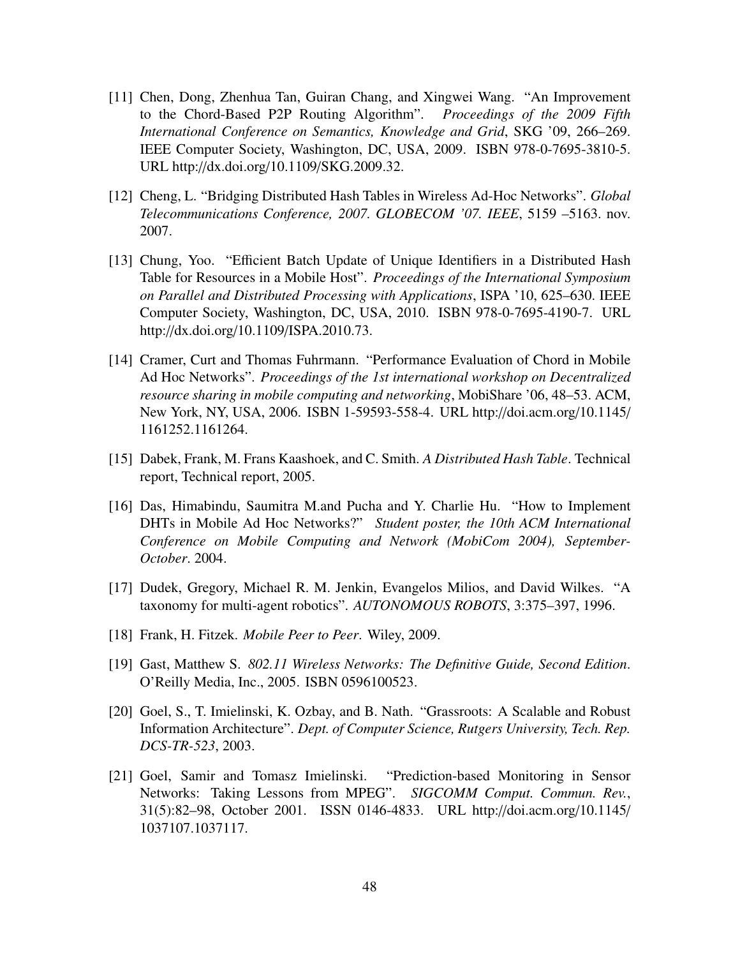- [11] Chen, Dong, Zhenhua Tan, Guiran Chang, and Xingwei Wang. "An Improvement to the Chord-Based P2P Routing Algorithm". *Proceedings of the 2009 Fifth International Conference on Semantics, Knowledge and Grid*, SKG '09, 266–269. IEEE Computer Society, Washington, DC, USA, 2009. ISBN 978-0-7695-3810-5. URL http://dx.doi.org/10.1109/SKG.2009.32.
- [12] Cheng, L. "Bridging Distributed Hash Tables in Wireless Ad-Hoc Networks". *Global Telecommunications Conference, 2007. GLOBECOM '07. IEEE*, 5159 –5163. nov. 2007.
- [13] Chung, Yoo. "Efficient Batch Update of Unique Identifiers in a Distributed Hash Table for Resources in a Mobile Host". *Proceedings of the International Symposium on Parallel and Distributed Processing with Applications*, ISPA '10, 625–630. IEEE Computer Society, Washington, DC, USA, 2010. ISBN 978-0-7695-4190-7. URL http://dx.doi.org/10.1109/ISPA.2010.73.
- [14] Cramer, Curt and Thomas Fuhrmann. "Performance Evaluation of Chord in Mobile Ad Hoc Networks". *Proceedings of the 1st international workshop on Decentralized resource sharing in mobile computing and networking*, MobiShare '06, 48–53. ACM, New York, NY, USA, 2006. ISBN 1-59593-558-4. URL http://doi.acm.org/10.1145/ 1161252.1161264.
- [15] Dabek, Frank, M. Frans Kaashoek, and C. Smith. *A Distributed Hash Table*. Technical report, Technical report, 2005.
- [16] Das, Himabindu, Saumitra M.and Pucha and Y. Charlie Hu. "How to Implement DHTs in Mobile Ad Hoc Networks?" *Student poster, the 10th ACM International Conference on Mobile Computing and Network (MobiCom 2004), September-October*. 2004.
- [17] Dudek, Gregory, Michael R. M. Jenkin, Evangelos Milios, and David Wilkes. "A taxonomy for multi-agent robotics". *AUTONOMOUS ROBOTS*, 3:375–397, 1996.
- [18] Frank, H. Fitzek. *Mobile Peer to Peer*. Wiley, 2009.
- [19] Gast, Matthew S. *802.11 Wireless Networks: The Definitive Guide, Second Edition*. O'Reilly Media, Inc., 2005. ISBN 0596100523.
- [20] Goel, S., T. Imielinski, K. Ozbay, and B. Nath. "Grassroots: A Scalable and Robust Information Architecture". *Dept. of Computer Science, Rutgers University, Tech. Rep. DCS-TR-523*, 2003.
- [21] Goel, Samir and Tomasz Imielinski. "Prediction-based Monitoring in Sensor Networks: Taking Lessons from MPEG". *SIGCOMM Comput. Commun. Rev.*, 31(5):82–98, October 2001. ISSN 0146-4833. URL http://doi.acm.org/10.1145/ 1037107.1037117.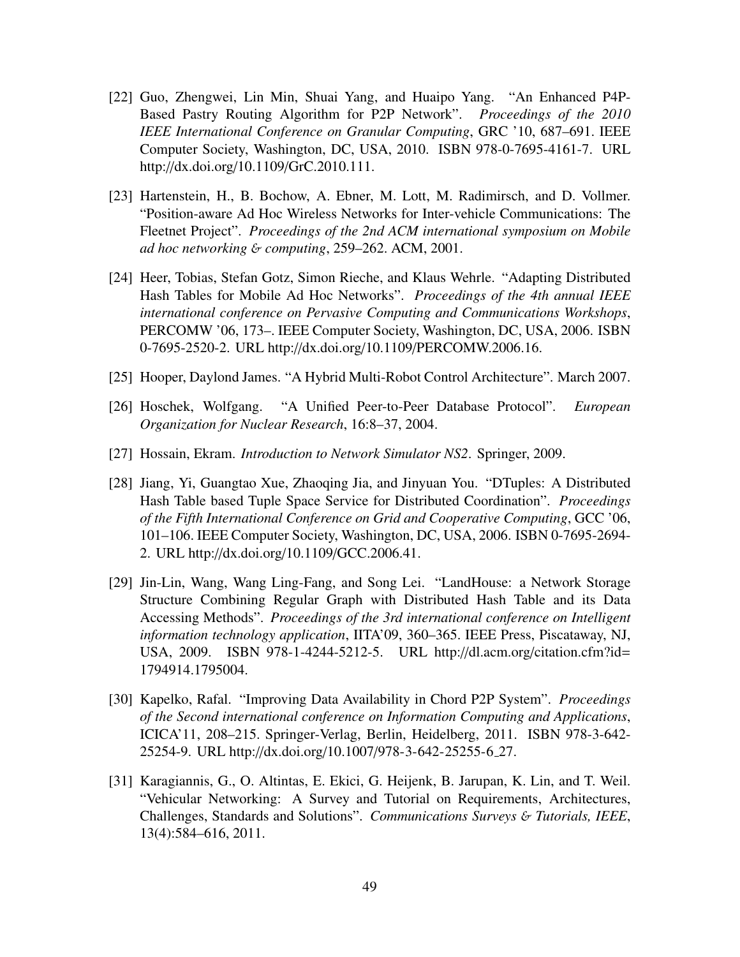- [22] Guo, Zhengwei, Lin Min, Shuai Yang, and Huaipo Yang. "An Enhanced P4P-Based Pastry Routing Algorithm for P2P Network". *Proceedings of the 2010 IEEE International Conference on Granular Computing*, GRC '10, 687–691. IEEE Computer Society, Washington, DC, USA, 2010. ISBN 978-0-7695-4161-7. URL http://dx.doi.org/10.1109/GrC.2010.111.
- [23] Hartenstein, H., B. Bochow, A. Ebner, M. Lott, M. Radimirsch, and D. Vollmer. "Position-aware Ad Hoc Wireless Networks for Inter-vehicle Communications: The Fleetnet Project". *Proceedings of the 2nd ACM international symposium on Mobile ad hoc networking* & *computing*, 259–262. ACM, 2001.
- [24] Heer, Tobias, Stefan Gotz, Simon Rieche, and Klaus Wehrle. "Adapting Distributed Hash Tables for Mobile Ad Hoc Networks". *Proceedings of the 4th annual IEEE international conference on Pervasive Computing and Communications Workshops*, PERCOMW '06, 173–. IEEE Computer Society, Washington, DC, USA, 2006. ISBN 0-7695-2520-2. URL http://dx.doi.org/10.1109/PERCOMW.2006.16.
- [25] Hooper, Daylond James. "A Hybrid Multi-Robot Control Architecture". March 2007.
- [26] Hoschek, Wolfgang. "A Unified Peer-to-Peer Database Protocol". *European Organization for Nuclear Research*, 16:8–37, 2004.
- [27] Hossain, Ekram. *Introduction to Network Simulator NS2*. Springer, 2009.
- [28] Jiang, Yi, Guangtao Xue, Zhaoqing Jia, and Jinyuan You. "DTuples: A Distributed Hash Table based Tuple Space Service for Distributed Coordination". *Proceedings of the Fifth International Conference on Grid and Cooperative Computing*, GCC '06, 101–106. IEEE Computer Society, Washington, DC, USA, 2006. ISBN 0-7695-2694- 2. URL http://dx.doi.org/10.1109/GCC.2006.41.
- [29] Jin-Lin, Wang, Wang Ling-Fang, and Song Lei. "LandHouse: a Network Storage Structure Combining Regular Graph with Distributed Hash Table and its Data Accessing Methods". *Proceedings of the 3rd international conference on Intelligent information technology application*, IITA'09, 360–365. IEEE Press, Piscataway, NJ, USA, 2009. ISBN 978-1-4244-5212-5. URL http://dl.acm.org/citation.cfm?id= 1794914.1795004.
- [30] Kapelko, Rafal. "Improving Data Availability in Chord P2P System". *Proceedings of the Second international conference on Information Computing and Applications*, ICICA'11, 208–215. Springer-Verlag, Berlin, Heidelberg, 2011. ISBN 978-3-642- 25254-9. URL http://dx.doi.org/10.1007/978-3-642-25255-6 27.
- [31] Karagiannis, G., O. Altintas, E. Ekici, G. Heijenk, B. Jarupan, K. Lin, and T. Weil. "Vehicular Networking: A Survey and Tutorial on Requirements, Architectures, Challenges, Standards and Solutions". *Communications Surveys* & *Tutorials, IEEE*, 13(4):584–616, 2011.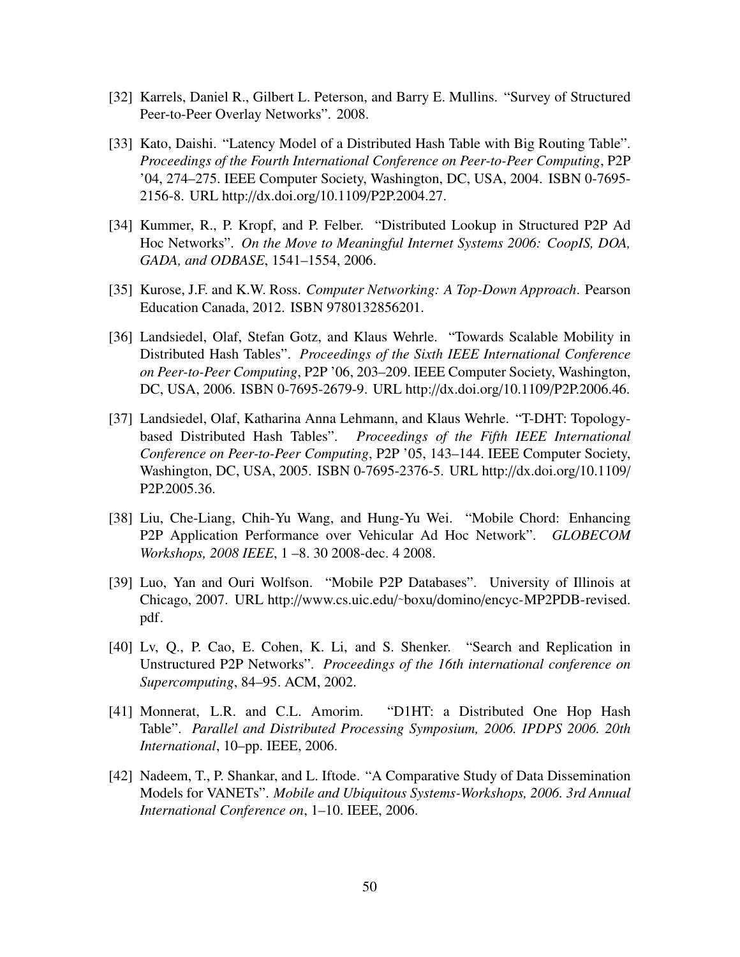- [32] Karrels, Daniel R., Gilbert L. Peterson, and Barry E. Mullins. "Survey of Structured Peer-to-Peer Overlay Networks". 2008.
- [33] Kato, Daishi. "Latency Model of a Distributed Hash Table with Big Routing Table". *Proceedings of the Fourth International Conference on Peer-to-Peer Computing*, P2P '04, 274–275. IEEE Computer Society, Washington, DC, USA, 2004. ISBN 0-7695- 2156-8. URL http://dx.doi.org/10.1109/P2P.2004.27.
- [34] Kummer, R., P. Kropf, and P. Felber. "Distributed Lookup in Structured P2P Ad Hoc Networks". *On the Move to Meaningful Internet Systems 2006: CoopIS, DOA, GADA, and ODBASE*, 1541–1554, 2006.
- [35] Kurose, J.F. and K.W. Ross. *Computer Networking: A Top-Down Approach*. Pearson Education Canada, 2012. ISBN 9780132856201.
- [36] Landsiedel, Olaf, Stefan Gotz, and Klaus Wehrle. "Towards Scalable Mobility in Distributed Hash Tables". *Proceedings of the Sixth IEEE International Conference on Peer-to-Peer Computing*, P2P '06, 203–209. IEEE Computer Society, Washington, DC, USA, 2006. ISBN 0-7695-2679-9. URL http://dx.doi.org/10.1109/P2P.2006.46.
- [37] Landsiedel, Olaf, Katharina Anna Lehmann, and Klaus Wehrle. "T-DHT: Topologybased Distributed Hash Tables". *Proceedings of the Fifth IEEE International Conference on Peer-to-Peer Computing*, P2P '05, 143–144. IEEE Computer Society, Washington, DC, USA, 2005. ISBN 0-7695-2376-5. URL http://dx.doi.org/10.1109/ P2P.2005.36.
- [38] Liu, Che-Liang, Chih-Yu Wang, and Hung-Yu Wei. "Mobile Chord: Enhancing P2P Application Performance over Vehicular Ad Hoc Network". *GLOBECOM Workshops, 2008 IEEE*, 1 –8. 30 2008-dec. 4 2008.
- [39] Luo, Yan and Ouri Wolfson. "Mobile P2P Databases". University of Illinois at Chicago, 2007. URL http://www.cs.uic.edu/∼boxu/domino/encyc-MP2PDB-revised. pdf.
- [40] Lv, Q., P. Cao, E. Cohen, K. Li, and S. Shenker. "Search and Replication in Unstructured P2P Networks". *Proceedings of the 16th international conference on Supercomputing*, 84–95. ACM, 2002.
- [41] Monnerat, L.R. and C.L. Amorim. "D1HT: a Distributed One Hop Hash Table". *Parallel and Distributed Processing Symposium, 2006. IPDPS 2006. 20th International*, 10–pp. IEEE, 2006.
- [42] Nadeem, T., P. Shankar, and L. Iftode. "A Comparative Study of Data Dissemination Models for VANETs". *Mobile and Ubiquitous Systems-Workshops, 2006. 3rd Annual International Conference on*, 1–10. IEEE, 2006.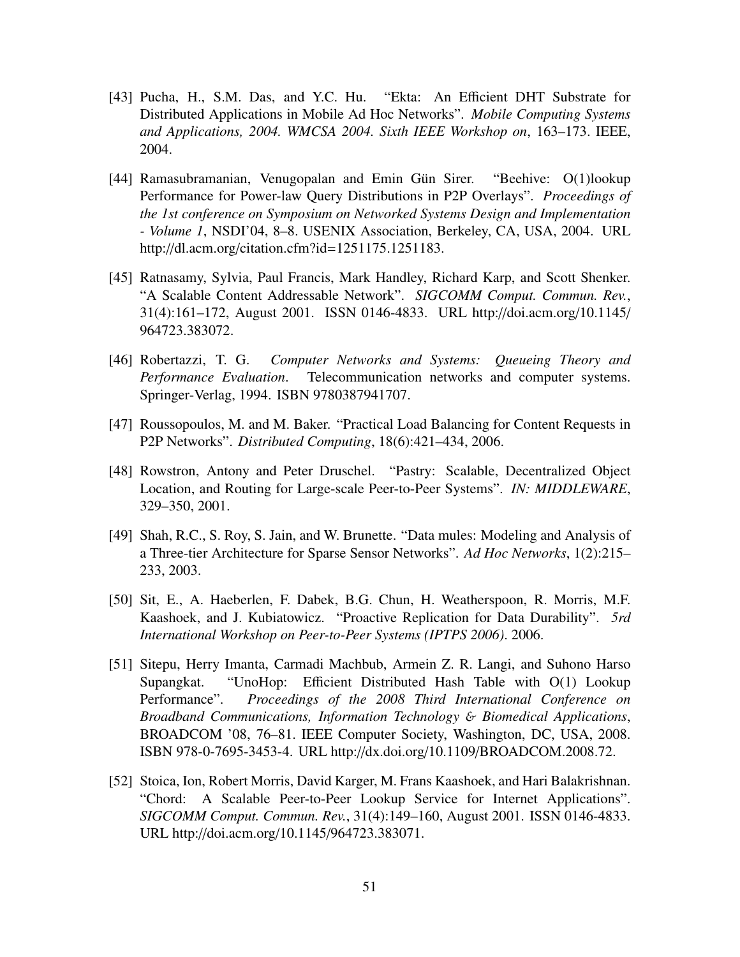- [43] Pucha, H., S.M. Das, and Y.C. Hu. "Ekta: An Efficient DHT Substrate for Distributed Applications in Mobile Ad Hoc Networks". *Mobile Computing Systems and Applications, 2004. WMCSA 2004. Sixth IEEE Workshop on*, 163–173. IEEE, 2004.
- [44] Ramasubramanian, Venugopalan and Emin Gün Sirer. "Beehive: O(1)lookup Performance for Power-law Query Distributions in P2P Overlays". *Proceedings of the 1st conference on Symposium on Networked Systems Design and Implementation - Volume 1*, NSDI'04, 8–8. USENIX Association, Berkeley, CA, USA, 2004. URL http://dl.acm.org/citation.cfm?id=1251175.1251183.
- [45] Ratnasamy, Sylvia, Paul Francis, Mark Handley, Richard Karp, and Scott Shenker. "A Scalable Content Addressable Network". *SIGCOMM Comput. Commun. Rev.*, 31(4):161–172, August 2001. ISSN 0146-4833. URL http://doi.acm.org/10.1145/ 964723.383072.
- [46] Robertazzi, T. G. *Computer Networks and Systems: Queueing Theory and Performance Evaluation*. Telecommunication networks and computer systems. Springer-Verlag, 1994. ISBN 9780387941707.
- [47] Roussopoulos, M. and M. Baker. "Practical Load Balancing for Content Requests in P2P Networks". *Distributed Computing*, 18(6):421–434, 2006.
- [48] Rowstron, Antony and Peter Druschel. "Pastry: Scalable, Decentralized Object Location, and Routing for Large-scale Peer-to-Peer Systems". *IN: MIDDLEWARE*, 329–350, 2001.
- [49] Shah, R.C., S. Roy, S. Jain, and W. Brunette. "Data mules: Modeling and Analysis of a Three-tier Architecture for Sparse Sensor Networks". *Ad Hoc Networks*, 1(2):215– 233, 2003.
- [50] Sit, E., A. Haeberlen, F. Dabek, B.G. Chun, H. Weatherspoon, R. Morris, M.F. Kaashoek, and J. Kubiatowicz. "Proactive Replication for Data Durability". *5rd International Workshop on Peer-to-Peer Systems (IPTPS 2006)*. 2006.
- [51] Sitepu, Herry Imanta, Carmadi Machbub, Armein Z. R. Langi, and Suhono Harso Supangkat. "UnoHop: Efficient Distributed Hash Table with O(1) Lookup Performance". *Proceedings of the 2008 Third International Conference on Broadband Communications, Information Technology* & *Biomedical Applications*, BROADCOM '08, 76–81. IEEE Computer Society, Washington, DC, USA, 2008. ISBN 978-0-7695-3453-4. URL http://dx.doi.org/10.1109/BROADCOM.2008.72.
- [52] Stoica, Ion, Robert Morris, David Karger, M. Frans Kaashoek, and Hari Balakrishnan. "Chord: A Scalable Peer-to-Peer Lookup Service for Internet Applications". *SIGCOMM Comput. Commun. Rev.*, 31(4):149–160, August 2001. ISSN 0146-4833. URL http://doi.acm.org/10.1145/964723.383071.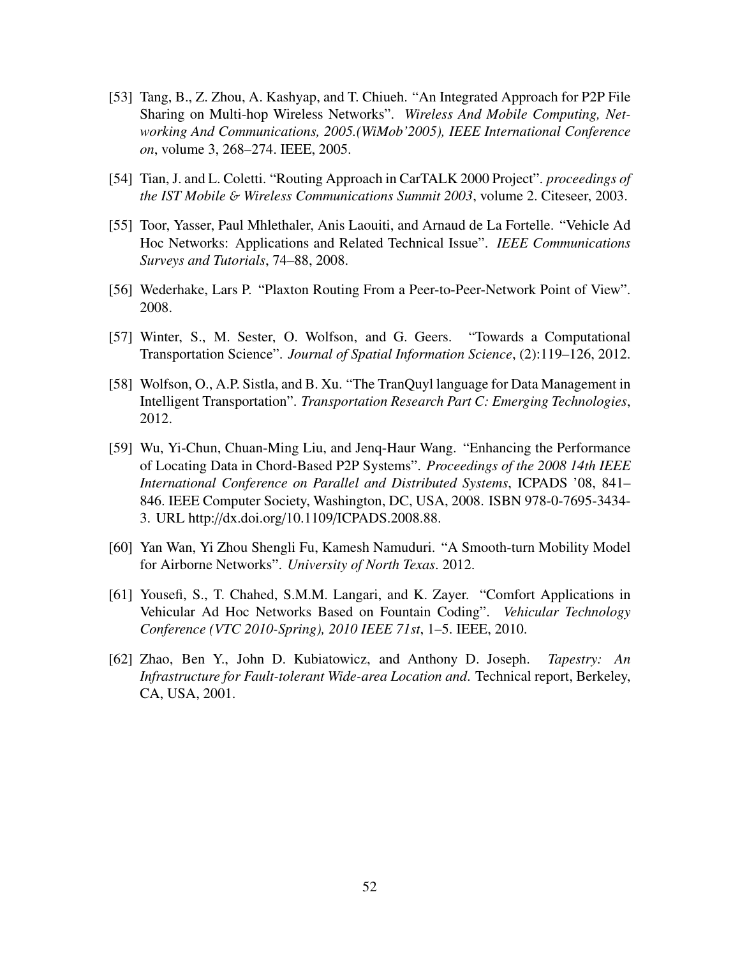- [53] Tang, B., Z. Zhou, A. Kashyap, and T. Chiueh. "An Integrated Approach for P2P File Sharing on Multi-hop Wireless Networks". *Wireless And Mobile Computing, Networking And Communications, 2005.(WiMob'2005), IEEE International Conference on*, volume 3, 268–274. IEEE, 2005.
- [54] Tian, J. and L. Coletti. "Routing Approach in CarTALK 2000 Project". *proceedings of the IST Mobile* & *Wireless Communications Summit 2003*, volume 2. Citeseer, 2003.
- [55] Toor, Yasser, Paul Mhlethaler, Anis Laouiti, and Arnaud de La Fortelle. "Vehicle Ad Hoc Networks: Applications and Related Technical Issue". *IEEE Communications Surveys and Tutorials*, 74–88, 2008.
- [56] Wederhake, Lars P. "Plaxton Routing From a Peer-to-Peer-Network Point of View". 2008.
- [57] Winter, S., M. Sester, O. Wolfson, and G. Geers. "Towards a Computational Transportation Science". *Journal of Spatial Information Science*, (2):119–126, 2012.
- [58] Wolfson, O., A.P. Sistla, and B. Xu. "The TranQuyl language for Data Management in Intelligent Transportation". *Transportation Research Part C: Emerging Technologies*, 2012.
- [59] Wu, Yi-Chun, Chuan-Ming Liu, and Jenq-Haur Wang. "Enhancing the Performance of Locating Data in Chord-Based P2P Systems". *Proceedings of the 2008 14th IEEE International Conference on Parallel and Distributed Systems*, ICPADS '08, 841– 846. IEEE Computer Society, Washington, DC, USA, 2008. ISBN 978-0-7695-3434- 3. URL http://dx.doi.org/10.1109/ICPADS.2008.88.
- [60] Yan Wan, Yi Zhou Shengli Fu, Kamesh Namuduri. "A Smooth-turn Mobility Model for Airborne Networks". *University of North Texas*. 2012.
- [61] Yousefi, S., T. Chahed, S.M.M. Langari, and K. Zayer. "Comfort Applications in Vehicular Ad Hoc Networks Based on Fountain Coding". *Vehicular Technology Conference (VTC 2010-Spring), 2010 IEEE 71st*, 1–5. IEEE, 2010.
- [62] Zhao, Ben Y., John D. Kubiatowicz, and Anthony D. Joseph. *Tapestry: An Infrastructure for Fault-tolerant Wide-area Location and*. Technical report, Berkeley, CA, USA, 2001.